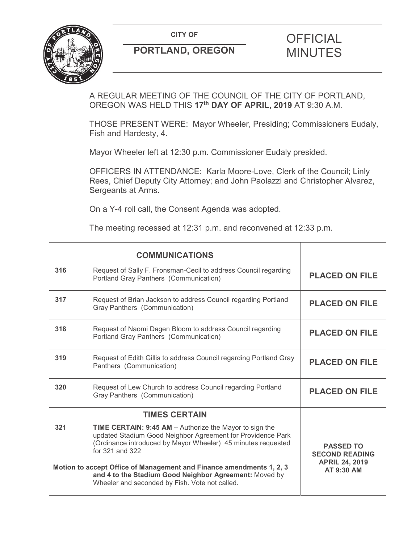**CITY OF CITY OF PICIAL** 



# **PORTLAND, OREGON MINUTES**

# A REGULAR MEETING OF THE COUNCIL OF THE CITY OF PORTLAND, OREGON WAS HELD THIS **17th DAY OF APRIL, 2019** AT 9:30 A.M.

THOSE PRESENT WERE: Mayor Wheeler, Presiding; Commissioners Eudaly, Fish and Hardesty, 4.

Mayor Wheeler left at 12:30 p.m. Commissioner Eudaly presided.

OFFICERS IN ATTENDANCE: Karla Moore-Love, Clerk of the Council; Linly Rees, Chief Deputy City Attorney; and John Paolazzi and Christopher Alvarez, Sergeants at Arms.

On a Y-4 roll call, the Consent Agenda was adopted.

The meeting recessed at 12:31 p.m. and reconvened at 12:33 p.m.

|     | <b>COMMUNICATIONS</b>                                                                                                                                                                                            |                                                                    |  |
|-----|------------------------------------------------------------------------------------------------------------------------------------------------------------------------------------------------------------------|--------------------------------------------------------------------|--|
| 316 | Request of Sally F. Fronsman-Cecil to address Council regarding<br>Portland Gray Panthers (Communication)                                                                                                        | <b>PLACED ON FILE</b>                                              |  |
| 317 | Request of Brian Jackson to address Council regarding Portland<br>Gray Panthers (Communication)                                                                                                                  | <b>PLACED ON FILE</b>                                              |  |
| 318 | Request of Naomi Dagen Bloom to address Council regarding<br>Portland Gray Panthers (Communication)                                                                                                              | <b>PLACED ON FILE</b>                                              |  |
| 319 | Request of Edith Gillis to address Council regarding Portland Gray<br>Panthers (Communication)                                                                                                                   | <b>PLACED ON FILE</b>                                              |  |
| 320 | Request of Lew Church to address Council regarding Portland<br>Gray Panthers (Communication)                                                                                                                     | <b>PLACED ON FILE</b>                                              |  |
|     | <b>TIMES CERTAIN</b>                                                                                                                                                                                             |                                                                    |  |
| 321 | <b>TIME CERTAIN: 9:45 AM - Authorize the Mayor to sign the</b><br>updated Stadium Good Neighbor Agreement for Providence Park<br>(Ordinance introduced by Mayor Wheeler) 45 minutes requested<br>for 321 and 322 | <b>PASSED TO</b><br><b>SECOND READING</b><br><b>APRIL 24, 2019</b> |  |
|     | Motion to accept Office of Management and Finance amendments 1, 2, 3<br>and 4 to the Stadium Good Neighbor Agreement: Moved by<br>Wheeler and seconded by Fish. Vote not called.                                 | AT 9:30 AM                                                         |  |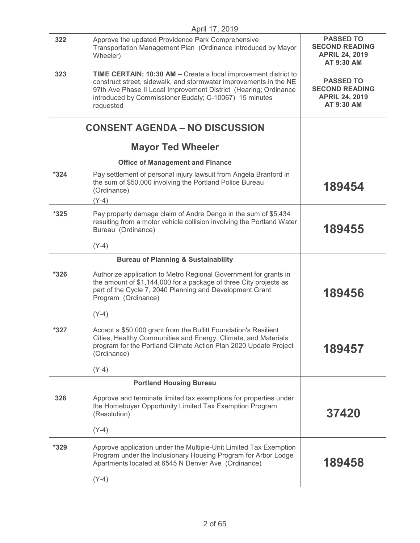|                                | April 17, 2019                                                                                                                                                                                                                                                                  |                                                                                  |
|--------------------------------|---------------------------------------------------------------------------------------------------------------------------------------------------------------------------------------------------------------------------------------------------------------------------------|----------------------------------------------------------------------------------|
| 322                            | Approve the updated Providence Park Comprehensive<br>Transportation Management Plan (Ordinance introduced by Mayor<br>Wheeler)                                                                                                                                                  | <b>PASSED TO</b><br><b>SECOND READING</b><br><b>APRIL 24, 2019</b><br>AT 9:30 AM |
| 323                            | TIME CERTAIN: 10:30 AM - Create a local improvement district to<br>construct street, sidewalk, and stormwater improvements in the NE<br>97th Ave Phase II Local Improvement District (Hearing; Ordinance<br>introduced by Commissioner Eudaly; C-10067) 15 minutes<br>requested | <b>PASSED TO</b><br><b>SECOND READING</b><br><b>APRIL 24, 2019</b><br>AT 9:30 AM |
|                                | <b>CONSENT AGENDA - NO DISCUSSION</b>                                                                                                                                                                                                                                           |                                                                                  |
|                                | <b>Mayor Ted Wheeler</b>                                                                                                                                                                                                                                                        |                                                                                  |
|                                | <b>Office of Management and Finance</b>                                                                                                                                                                                                                                         |                                                                                  |
| $*324$                         | Pay settlement of personal injury lawsuit from Angela Branford in<br>the sum of \$50,000 involving the Portland Police Bureau<br>(Ordinance)<br>$(Y-4)$                                                                                                                         | 189454                                                                           |
| $*325$                         | Pay property damage claim of Andre Dengo in the sum of \$5,434<br>resulting from a motor vehicle collision involving the Portland Water<br>Bureau (Ordinance)                                                                                                                   | 189455                                                                           |
|                                | $(Y-4)$                                                                                                                                                                                                                                                                         |                                                                                  |
|                                | <b>Bureau of Planning &amp; Sustainability</b>                                                                                                                                                                                                                                  |                                                                                  |
| $*326$                         | Authorize application to Metro Regional Government for grants in<br>the amount of \$1,144,000 for a package of three City projects as<br>part of the Cycle 7, 2040 Planning and Development Grant<br>Program (Ordinance)                                                        | 189456                                                                           |
|                                | $(Y-4)$                                                                                                                                                                                                                                                                         |                                                                                  |
| *327                           | Accept a \$50,000 grant from the Bullitt Foundation's Resilient<br>Cities, Healthy Communities and Energy, Climate, and Materials<br>program for the Portland Climate Action Plan 2020 Update Project<br>(Ordinance)                                                            | 189457                                                                           |
|                                | $(Y-4)$                                                                                                                                                                                                                                                                         |                                                                                  |
| <b>Portland Housing Bureau</b> |                                                                                                                                                                                                                                                                                 |                                                                                  |
| 328                            | Approve and terminate limited tax exemptions for properties under<br>the Homebuyer Opportunity Limited Tax Exemption Program<br>(Resolution)                                                                                                                                    | 37420                                                                            |
|                                | $(Y-4)$                                                                                                                                                                                                                                                                         |                                                                                  |
| $*329$                         | Approve application under the Multiple-Unit Limited Tax Exemption<br>Program under the Inclusionary Housing Program for Arbor Lodge<br>Apartments located at 6545 N Denver Ave (Ordinance)                                                                                      | 189458                                                                           |
|                                | $(Y-4)$                                                                                                                                                                                                                                                                         |                                                                                  |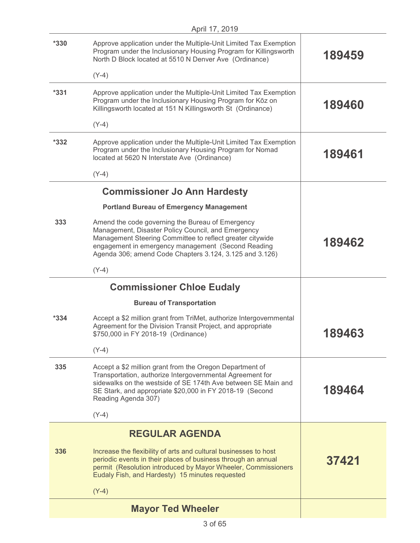|        | April 17, 2019                                                                                                                                                                                                                                                                       |        |
|--------|--------------------------------------------------------------------------------------------------------------------------------------------------------------------------------------------------------------------------------------------------------------------------------------|--------|
| $*330$ | Approve application under the Multiple-Unit Limited Tax Exemption<br>Program under the Inclusionary Housing Program for Killingsworth<br>North D Block located at 5510 N Denver Ave (Ordinance)                                                                                      | 189459 |
|        | $(Y-4)$                                                                                                                                                                                                                                                                              |        |
| $*331$ | Approve application under the Multiple-Unit Limited Tax Exemption<br>Program under the Inclusionary Housing Program for Kōz on<br>Killingsworth located at 151 N Killingsworth St (Ordinance)                                                                                        | 189460 |
|        | $(Y-4)$                                                                                                                                                                                                                                                                              |        |
| $*332$ | Approve application under the Multiple-Unit Limited Tax Exemption<br>Program under the Inclusionary Housing Program for Nomad<br>located at 5620 N Interstate Ave (Ordinance)                                                                                                        | 189461 |
|        | $(Y-4)$                                                                                                                                                                                                                                                                              |        |
|        | <b>Commissioner Jo Ann Hardesty</b>                                                                                                                                                                                                                                                  |        |
|        | <b>Portland Bureau of Emergency Management</b>                                                                                                                                                                                                                                       |        |
| 333    | Amend the code governing the Bureau of Emergency<br>Management, Disaster Policy Council, and Emergency<br>Management Steering Committee to reflect greater citywide<br>engagement in emergency management (Second Reading<br>Agenda 306; amend Code Chapters 3.124, 3.125 and 3.126) | 189462 |
|        | $(Y-4)$                                                                                                                                                                                                                                                                              |        |
|        | <b>Commissioner Chloe Eudaly</b>                                                                                                                                                                                                                                                     |        |
|        | <b>Bureau of Transportation</b>                                                                                                                                                                                                                                                      |        |
| $*334$ | Accept a \$2 million grant from TriMet, authorize Intergovernmental<br>Agreement for the Division Transit Project, and appropriate<br>\$750,000 in FY 2018-19 (Ordinance)                                                                                                            | 189463 |
|        | $(Y-4)$                                                                                                                                                                                                                                                                              |        |
| 335    | Accept a \$2 million grant from the Oregon Department of<br>Transportation, authorize Intergovernmental Agreement for<br>sidewalks on the westside of SE 174th Ave between SE Main and<br>SE Stark, and appropriate \$20,000 in FY 2018-19 (Second<br>Reading Agenda 307)            | 189464 |
|        | $(Y-4)$                                                                                                                                                                                                                                                                              |        |
|        | <b>REGULAR AGENDA</b>                                                                                                                                                                                                                                                                |        |
| 336    | Increase the flexibility of arts and cultural businesses to host<br>periodic events in their places of business through an annual<br>permit (Resolution introduced by Mayor Wheeler, Commissioners<br>Eudaly Fish, and Hardesty) 15 minutes requested                                | 37421  |
|        | $(Y-4)$                                                                                                                                                                                                                                                                              |        |
|        | <b>Mayor Ted Wheeler</b>                                                                                                                                                                                                                                                             |        |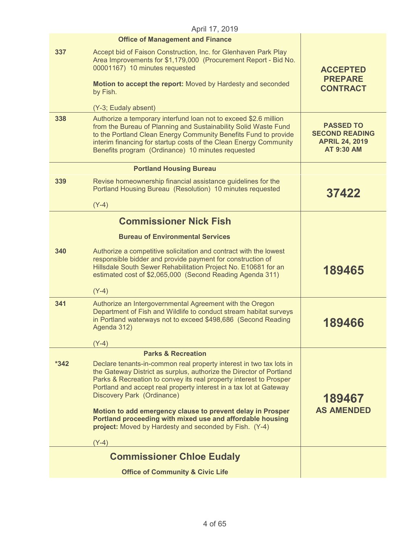|      | April 17, 2019                                                                                                                                                                                                                                                                                                                   |                                                                                         |
|------|----------------------------------------------------------------------------------------------------------------------------------------------------------------------------------------------------------------------------------------------------------------------------------------------------------------------------------|-----------------------------------------------------------------------------------------|
|      | <b>Office of Management and Finance</b>                                                                                                                                                                                                                                                                                          |                                                                                         |
| 337  | Accept bid of Faison Construction, Inc. for Glenhaven Park Play<br>Area Improvements for \$1,179,000 (Procurement Report - Bid No.<br>00001167) 10 minutes requested                                                                                                                                                             | <b>ACCEPTED</b><br><b>PREPARE</b>                                                       |
|      | Motion to accept the report: Moved by Hardesty and seconded<br>by Fish.                                                                                                                                                                                                                                                          | <b>CONTRACT</b>                                                                         |
|      | (Y-3; Eudaly absent)                                                                                                                                                                                                                                                                                                             |                                                                                         |
| 338  | Authorize a temporary interfund loan not to exceed \$2.6 million<br>from the Bureau of Planning and Sustainability Solid Waste Fund<br>to the Portland Clean Energy Community Benefits Fund to provide<br>interim financing for startup costs of the Clean Energy Community<br>Benefits program (Ordinance) 10 minutes requested | <b>PASSED TO</b><br><b>SECOND READING</b><br><b>APRIL 24, 2019</b><br><b>AT 9:30 AM</b> |
|      | <b>Portland Housing Bureau</b>                                                                                                                                                                                                                                                                                                   |                                                                                         |
| 339  | Revise homeownership financial assistance guidelines for the<br>Portland Housing Bureau (Resolution) 10 minutes requested                                                                                                                                                                                                        | 37422                                                                                   |
|      | $(Y-4)$                                                                                                                                                                                                                                                                                                                          |                                                                                         |
|      | <b>Commissioner Nick Fish</b>                                                                                                                                                                                                                                                                                                    |                                                                                         |
|      | <b>Bureau of Environmental Services</b>                                                                                                                                                                                                                                                                                          |                                                                                         |
| 340  | Authorize a competitive solicitation and contract with the lowest<br>responsible bidder and provide payment for construction of<br>Hillsdale South Sewer Rehabilitation Project No. E10681 for an<br>estimated cost of \$2,065,000 (Second Reading Agenda 311)                                                                   | 189465                                                                                  |
|      | $(Y-4)$                                                                                                                                                                                                                                                                                                                          |                                                                                         |
| 341  | Authorize an Intergovernmental Agreement with the Oregon<br>Department of Fish and Wildlife to conduct stream habitat surveys<br>in Portland waterways not to exceed \$498,686 (Second Reading<br>Agenda 312)                                                                                                                    | 189466                                                                                  |
|      | (Y-4)                                                                                                                                                                                                                                                                                                                            |                                                                                         |
|      | <b>Parks &amp; Recreation</b>                                                                                                                                                                                                                                                                                                    |                                                                                         |
| *342 | Declare tenants-in-common real property interest in two tax lots in<br>the Gateway District as surplus, authorize the Director of Portland<br>Parks & Recreation to convey its real property interest to Prosper<br>Portland and accept real property interest in a tax lot at Gateway<br>Discovery Park (Ordinance)             | 189467                                                                                  |
|      | Motion to add emergency clause to prevent delay in Prosper<br>Portland proceeding with mixed use and affordable housing<br>project: Moved by Hardesty and seconded by Fish. (Y-4)<br>$(Y-4)$                                                                                                                                     | <b>AS AMENDED</b>                                                                       |
|      |                                                                                                                                                                                                                                                                                                                                  |                                                                                         |
|      | <b>Commissioner Chloe Eudaly</b>                                                                                                                                                                                                                                                                                                 |                                                                                         |
|      | <b>Office of Community &amp; Civic Life</b>                                                                                                                                                                                                                                                                                      |                                                                                         |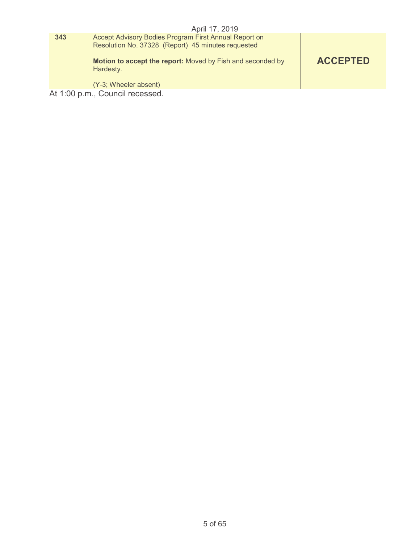|     | April 17, 2019                                                                                              |                 |
|-----|-------------------------------------------------------------------------------------------------------------|-----------------|
| 343 | Accept Advisory Bodies Program First Annual Report on<br>Resolution No. 37328 (Report) 45 minutes requested |                 |
|     | Motion to accept the report: Moved by Fish and seconded by<br>Hardesty.                                     | <b>ACCEPTED</b> |
|     | (Y-3; Wheeler absent)                                                                                       |                 |
|     | At 1:00 p.m., Council recessed.                                                                             |                 |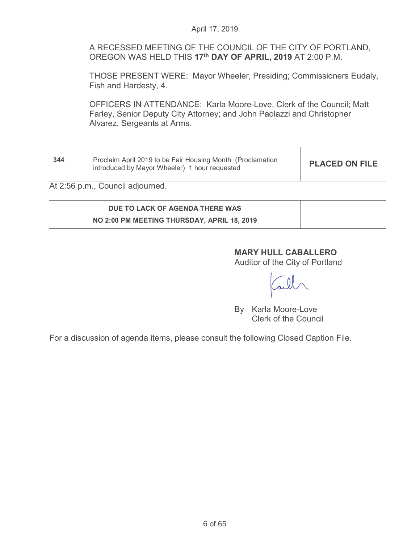A RECESSED MEETING OF THE COUNCIL OF THE CITY OF PORTLAND, OREGON WAS HELD THIS **17th DAY OF APRIL, 2019** AT 2:00 P.M.

THOSE PRESENT WERE: Mayor Wheeler, Presiding; Commissioners Eudaly, Fish and Hardesty, 4.

OFFICERS IN ATTENDANCE: Karla Moore-Love, Clerk of the Council; Matt Farley, Senior Deputy City Attorney; and John Paolazzi and Christopher Alvarez, Sergeants at Arms.

**344** Proclaim April 2019 to be Fair Housing Month (Proclamation **Proclaim April 2019 to be Fair Housing Month (Proclamation PLACED ON FILE introduced by Mayor Wheeler)** 1 hour requested

At 2:56 p.m., Council adjourned.

# **DUE TO LACK OF AGENDA THERE WAS NO 2:00 PM MEETING THURSDAY, APRIL 18, 2019**

# **MARY HULL CABALLERO**

Auditor of the City of Portland

By Karla Moore-Love Clerk of the Council

For a discussion of agenda items, please consult the following Closed Caption File.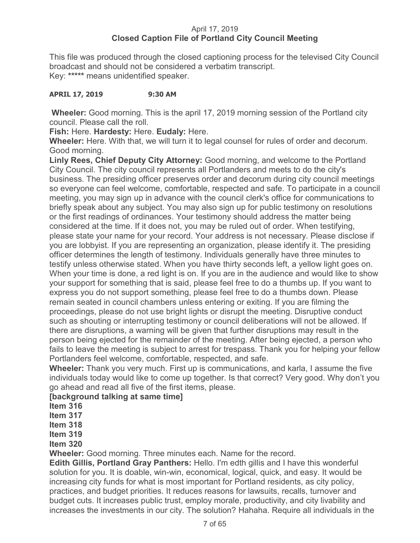## April 17, 2019 **Closed Caption File of Portland City Council Meeting**

This file was produced through the closed captioning process for the televised City Council broadcast and should not be considered a verbatim transcript. Key: **\*\*\*\*\*** means unidentified speaker.

### **APRIL 17, 2019 9:30 AM**

**Wheeler:** Good morning. This is the april 17, 2019 morning session of the Portland city council. Please call the roll.

**Fish:** Here. **Hardesty:** Here. **Eudaly:** Here.

**Wheeler:** Here. With that, we will turn it to legal counsel for rules of order and decorum. Good morning.

**Linly Rees, Chief Deputy City Attorney:** Good morning, and welcome to the Portland City Council. The city council represents all Portlanders and meets to do the city's business. The presiding officer preserves order and decorum during city council meetings so everyone can feel welcome, comfortable, respected and safe. To participate in a council meeting, you may sign up in advance with the council clerk's office for communications to briefly speak about any subject. You may also sign up for public testimony on resolutions or the first readings of ordinances. Your testimony should address the matter being considered at the time. If it does not, you may be ruled out of order. When testifying, please state your name for your record. Your address is not necessary. Please disclose if you are lobbyist. If you are representing an organization, please identify it. The presiding officer determines the length of testimony. Individuals generally have three minutes to testify unless otherwise stated. When you have thirty seconds left, a yellow light goes on. When your time is done, a red light is on. If you are in the audience and would like to show your support for something that is said, please feel free to do a thumbs up. If you want to express you do not support something, please feel free to do a thumbs down. Please remain seated in council chambers unless entering or exiting. If you are filming the proceedings, please do not use bright lights or disrupt the meeting. Disruptive conduct such as shouting or interrupting testimony or council deliberations will not be allowed. If there are disruptions, a warning will be given that further disruptions may result in the person being ejected for the remainder of the meeting. After being ejected, a person who fails to leave the meeting is subject to arrest for trespass. Thank you for helping your fellow Portlanders feel welcome, comfortable, respected, and safe.

**Wheeler:** Thank you very much. First up is communications, and karla, I assume the five individuals today would like to come up together. Is that correct? Very good. Why don't you go ahead and read all five of the first items, please.

## **[background talking at same time]**

**Item 316** 

**Item 317** 

**Item 318** 

**Item 319** 

**Item 320** 

**Wheeler:** Good morning. Three minutes each. Name for the record.

**Edith Gillis, Portland Gray Panthers:** Hello. I'm edth gillis and I have this wonderful solution for you. It is doable, win-win, economical, logical, quick, and easy. It would be increasing city funds for what is most important for Portland residents, as city policy, practices, and budget priorities. It reduces reasons for lawsuits, recalls, turnover and budget cuts. It increases public trust, employ morale, productivity, and city livability and increases the investments in our city. The solution? Hahaha. Require all individuals in the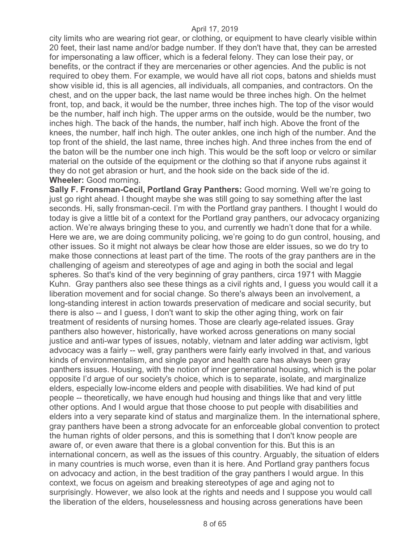city limits who are wearing riot gear, or clothing, or equipment to have clearly visible within 20 feet, their last name and/or badge number. If they don't have that, they can be arrested for impersonating a law officer, which is a federal felony. They can lose their pay, or benefits, or the contract if they are mercenaries or other agencies. And the public is not required to obey them. For example, we would have all riot cops, batons and shields must show visible id, this is all agencies, all individuals, all companies, and contractors. On the chest, and on the upper back, the last name would be three inches high. On the helmet front, top, and back, it would be the number, three inches high. The top of the visor would be the number, half inch high. The upper arms on the outside, would be the number, two inches high. The back of the hands, the number, half inch high. Above the front of the knees, the number, half inch high. The outer ankles, one inch high of the number. And the top front of the shield, the last name, three inches high. And three inches from the end of the baton will be the number one inch high. This would be the soft loop or velcro or similar material on the outside of the equipment or the clothing so that if anyone rubs against it they do not get abrasion or hurt, and the hook side on the back side of the id. **Wheeler:** Good morning.

**Sally F. Fronsman-Cecil, Portland Gray Panthers:** Good morning. Well we're going to just go right ahead. I thought maybe she was still going to say something after the last seconds. Hi, sally fronsman-cecil. I'm with the Portland gray panthers. I thought I would do today is give a little bit of a context for the Portland gray panthers, our advocacy organizing action. We're always bringing these to you, and currently we hadn't done that for a while. Here we are, we are doing community policing, we're going to do gun control, housing, and other issues. So it might not always be clear how those are elder issues, so we do try to make those connections at least part of the time. The roots of the gray panthers are in the challenging of ageism and stereotypes of age and aging in both the social and legal spheres. So that's kind of the very beginning of gray panthers, circa 1971 with Maggie Kuhn. Gray panthers also see these things as a civil rights and, I guess you would call it a liberation movement and for social change. So there's always been an involvement, a long-standing interest in action towards preservation of medicare and social security, but there is also -- and I guess, I don't want to skip the other aging thing, work on fair treatment of residents of nursing homes. Those are clearly age-related issues. Gray panthers also however, historically, have worked across generations on many social justice and anti-war types of issues, notably, vietnam and later adding war activism, lgbt advocacy was a fairly -- well, gray panthers were fairly early involved in that, and various kinds of environmentalism, and single payor and health care has always been gray panthers issues. Housing, with the notion of inner generational housing, which is the polar opposite I'd argue of our society's choice, which is to separate, isolate, and marginalize elders, especially low-income elders and people with disabilities. We had kind of put people -- theoretically, we have enough hud housing and things like that and very little other options. And I would argue that those choose to put people with disabilities and elders into a very separate kind of status and marginalize them. In the international sphere, gray panthers have been a strong advocate for an enforceable global convention to protect the human rights of older persons, and this is something that I don't know people are aware of, or even aware that there is a global convention for this. But this is an international concern, as well as the issues of this country. Arguably, the situation of elders in many countries is much worse, even than it is here. And Portland gray panthers focus on advocacy and action, in the best tradition of the gray panthers I would argue. In this context, we focus on ageism and breaking stereotypes of age and aging not to surprisingly. However, we also look at the rights and needs and I suppose you would call the liberation of the elders, houselessness and housing across generations have been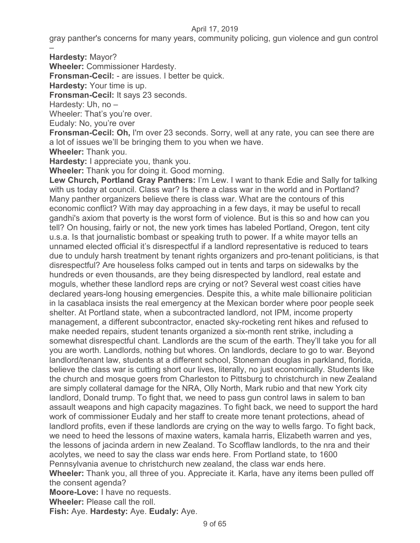gray panther's concerns for many years, community policing, gun violence and gun control –

**Hardesty:** Mayor?

**Wheeler:** Commissioner Hardesty.

**Fronsman-Cecil:** - are issues. I better be quick.

**Hardesty:** Your time is up.

**Fronsman-Cecil:** It says 23 seconds.

Hardesty: Uh, no –

Wheeler: That's you're over.

Eudaly: No, you're over

**Fronsman-Cecil: Oh,** I'm over 23 seconds. Sorry, well at any rate, you can see there are a lot of issues we'll be bringing them to you when we have.

**Wheeler:** Thank you.

**Hardesty:** I appreciate you, thank you.

**Wheeler:** Thank you for doing it. Good morning.

**Lew Church, Portland Gray Panthers:** I'm Lew. I want to thank Edie and Sally for talking with us today at council. Class war? Is there a class war in the world and in Portland? Many panther organizers believe there is class war. What are the contours of this economic conflict? With may day approaching in a few days, it may be useful to recall gandhi's axiom that poverty is the worst form of violence. But is this so and how can you tell? On housing, fairly or not, the new york times has labeled Portland, Oregon, tent city u.s.a. Is that journalistic bombast or speaking truth to power. If a white mayor tells an unnamed elected official it's disrespectful if a landlord representative is reduced to tears due to unduly harsh treatment by tenant rights organizers and pro-tenant politicians, is that disrespectful? Are houseless folks camped out in tents and tarps on sidewalks by the hundreds or even thousands, are they being disrespected by landlord, real estate and moguls, whether these landlord reps are crying or not? Several west coast cities have declared years-long housing emergencies. Despite this, a white male billionaire politician in la casablaca insists the real emergency at the Mexican border where poor people seek shelter. At Portland state, when a subcontracted landlord, not IPM, income property management, a different subcontractor, enacted sky-rocketing rent hikes and refused to make needed repairs, student tenants organized a six-month rent strike, including a somewhat disrespectful chant. Landlords are the scum of the earth. They'll take you for all you are worth. Landlords, nothing but whores. On landlords, declare to go to war. Beyond landlord/tenant law, students at a different school, Stoneman douglas in parkland, florida, believe the class war is cutting short our lives, literally, no just economically. Students like the church and mosque goers from Charleston to Pittsburg to christchurch in new Zealand are simply collateral damage for the NRA, Olly North, Mark rubio and that new York city landlord, Donald trump. To fight that, we need to pass gun control laws in salem to ban assault weapons and high capacity magazines. To fight back, we need to support the hard work of commissioner Eudaly and her staff to create more tenant protections, ahead of landlord profits, even if these landlords are crying on the way to wells fargo. To fight back, we need to heed the lessons of maxine waters, kamala harris, Elizabeth warren and yes, the lessons of jacinda ardern in new Zealand. To Scofflaw landlords, to the nra and their acolytes, we need to say the class war ends here. From Portland state, to 1600 Pennsylvania avenue to christchurch new zealand, the class war ends here. **Wheeler:** Thank you, all three of you. Appreciate it. Karla, have any items been pulled off the consent agenda? **Moore-Love:** I have no requests. **Wheeler:** Please call the roll.

**Fish:** Aye. **Hardesty:** Aye. **Eudaly:** Aye.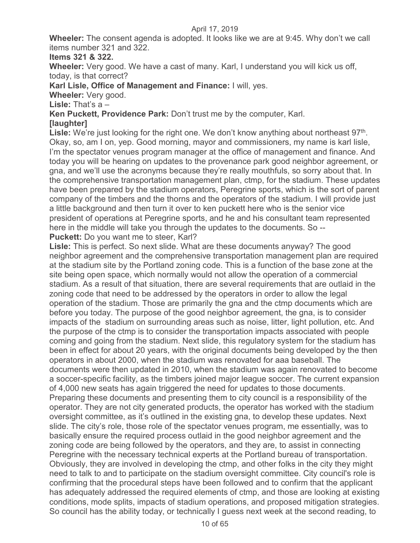**Wheeler:** The consent agenda is adopted. It looks like we are at 9:45. Why don't we call items number 321 and 322.

## **Items 321 & 322.**

**Wheeler:** Very good. We have a cast of many. Karl, I understand you will kick us off, today, is that correct?

**Karl Lisle, Office of Management and Finance:** I will, yes.

**Wheeler:** Very good.

**Lisle:** That's a –

**Ken Puckett, Providence Park:** Don't trust me by the computer, Karl.

## **[laughter]**

Lisle: We're just looking for the right one. We don't know anything about northeast 97<sup>th</sup>. Okay, so, am I on, yep. Good morning, mayor and commissioners, my name is karl lisle, I'm the spectator venues program manager at the office of management and finance. And today you will be hearing on updates to the provenance park good neighbor agreement, or gna, and we'll use the acronyms because they're really mouthfuls, so sorry about that. In the comprehensive transportation management plan, ctmp, for the stadium. These updates have been prepared by the stadium operators, Peregrine sports, which is the sort of parent company of the timbers and the thorns and the operators of the stadium. I will provide just a little background and then turn it over to ken puckett here who is the senior vice president of operations at Peregrine sports, and he and his consultant team represented here in the middle will take you through the updates to the documents. So -- **Puckett:** Do you want me to steer, Karl?

**Lisle:** This is perfect. So next slide. What are these documents anyway? The good neighbor agreement and the comprehensive transportation management plan are required at the stadium site by the Portland zoning code. This is a function of the base zone at the site being open space, which normally would not allow the operation of a commercial stadium. As a result of that situation, there are several requirements that are outlaid in the zoning code that need to be addressed by the operators in order to allow the legal operation of the stadium. Those are primarily the gna and the ctmp documents which are before you today. The purpose of the good neighbor agreement, the gna, is to consider impacts of the stadium on surrounding areas such as noise, litter, light pollution, etc. And the purpose of the ctmp is to consider the transportation impacts associated with people coming and going from the stadium. Next slide, this regulatory system for the stadium has been in effect for about 20 years, with the original documents being developed by the then operators in about 2000, when the stadium was renovated for aaa baseball. The documents were then updated in 2010, when the stadium was again renovated to become a soccer-specific facility, as the timbers joined major league soccer. The current expansion of 4,000 new seats has again triggered the need for updates to those documents. Preparing these documents and presenting them to city council is a responsibility of the operator. They are not city generated products, the operator has worked with the stadium oversight committee, as it's outlined in the existing gna, to develop these updates. Next slide. The city's role, those role of the spectator venues program, me essentially, was to basically ensure the required process outlaid in the good neighbor agreement and the zoning code are being followed by the operators, and they are, to assist in connecting Peregrine with the necessary technical experts at the Portland bureau of transportation. Obviously, they are involved in developing the ctmp, and other folks in the city they might need to talk to and to participate on the stadium oversight committee. City council's role is confirming that the procedural steps have been followed and to confirm that the applicant has adequately addressed the required elements of ctmp, and those are looking at existing conditions, mode splits, impacts of stadium operations, and proposed mitigation strategies. So council has the ability today, or technically I guess next week at the second reading, to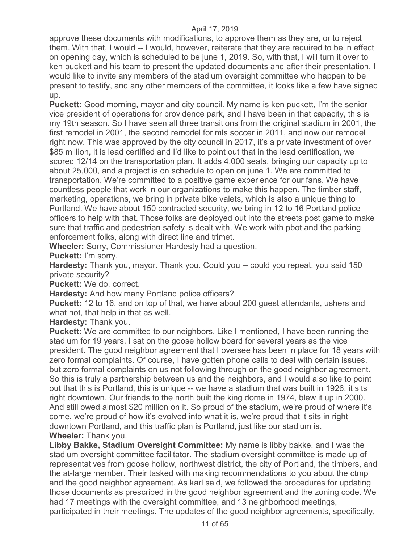approve these documents with modifications, to approve them as they are, or to reject them. With that, I would -- I would, however, reiterate that they are required to be in effect on opening day, which is scheduled to be june 1, 2019. So, with that, I will turn it over to ken puckett and his team to present the updated documents and after their presentation, I would like to invite any members of the stadium oversight committee who happen to be present to testify, and any other members of the committee, it looks like a few have signed up.

**Puckett:** Good morning, mayor and city council. My name is ken puckett, I'm the senior vice president of operations for providence park, and I have been in that capacity, this is my 19th season. So I have seen all three transitions from the original stadium in 2001, the first remodel in 2001, the second remodel for mls soccer in 2011, and now our remodel right now. This was approved by the city council in 2017, it's a private investment of over \$85 million, it is lead certified and I'd like to point out that in the lead certification, we scored 12/14 on the transportation plan. It adds 4,000 seats, bringing our capacity up to about 25,000, and a project is on schedule to open on june 1. We are committed to transportation. We're committed to a positive game experience for our fans. We have countless people that work in our organizations to make this happen. The timber staff, marketing, operations, we bring in private bike valets, which is also a unique thing to Portland. We have about 150 contracted security, we bring in 12 to 16 Portland police officers to help with that. Those folks are deployed out into the streets post game to make sure that traffic and pedestrian safety is dealt with. We work with pbot and the parking enforcement folks, along with direct line and trimet.

**Wheeler:** Sorry, Commissioner Hardesty had a question.

**Puckett:** I'm sorry.

**Hardesty:** Thank you, mayor. Thank you. Could you -- could you repeat, you said 150 private security?

**Puckett:** We do, correct.

**Hardesty:** And how many Portland police officers?

**Puckett:** 12 to 16, and on top of that, we have about 200 guest attendants, ushers and what not, that help in that as well.

**Hardesty:** Thank you.

**Puckett:** We are committed to our neighbors. Like I mentioned, I have been running the stadium for 19 years, I sat on the goose hollow board for several years as the vice president. The good neighbor agreement that I oversee has been in place for 18 years with zero formal complaints. Of course, I have gotten phone calls to deal with certain issues, but zero formal complaints on us not following through on the good neighbor agreement. So this is truly a partnership between us and the neighbors, and I would also like to point out that this is Portland, this is unique -- we have a stadium that was built in 1926, it sits right downtown. Our friends to the north built the king dome in 1974, blew it up in 2000. And still owed almost \$20 million on it. So proud of the stadium, we're proud of where it's come, we're proud of how it's evolved into what it is, we're proud that it sits in right downtown Portland, and this traffic plan is Portland, just like our stadium is. **Wheeler:** Thank you.

**Libby Bakke, Stadium Oversight Committee:** My name is libby bakke, and I was the stadium oversight committee facilitator. The stadium oversight committee is made up of representatives from goose hollow, northwest district, the city of Portland, the timbers, and the at-large member. Their tasked with making recommendations to you about the ctmp and the good neighbor agreement. As karl said, we followed the procedures for updating those documents as prescribed in the good neighbor agreement and the zoning code. We had 17 meetings with the oversight committee, and 13 neighborhood meetings, participated in their meetings. The updates of the good neighbor agreements, specifically,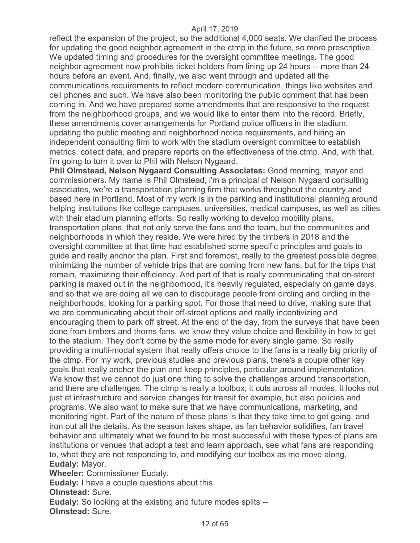reflect the expansion of the project, so the additional 4,000 seats. We clarified the process for updating the good neighbor agreement in the ctmp in the future, so more prescriptive. We updated timing and procedures for the oversight committee meetings. The good neighbor agreement now prohibits ticket holders from lining up 24 hours -- more than 24 hours before an event. And, finally, we also went through and updated all the communications requirements to reflect modern communication, things like websites and cell phones and such. We have also been monitoring the public comment that has been coming in. And we have prepared some amendments that are responsive to the request from the neighborhood groups, and we would like to enter them into the record. Briefly, these amendments cover arrangements for Portland police officers in the stadium, updating the public meeting and neighborhood notice requirements, and hiring an independent consulting firm to work with the stadium oversight committee to establish metrics, collect data, and prepare reports on the effectiveness of the ctmp. And, with that, i'm going to turn it over to Phil with Nelson Nygaard.

**Phil Olmstead, Nelson Nygaard Consulting Associates:** Good morning, mayor and commissioners. My name is Phil Olmstead, i'm a principal of Nelson Nygaard consulting associates, we're a transportation planning firm that works throughout the country and based here in Portland. Most of my work is in the parking and institutional planning around helping institutions like college campuses, universities, medical campuses, as well as cities with their stadium planning efforts. So really working to develop mobility plans, transportation plans, that not only serve the fans and the team, but the communities and neighborhoods in which they reside. We were hired by the timbers in 2018 and the oversight committee at that time had established some specific principles and goals to guide and really anchor the plan. First and foremost, really to the greatest possible degree, minimizing the number of vehicle trips that are coming from new fans, but for the trips that remain, maximizing their efficiency. And part of that is really communicating that on-street parking is maxed out in the neighborhood, it's heavily regulated, especially on game days, and so that we are doing all we can to discourage people from circling and circling in the neighborhoods, looking for a parking spot. For those that need to drive, making sure that we are communicating about their off-street options and really incentivizing and encouraging them to park off street. At the end of the day, from the surveys that have been done from timbers and thorns fans, we know they value choice and flexibility in how to get to the stadium. They don't come by the same mode for every single game. So really providing a multi-modal system that really offers choice to the fans is a really big priority of the ctmp. For my work, previous studies and previous plans, there's a couple other key goals that really anchor the plan and keep principles, particular around implementation. We know that we cannot do just one thing to solve the challenges around transportation, and there are challenges. The ctmp is really a toolbox, it cuts across all modes, it looks not just at infrastructure and service changes for transit for example, but also policies and programs. We also want to make sure that we have communications, marketing, and monitoring right. Part of the nature of these plans is that they take time to get going, and iron out all the details. As the season takes shape, as fan behavior solidifies, fan travel behavior and ultimately what we found to be most successful with these types of plans are institutions or venues that adopt a test and learn approach, see what fans are responding to, what they are not responding to, and modifying our toolbox as me move along. **Eudaly:** Mayor.

**Wheeler:** Commissioner Eudaly.

**Eudaly:** I have a couple questions about this.

**Olmstead:** Sure.

**Eudaly:** So looking at the existing and future modes splits -- **Olmstead:** Sure.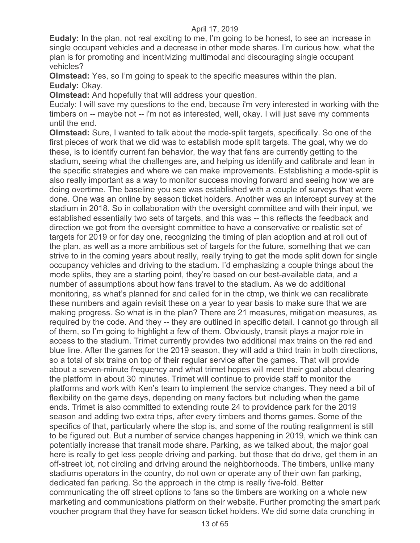**Eudaly:** In the plan, not real exciting to me, I'm going to be honest, to see an increase in single occupant vehicles and a decrease in other mode shares. I'm curious how, what the plan is for promoting and incentivizing multimodal and discouraging single occupant vehicles?

**Olmstead:** Yes, so I'm going to speak to the specific measures within the plan. **Eudaly:** Okay.

**Olmstead:** And hopefully that will address your question.

Eudaly: I will save my questions to the end, because i'm very interested in working with the timbers on -- maybe not -- i'm not as interested, well, okay. I will just save my comments until the end.

**Olmstead:** Sure, I wanted to talk about the mode-split targets, specifically. So one of the first pieces of work that we did was to establish mode split targets. The goal, why we do these, is to identify current fan behavior, the way that fans are currently getting to the stadium, seeing what the challenges are, and helping us identify and calibrate and lean in the specific strategies and where we can make improvements. Establishing a mode-split is also really important as a way to monitor success moving forward and seeing how we are doing overtime. The baseline you see was established with a couple of surveys that were done. One was an online by season ticket holders. Another was an intercept survey at the stadium in 2018. So in collaboration with the oversight committee and with their input, we established essentially two sets of targets, and this was -- this reflects the feedback and direction we got from the oversight committee to have a conservative or realistic set of targets for 2019 or for day one, recognizing the timing of plan adoption and at roll out of the plan, as well as a more ambitious set of targets for the future, something that we can strive to in the coming years about really, really trying to get the mode split down for single occupancy vehicles and driving to the stadium. I'd emphasizing a couple things about the mode splits, they are a starting point, they're based on our best-available data, and a number of assumptions about how fans travel to the stadium. As we do additional monitoring, as what's planned for and called for in the ctmp, we think we can recalibrate these numbers and again revisit these on a year to year basis to make sure that we are making progress. So what is in the plan? There are 21 measures, mitigation measures, as required by the code. And they -- they are outlined in specific detail. I cannot go through all of them, so I'm going to highlight a few of them. Obviously, transit plays a major role in access to the stadium. Trimet currently provides two additional max trains on the red and blue line. After the games for the 2019 season, they will add a third train in both directions, so a total of six trains on top of their regular service after the games. That will provide about a seven-minute frequency and what trimet hopes will meet their goal about clearing the platform in about 30 minutes. Trimet will continue to provide staff to monitor the platforms and work with Ken's team to implement the service changes. They need a bit of flexibility on the game days, depending on many factors but including when the game ends. Trimet is also committed to extending route 24 to providence park for the 2019 season and adding two extra trips, after every timbers and thorns games. Some of the specifics of that, particularly where the stop is, and some of the routing realignment is still to be figured out. But a number of service changes happening in 2019, which we think can potentially increase that transit mode share. Parking, as we talked about, the major goal here is really to get less people driving and parking, but those that do drive, get them in an off-street lot, not circling and driving around the neighborhoods. The timbers, unlike many stadiums operators in the country, do not own or operate any of their own fan parking, dedicated fan parking. So the approach in the ctmp is really five-fold. Better communicating the off street options to fans so the timbers are working on a whole new marketing and communications platform on their website. Further promoting the smart park voucher program that they have for season ticket holders. We did some data crunching in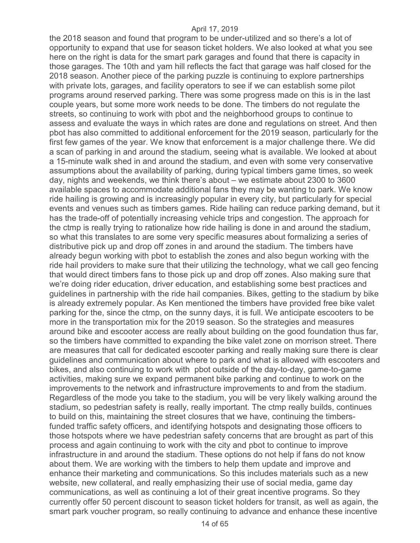the 2018 season and found that program to be under-utilized and so there's a lot of opportunity to expand that use for season ticket holders. We also looked at what you see here on the right is data for the smart park garages and found that there is capacity in those garages. The 10th and yam hill reflects the fact that garage was half closed for the 2018 season. Another piece of the parking puzzle is continuing to explore partnerships with private lots, garages, and facility operators to see if we can establish some pilot programs around reserved parking. There was some progress made on this is in the last couple years, but some more work needs to be done. The timbers do not regulate the streets, so continuing to work with pbot and the neighborhood groups to continue to assess and evaluate the ways in which rates are done and regulations on street. And then pbot has also committed to additional enforcement for the 2019 season, particularly for the first few games of the year. We know that enforcement is a major challenge there. We did a scan of parking in and around the stadium, seeing what is available. We looked at about a 15-minute walk shed in and around the stadium, and even with some very conservative assumptions about the availability of parking, during typical timbers game times, so week day, nights and weekends, we think there's about – we estimate about 2300 to 3600 available spaces to accommodate additional fans they may be wanting to park. We know ride hailing is growing and is increasingly popular in every city, but particularly for special events and venues such as timbers games. Ride hailing can reduce parking demand, but it has the trade-off of potentially increasing vehicle trips and congestion. The approach for the ctmp is really trying to rationalize how ride hailing is done in and around the stadium, so what this translates to are some very specific measures about formalizing a series of distributive pick up and drop off zones in and around the stadium. The timbers have already begun working with pbot to establish the zones and also begun working with the ride hail providers to make sure that their utilizing the technology, what we call geo fencing that would direct timbers fans to those pick up and drop off zones. Also making sure that we're doing rider education, driver education, and establishing some best practices and guidelines in partnership with the ride hail companies. Bikes, getting to the stadium by bike is already extremely popular. As Ken mentioned the timbers have provided free bike valet parking for the, since the ctmp, on the sunny days, it is full. We anticipate escooters to be more in the transportation mix for the 2019 season. So the strategies and measures around bike and escooter access are really about building on the good foundation thus far, so the timbers have committed to expanding the bike valet zone on morrison street. There are measures that call for dedicated escooter parking and really making sure there is clear guidelines and communication about where to park and what is allowed with escooters and bikes, and also continuing to work with pbot outside of the day-to-day, game-to-game activities, making sure we expand permanent bike parking and continue to work on the improvements to the network and infrastructure improvements to and from the stadium. Regardless of the mode you take to the stadium, you will be very likely walking around the stadium, so pedestrian safety is really, really important. The ctmp really builds, continues to build on this, maintaining the street closures that we have, continuing the timbersfunded traffic safety officers, and identifying hotspots and designating those officers to those hotspots where we have pedestrian safety concerns that are brought as part of this process and again continuing to work with the city and pbot to continue to improve infrastructure in and around the stadium. These options do not help if fans do not know about them. We are working with the timbers to help them update and improve and enhance their marketing and communications. So this includes materials such as a new website, new collateral, and really emphasizing their use of social media, game day communications, as well as continuing a lot of their great incentive programs. So they currently offer 50 percent discount to season ticket holders for transit, as well as again, the smart park voucher program, so really continuing to advance and enhance these incentive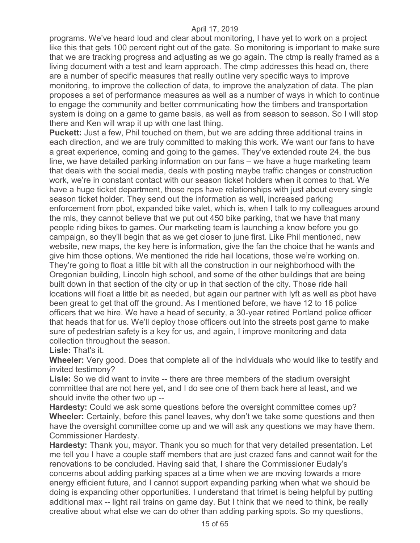programs. We've heard loud and clear about monitoring, I have yet to work on a project like this that gets 100 percent right out of the gate. So monitoring is important to make sure that we are tracking progress and adjusting as we go again. The ctmp is really framed as a living document with a test and learn approach. The ctmp addresses this head on, there are a number of specific measures that really outline very specific ways to improve monitoring, to improve the collection of data, to improve the analyzation of data. The plan proposes a set of performance measures as well as a number of ways in which to continue to engage the community and better communicating how the timbers and transportation system is doing on a game to game basis, as well as from season to season. So I will stop there and Ken will wrap it up with one last thing.

**Puckett:** Just a few, Phil touched on them, but we are adding three additional trains in each direction, and we are truly committed to making this work. We want our fans to have a great experience, coming and going to the games. They've extended route 24, the bus line, we have detailed parking information on our fans – we have a huge marketing team that deals with the social media, deals with posting maybe traffic changes or construction work, we're in constant contact with our season ticket holders when it comes to that. We have a huge ticket department, those reps have relationships with just about every single season ticket holder. They send out the information as well, increased parking enforcement from pbot, expanded bike valet, which is, when I talk to my colleagues around the mls, they cannot believe that we put out 450 bike parking, that we have that many people riding bikes to games. Our marketing team is launching a know before you go campaign, so they'll begin that as we get closer to june first. Like Phil mentioned, new website, new maps, the key here is information, give the fan the choice that he wants and give him those options. We mentioned the ride hail locations, those we're working on. They're going to float a little bit with all the construction in our neighborhood with the Oregonian building, Lincoln high school, and some of the other buildings that are being built down in that section of the city or up in that section of the city. Those ride hail locations will float a little bit as needed, but again our partner with lyft as well as pbot have been great to get that off the ground. As I mentioned before, we have 12 to 16 police officers that we hire. We have a head of security, a 30-year retired Portland police officer that heads that for us. We'll deploy those officers out into the streets post game to make sure of pedestrian safety is a key for us, and again, I improve monitoring and data collection throughout the season.

#### **Lisle:** That's it.

**Wheeler:** Very good. Does that complete all of the individuals who would like to testify and invited testimony?

**Lisle:** So we did want to invite -- there are three members of the stadium oversight committee that are not here yet, and I do see one of them back here at least, and we should invite the other two up --

**Hardesty:** Could we ask some questions before the oversight committee comes up? **Wheeler:** Certainly, before this panel leaves, why don't we take some questions and then have the oversight committee come up and we will ask any questions we may have them. Commissioner Hardesty.

**Hardesty:** Thank you, mayor. Thank you so much for that very detailed presentation. Let me tell you I have a couple staff members that are just crazed fans and cannot wait for the renovations to be concluded. Having said that, I share the Commissioner Eudaly's concerns about adding parking spaces at a time when we are moving towards a more energy efficient future, and I cannot support expanding parking when what we should be doing is expanding other opportunities. I understand that trimet is being helpful by putting additional max -- light rail trains on game day. But I think that we need to think, be really creative about what else we can do other than adding parking spots. So my questions,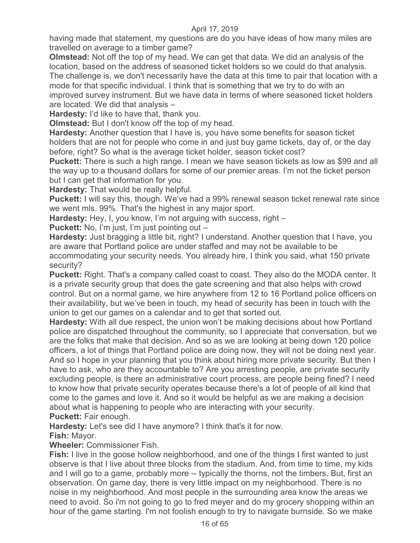having made that statement, my questions are do you have ideas of how many miles are travelled on average to a timber game?

**Olmstead:** Not off the top of my head. We can get that data. We did an analysis of the location, based on the address of seasoned ticket holders so we could do that analysis. The challenge is, we don't necessarily have the data at this time to pair that location with a mode for that specific individual. I think that is something that we try to do with an improved survey instrument. But we have data in terms of where seasoned ticket holders are located. We did that analysis –

**Hardesty:** I'd like to have that, thank you.

**Olmstead:** But I don't know off the top of my head.

**Hardesty:** Another question that I have is, you have some benefits for season ticket holders that are not for people who come in and just buy game tickets, day of, or the day before, right? So what is the average ticket holder, season ticket cost?

**Puckett:** There is such a high range. I mean we have season tickets as low as \$99 and all the way up to a thousand dollars for some of our premier areas. I'm not the ticket person but I can get that information for you.

**Hardesty:** That would be really helpful.

**Puckett:** I will say this, though. We've had a 99% renewal season ticket renewal rate since we went mls. 99%. That's the highest in any major sport.

**Hardesty:** Hey, I, you know, I'm not arguing with success, right –

**Puckett:** No, I'm just, I'm just pointing out –

**Hardesty:** Just bragging a little bit, right? I understand. Another question that I have, you are aware that Portland police are under staffed and may not be available to be accommodating your security needs. You already hire, I think you said, what 150 private security?

**Puckett:** Right. That's a company called coast to coast. They also do the MODA center. It is a private security group that does the gate screening and that also helps with crowd control. But on a normal game, we hire anywhere from 12 to 16 Portland police officers on their availability, but we've been in touch, my head of security has been in touch with the union to get our games on a calendar and to get that sorted out.

**Hardesty:** With all due respect, the union won't be making decisions about how Portland police are dispatched throughout the community, so I appreciate that conversation, but we are the folks that make that decision. And so as we are looking at being down 120 police officers, a lot of things that Portland police are doing now, they will not be doing next year. And so I hope in your planning that you think about hiring more private security. But then I have to ask, who are they accountable to? Are you arresting people, are private security excluding people, is there an administrative court process, are people being fined? I need to know how that private security operates because there's a lot of people of all kind that come to the games and love it. And so it would be helpful as we are making a decision about what is happening to people who are interacting with your security. **Puckett:** Fair enough.

**Hardesty:** Let's see did I have anymore? I think that's it for now.

**Fish:** Mayor.

**Wheeler:** Commissioner Fish.

**Fish:** I live in the goose hollow neighborhood, and one of the things I first wanted to just observe is that I live about three blocks from the stadium. And, from time to time, my kids and I will go to a game, probably more -- typically the thorns, not the timbers. But, first an observation. On game day, there is very little impact on my neighborhood. There is no noise in my neighborhood. And most people in the surrounding area know the areas we need to avoid. So i'm not going to go to fred meyer and do my grocery shopping within an hour of the game starting. I'm not foolish enough to try to navigate burnside. So we make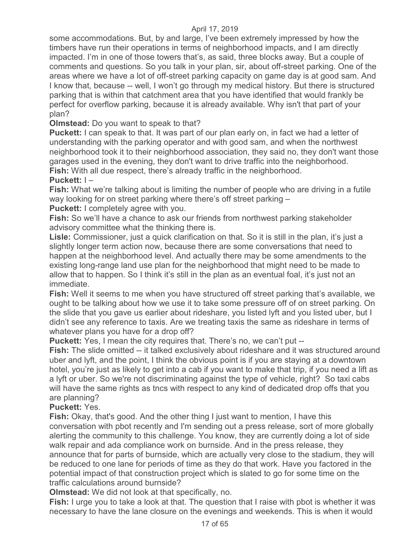some accommodations. But, by and large, I've been extremely impressed by how the timbers have run their operations in terms of neighborhood impacts, and I am directly impacted. I'm in one of those towers that's, as said, three blocks away. But a couple of comments and questions. So you talk in your plan, sir, about off-street parking. One of the areas where we have a lot of off-street parking capacity on game day is at good sam. And I know that, because -- well, I won't go through my medical history. But there is structured parking that is within that catchment area that you have identified that would frankly be perfect for overflow parking, because it is already available. Why isn't that part of your plan?

**Olmstead:** Do you want to speak to that?

**Puckett:** I can speak to that. It was part of our plan early on, in fact we had a letter of understanding with the parking operator and with good sam, and when the northwest neighborhood took it to their neighborhood association, they said no, they don't want those garages used in the evening, they don't want to drive traffic into the neighborhood. **Fish:** With all due respect, there's already traffic in the neighborhood.

## **Puckett:** I –

**Fish:** What we're talking about is limiting the number of people who are driving in a futile way looking for on street parking where there's off street parking –

**Puckett:** I completely agree with you.

**Fish:** So we'll have a chance to ask our friends from northwest parking stakeholder advisory committee what the thinking there is.

**Lisle:** Commissioner, just a quick clarification on that. So it is still in the plan, it's just a slightly longer term action now, because there are some conversations that need to happen at the neighborhood level. And actually there may be some amendments to the existing long-range land use plan for the neighborhood that might need to be made to allow that to happen. So I think it's still in the plan as an eventual foal, it's just not an immediate.

**Fish:** Well it seems to me when you have structured off street parking that's available, we ought to be talking about how we use it to take some pressure off of on street parking. On the slide that you gave us earlier about rideshare, you listed lyft and you listed uber, but I didn't see any reference to taxis. Are we treating taxis the same as rideshare in terms of whatever plans you have for a drop off?

**Puckett:** Yes, I mean the city requires that. There's no, we can't put --

**Fish:** The slide omitted -- it talked exclusively about rideshare and it was structured around uber and lyft, and the point, I think the obvious point is if you are staying at a downtown hotel, you're just as likely to get into a cab if you want to make that trip, if you need a lift as a lyft or uber. So we're not discriminating against the type of vehicle, right? So taxi cabs will have the same rights as tncs with respect to any kind of dedicated drop offs that you are planning?

#### **Puckett:** Yes.

**Fish:** Okay, that's good. And the other thing I just want to mention, I have this conversation with pbot recently and I'm sending out a press release, sort of more globally alerting the community to this challenge. You know, they are currently doing a lot of side walk repair and ada compliance work on burnside. And in the press release, they announce that for parts of burnside, which are actually very close to the stadium, they will be reduced to one lane for periods of time as they do that work. Have you factored in the potential impact of that construction project which is slated to go for some time on the traffic calculations around burnside?

**Olmstead:** We did not look at that specifically, no.

**Fish:** I urge you to take a look at that. The question that I raise with pbot is whether it was necessary to have the lane closure on the evenings and weekends. This is when it would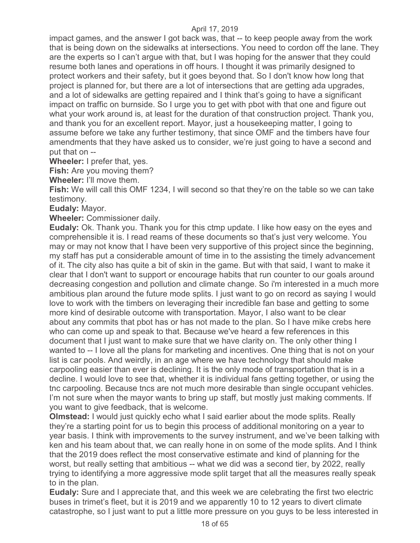impact games, and the answer I got back was, that -- to keep people away from the work that is being down on the sidewalks at intersections. You need to cordon off the lane. They are the experts so I can't argue with that, but I was hoping for the answer that they could resume both lanes and operations in off hours. I thought it was primarily designed to protect workers and their safety, but it goes beyond that. So I don't know how long that project is planned for, but there are a lot of intersections that are getting ada upgrades, and a lot of sidewalks are getting repaired and I think that's going to have a significant impact on traffic on burnside. So I urge you to get with pbot with that one and figure out what your work around is, at least for the duration of that construction project. Thank you, and thank you for an excellent report. Mayor, just a housekeeping matter, I going to assume before we take any further testimony, that since OMF and the timbers have four amendments that they have asked us to consider, we're just going to have a second and put that on --

**Wheeler:** I prefer that, yes.

**Fish:** Are you moving them?

**Wheeler:** I'll move them.

**Fish:** We will call this OMF 1234, I will second so that they're on the table so we can take testimony.

**Eudaly:** Mayor.

**Wheeler:** Commissioner daily.

**Eudaly:** Ok. Thank you. Thank you for this ctmp update. I like how easy on the eyes and comprehensible it is. I read reams of these documents so that's just very welcome. You may or may not know that I have been very supportive of this project since the beginning, my staff has put a considerable amount of time in to the assisting the timely advancement of it. The city also has quite a bit of skin in the game. But with that said, I want to make it clear that I don't want to support or encourage habits that run counter to our goals around decreasing congestion and pollution and climate change. So i'm interested in a much more ambitious plan around the future mode splits. I just want to go on record as saying I would love to work with the timbers on leveraging their incredible fan base and getting to some more kind of desirable outcome with transportation. Mayor, I also want to be clear about any commits that pbot has or has not made to the plan. So I have mike crebs here who can come up and speak to that. Because we've heard a few references in this document that I just want to make sure that we have clarity on. The only other thing I wanted to -- I love all the plans for marketing and incentives. One thing that is not on your list is car pools. And weirdly, in an age where we have technology that should make carpooling easier than ever is declining. It is the only mode of transportation that is in a decline. I would love to see that, whether it is individual fans getting together, or using the tnc carpooling. Because tncs are not much more desirable than single occupant vehicles. I'm not sure when the mayor wants to bring up staff, but mostly just making comments. If you want to give feedback, that is welcome.

**Olmstead:** I would just quickly echo what I said earlier about the mode splits. Really they're a starting point for us to begin this process of additional monitoring on a year to year basis. I think with improvements to the survey instrument, and we've been talking with ken and his team about that, we can really hone in on some of the mode splits. And I think that the 2019 does reflect the most conservative estimate and kind of planning for the worst, but really setting that ambitious -- what we did was a second tier, by 2022, really trying to identifying a more aggressive mode split target that all the measures really speak to in the plan.

**Eudaly:** Sure and I appreciate that, and this week we are celebrating the first two electric buses in trimet's fleet, but it is 2019 and we apparently 10 to 12 years to divert climate catastrophe, so I just want to put a little more pressure on you guys to be less interested in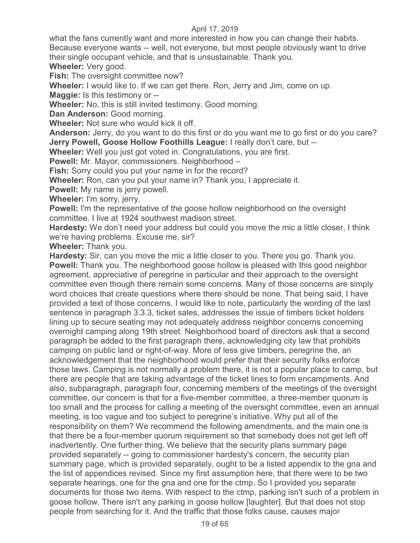what the fans currently want and more interested in how you can change their habits. Because everyone wants -- well, not everyone, but most people obviously want to drive their single occupant vehicle, and that is unsustainable. Thank you.

**Wheeler:** Very good.

**Fish:** The oversight committee now?

**Wheeler:** I would like to. If we can get there. Ron, Jerry and Jim, come on up.

**Maggie:** Is this testimony or --

**Wheeler:** No, this is still invited testimony. Good morning.

**Dan Anderson:** Good morning.

**Wheeler:** Not sure who would kick it off.

**Anderson:** Jerry, do you want to do this first or do you want me to go first or do you care? **Jerry Powell, Goose Hollow Foothills League:** I really don't care, but --

**Wheeler:** Well you just got voted in. Congratulations, you are first.

**Powell:** Mr. Mayor, commissioners. Neighborhood –

**Fish:** Sorry could you put your name in for the record?

**Wheeler:** Ron, can you put your name in? Thank you, I appreciate it.

**Powell:** My name is jerry powell.

**Wheeler:** I'm sorry, jerry.

**Powell:** I'm the representative of the goose hollow neighborhood on the oversight committee. I live at 1924 southwest madison street.

**Hardesty:** We don't need your address but could you move the mic a little closer, I think we're having problems. Excuse me, sir?

**Wheeler:** Thank you.

**Hardesty:** Sir, can you move the mic a little closer to you. There you go. Thank you. **Powell:** Thank you. The neighborhood goose hollow is pleased with this good neighbor agreement, appreciative of peregrine in particular and their approach to the oversight committee even though there remain some concerns. Many of those concerns are simply word choices that create questions where there should be none. That being said, I have provided a text of those concerns. I would like to note, particularly the wording of the last sentence in paragraph 3.3.3, ticket sales, addresses the issue of timbers ticket holders lining up to secure seating may not adequately address neighbor concerns concerning overnight camping along 19th street. Neighborhood board of directors ask that a second paragraph be added to the first paragraph there, acknowledging city law that prohibits camping on public land or right-of-way. More of less give timbers, peregrine the, an acknowledgement that the neighborhood would prefer that their security folks enforce those laws. Camping is not normally a problem there, it is not a popular place to camp, but there are people that are taking advantage of the ticket lines to form encampments. And also, subparagraph, paragraph four, concerning members of the meetings of the oversight committee, our concern is that for a five-member committee, a three-member quorum is too small and the process for calling a meeting of the oversight committee, even an annual meeting, is too vague and too subject to peregrine's initiative. Why put all of the responsibility on them? We recommend the following amendments, and the main one is that there be a four-member quorum requirement so that somebody does not get left off inadvertently. One further thing. We believe that the security plans summary page provided separately -- going to commissioner hardesty's concern, the security plan summary page, which is provided separately, ought to be a listed appendix to the gna and the list of appendices revised. Since my first assumption here, that there were to be two separate hearings, one for the gna and one for the ctmp. So I provided you separate documents for those two items. With respect to the ctmp, parking isn't such of a problem in goose hollow. There isn't any parking in goose hollow [laughter]. But that does not stop people from searching for it. And the traffic that those folks cause, causes major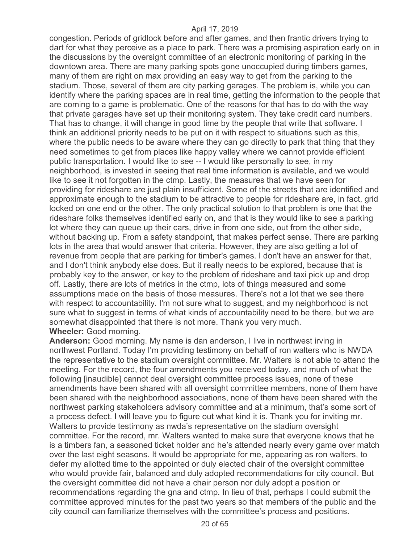congestion. Periods of gridlock before and after games, and then frantic drivers trying to dart for what they perceive as a place to park. There was a promising aspiration early on in the discussions by the oversight committee of an electronic monitoring of parking in the downtown area. There are many parking spots gone unoccupied during timbers games, many of them are right on max providing an easy way to get from the parking to the stadium. Those, several of them are city parking garages. The problem is, while you can identify where the parking spaces are in real time, getting the information to the people that are coming to a game is problematic. One of the reasons for that has to do with the way that private garages have set up their monitoring system. They take credit card numbers. That has to change, it will change in good time by the people that write that software. I think an additional priority needs to be put on it with respect to situations such as this, where the public needs to be aware where they can go directly to park that thing that they need sometimes to get from places like happy valley where we cannot provide efficient public transportation. I would like to see -- I would like personally to see, in my neighborhood, is invested in seeing that real time information is available, and we would like to see it not forgotten in the ctmp. Lastly, the measures that we have seen for providing for rideshare are just plain insufficient. Some of the streets that are identified and approximate enough to the stadium to be attractive to people for rideshare are, in fact, grid locked on one end or the other. The only practical solution to that problem is one that the rideshare folks themselves identified early on, and that is they would like to see a parking lot where they can queue up their cars, drive in from one side, out from the other side, without backing up. From a safety standpoint, that makes perfect sense. There are parking lots in the area that would answer that criteria. However, they are also getting a lot of revenue from people that are parking for timber's games. I don't have an answer for that, and I don't think anybody else does. But it really needs to be explored, because that is probably key to the answer, or key to the problem of rideshare and taxi pick up and drop off. Lastly, there are lots of metrics in the ctmp, lots of things measured and some assumptions made on the basis of those measures. There's not a lot that we see there with respect to accountability. I'm not sure what to suggest, and my neighborhood is not sure what to suggest in terms of what kinds of accountability need to be there, but we are somewhat disappointed that there is not more. Thank you very much. **Wheeler:** Good morning.

**Anderson:** Good morning. My name is dan anderson, I live in northwest irving in northwest Portland. Today I'm providing testimony on behalf of ron walters who is NWDA the representative to the stadium oversight committee. Mr. Walters is not able to attend the meeting. For the record, the four amendments you received today, and much of what the following [inaudible] cannot deal oversight committee process issues, none of these amendments have been shared with all oversight committee members, none of them have been shared with the neighborhood associations, none of them have been shared with the northwest parking stakeholders advisory committee and at a minimum, that's some sort of a process defect. I will leave you to figure out what kind it is. Thank you for inviting mr. Walters to provide testimony as nwda's representative on the stadium oversight committee. For the record, mr. Walters wanted to make sure that everyone knows that he is a timbers fan, a seasoned ticket holder and he's attended nearly every game over match over the last eight seasons. It would be appropriate for me, appearing as ron walters, to defer my allotted time to the appointed or duly elected chair of the oversight committee who would provide fair, balanced and duly adopted recommendations for city council. But the oversight committee did not have a chair person nor duly adopt a position or recommendations regarding the gna and ctmp. In lieu of that, perhaps I could submit the committee approved minutes for the past two years so that members of the public and the city council can familiarize themselves with the committee's process and positions.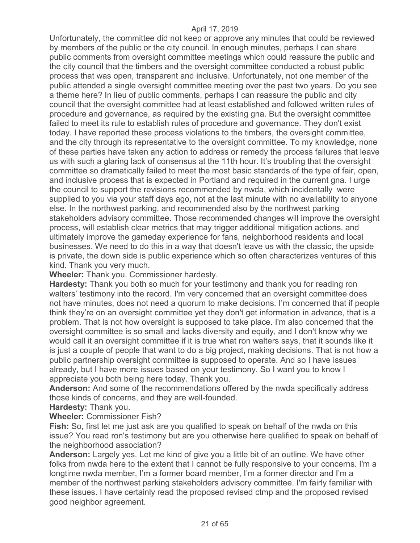Unfortunately, the committee did not keep or approve any minutes that could be reviewed by members of the public or the city council. In enough minutes, perhaps I can share public comments from oversight committee meetings which could reassure the public and the city council that the timbers and the oversight committee conducted a robust public process that was open, transparent and inclusive. Unfortunately, not one member of the public attended a single oversight committee meeting over the past two years. Do you see a theme here? In lieu of public comments, perhaps I can reassure the public and city council that the oversight committee had at least established and followed written rules of procedure and governance, as required by the existing gna. But the oversight committee failed to meet its rule to establish rules of procedure and governance. They don't exist today. I have reported these process violations to the timbers, the oversight committee, and the city through its representative to the oversight committee. To my knowledge, none of these parties have taken any action to address or remedy the process failures that leave us with such a glaring lack of consensus at the 11th hour. It's troubling that the oversight committee so dramatically failed to meet the most basic standards of the type of fair, open, and inclusive process that is expected in Portland and required in the current gna. I urge the council to support the revisions recommended by nwda, which incidentally were supplied to you via your staff days ago, not at the last minute with no availability to anyone else. In the northwest parking, and recommended also by the northwest parking stakeholders advisory committee. Those recommended changes will improve the oversight process, will establish clear metrics that may trigger additional mitigation actions, and ultimately improve the gameday experience for fans, neighborhood residents and local businesses. We need to do this in a way that doesn't leave us with the classic, the upside is private, the down side is public experience which so often characterizes ventures of this kind. Thank you very much.

**Wheeler:** Thank you. Commissioner hardesty.

**Hardesty:** Thank you both so much for your testimony and thank you for reading ron walters' testimony into the record. I'm very concerned that an oversight committee does not have minutes, does not need a quorum to make decisions. I'm concerned that if people think they're on an oversight committee yet they don't get information in advance, that is a problem. That is not how oversight is supposed to take place. I'm also concerned that the oversight committee is so small and lacks diversity and equity, and I don't know why we would call it an oversight committee if it is true what ron walters says, that it sounds like it is just a couple of people that want to do a big project, making decisions. That is not how a public partnership oversight committee is supposed to operate. And so I have issues already, but I have more issues based on your testimony. So I want you to know I appreciate you both being here today. Thank you.

**Anderson:** And some of the recommendations offered by the nwda specifically address those kinds of concerns, and they are well-founded.

**Hardesty:** Thank you.

**Wheeler:** Commissioner Fish?

**Fish:** So, first let me just ask are you qualified to speak on behalf of the nwda on this issue? You read ron's testimony but are you otherwise here qualified to speak on behalf of the neighborhood association?

**Anderson:** Largely yes. Let me kind of give you a little bit of an outline. We have other folks from nwda here to the extent that I cannot be fully responsive to your concerns. I'm a longtime nwda member, I'm a former board member, I'm a former director and I'm a member of the northwest parking stakeholders advisory committee. I'm fairly familiar with these issues. I have certainly read the proposed revised ctmp and the proposed revised good neighbor agreement.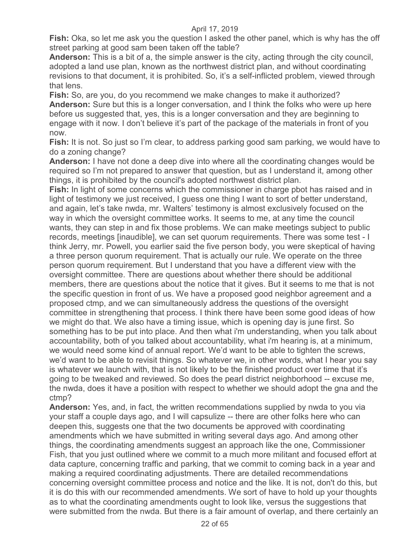**Fish:** Oka, so let me ask you the question I asked the other panel, which is why has the off street parking at good sam been taken off the table?

**Anderson:** This is a bit of a, the simple answer is the city, acting through the city council, adopted a land use plan, known as the northwest district plan, and without coordinating revisions to that document, it is prohibited. So, it's a self-inflicted problem, viewed through that lens.

**Fish:** So, are you, do you recommend we make changes to make it authorized? **Anderson:** Sure but this is a longer conversation, and I think the folks who were up here before us suggested that, yes, this is a longer conversation and they are beginning to engage with it now. I don't believe it's part of the package of the materials in front of you now.

**Fish:** It is not. So just so I'm clear, to address parking good sam parking, we would have to do a zoning change?

**Anderson:** I have not done a deep dive into where all the coordinating changes would be required so I'm not prepared to answer that question, but as I understand it, among other things, it is prohibited by the council's adopted northwest district plan.

**Fish:** In light of some concerns which the commissioner in charge pbot has raised and in light of testimony we just received, I guess one thing I want to sort of better understand, and again, let's take nwda, mr. Walters' testimony is almost exclusively focused on the way in which the oversight committee works. It seems to me, at any time the council wants, they can step in and fix those problems. We can make meetings subject to public records, meetings [inaudible], we can set quorum requirements. There was some test - I think Jerry, mr. Powell, you earlier said the five person body, you were skeptical of having a three person quorum requirement. That is actually our rule. We operate on the three person quorum requirement. But I understand that you have a different view with the oversight committee. There are questions about whether there should be additional members, there are questions about the notice that it gives. But it seems to me that is not the specific question in front of us. We have a proposed good neighbor agreement and a proposed ctmp, and we can simultaneously address the questions of the oversight committee in strengthening that process. I think there have been some good ideas of how we might do that. We also have a timing issue, which is opening day is june first. So something has to be put into place. And then what i'm understanding, when you talk about accountability, both of you talked about accountability, what i'm hearing is, at a minimum, we would need some kind of annual report. We'd want to be able to tighten the screws, we'd want to be able to revisit things. So whatever we, in other words, what I hear you say is whatever we launch with, that is not likely to be the finished product over time that it's going to be tweaked and reviewed. So does the pearl district neighborhood -- excuse me, the nwda, does it have a position with respect to whether we should adopt the gna and the ctmp?

**Anderson:** Yes, and, in fact, the written recommendations supplied by nwda to you via your staff a couple days ago, and I will capsulize -- there are other folks here who can deepen this, suggests one that the two documents be approved with coordinating amendments which we have submitted in writing several days ago. And among other things, the coordinating amendments suggest an approach like the one, Commissioner Fish, that you just outlined where we commit to a much more militant and focused effort at data capture, concerning traffic and parking, that we commit to coming back in a year and making a required coordinating adjustments. There are detailed recommendations concerning oversight committee process and notice and the like. It is not, don't do this, but it is do this with our recommended amendments. We sort of have to hold up your thoughts as to what the coordinating amendments ought to look like, versus the suggestions that were submitted from the nwda. But there is a fair amount of overlap, and there certainly an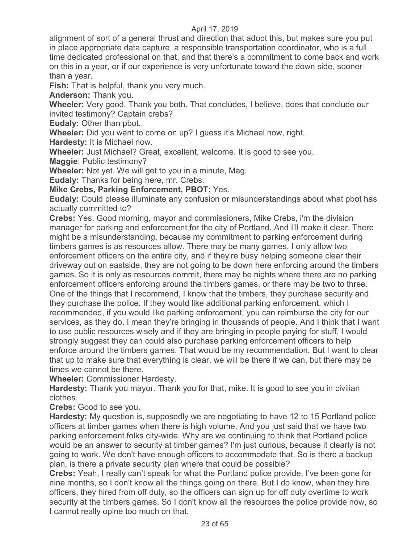alignment of sort of a general thrust and direction that adopt this, but makes sure you put in place appropriate data capture, a responsible transportation coordinator, who is a full time dedicated professional on that, and that there's a commitment to come back and work on this in a year, or if our experience is very unfortunate toward the down side, sooner than a year.

**Fish:** That is helpful, thank you very much.

**Anderson:** Thank you.

**Wheeler:** Very good. Thank you both. That concludes, I believe, does that conclude our invited testimony? Captain crebs?

**Eudaly:** Other than pbot.

**Wheeler:** Did you want to come on up? I guess it's Michael now, right.

**Hardesty:** It is Michael now.

**Wheeler:** Just Michael? Great, excellent, welcome. It is good to see you.

**Maggie**: Public testimony?

**Wheeler:** Not yet. We will get to you in a minute, Mag.

**Eudaly:** Thanks for being here, mr. Crebs.

**Mike Crebs, Parking Enforcement, PBOT:** Yes.

**Eudaly:** Could please illuminate any confusion or misunderstandings about what pbot has actually committed to?

**Crebs:** Yes. Good morning, mayor and commissioners, Mike Crebs, i'm the division manager for parking and enforcement for the city of Portland. And I'll make it clear. There might be a misunderstanding, because my commitment to parking enforcement during timbers games is as resources allow. There may be many games, I only allow two enforcement officers on the entire city, and if they're busy helping someone clear their driveway out on eastside, they are not going to be down here enforcing around the timbers games. So it is only as resources commit, there may be nights where there are no parking enforcement officers enforcing around the timbers games, or there may be two to three. One of the things that I recommend, I know that the timbers, they purchase security and they purchase the police. If they would like additional parking enforcement, which I recommended, if you would like parking enforcement, you can reimburse the city for our services, as they do. I mean they're bringing in thousands of people. And I think that I want to use public resources wisely and if they are bringing in people paying for stuff, I would strongly suggest they can could also purchase parking enforcement officers to help enforce around the timbers games. That would be my recommendation. But I want to clear that up to make sure that everything is clear, we will be there if we can, but there may be times we cannot be there.

**Wheeler:** Commissioner Hardesty.

**Hardesty:** Thank you mayor. Thank you for that, mike. It is good to see you in civilian clothes.

**Crebs:** Good to see you.

**Hardesty:** My question is, supposedly we are negotiating to have 12 to 15 Portland police officers at timber games when there is high volume. And you just said that we have two parking enforcement folks city-wide. Why are we continuing to think that Portland police would be an answer to security at timber games? I'm just curious, because it clearly is not going to work. We don't have enough officers to accommodate that. So is there a backup plan, is there a private security plan where that could be possible?

**Crebs:** Yeah, I really can't speak for what the Portland police provide, I've been gone for nine months, so I don't know all the things going on there. But I do know, when they hire officers, they hired from off duty, so the officers can sign up for off duty overtime to work security at the timbers games. So I don't know all the resources the police provide now, so I cannot really opine too much on that.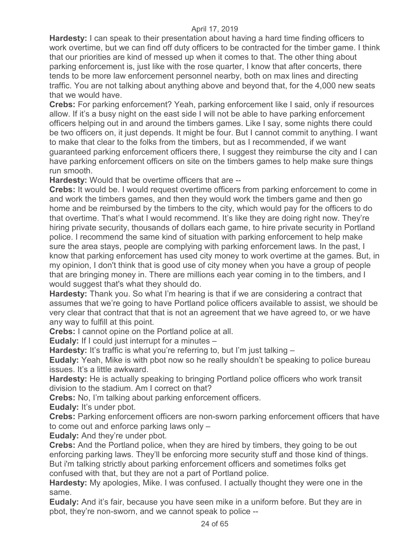**Hardesty:** I can speak to their presentation about having a hard time finding officers to work overtime, but we can find off duty officers to be contracted for the timber game. I think that our priorities are kind of messed up when it comes to that. The other thing about parking enforcement is, just like with the rose quarter, I know that after concerts, there tends to be more law enforcement personnel nearby, both on max lines and directing traffic. You are not talking about anything above and beyond that, for the 4,000 new seats that we would have.

**Crebs:** For parking enforcement? Yeah, parking enforcement like I said, only if resources allow. If it's a busy night on the east side I will not be able to have parking enforcement officers helping out in and around the timbers games. Like I say, some nights there could be two officers on, it just depends. It might be four. But I cannot commit to anything. I want to make that clear to the folks from the timbers, but as I recommended, if we want guaranteed parking enforcement officers there, I suggest they reimburse the city and I can have parking enforcement officers on site on the timbers games to help make sure things run smooth.

**Hardesty:** Would that be overtime officers that are --

**Crebs:** It would be. I would request overtime officers from parking enforcement to come in and work the timbers games, and then they would work the timbers game and then go home and be reimbursed by the timbers to the city, which would pay for the officers to do that overtime. That's what I would recommend. It's like they are doing right now. They're hiring private security, thousands of dollars each game, to hire private security in Portland police. I recommend the same kind of situation with parking enforcement to help make sure the area stays, people are complying with parking enforcement laws. In the past, I know that parking enforcement has used city money to work overtime at the games. But, in my opinion, I don't think that is good use of city money when you have a group of people that are bringing money in. There are millions each year coming in to the timbers, and I would suggest that's what they should do.

**Hardesty:** Thank you. So what I'm hearing is that if we are considering a contract that assumes that we're going to have Portland police officers available to assist, we should be very clear that contract that that is not an agreement that we have agreed to, or we have any way to fulfill at this point.

**Crebs:** I cannot opine on the Portland police at all.

**Eudaly:** If I could just interrupt for a minutes –

**Hardesty:** It's traffic is what you're referring to, but I'm just talking –

**Eudaly:** Yeah, Mike is with pbot now so he really shouldn't be speaking to police bureau issues. It's a little awkward.

**Hardesty:** He is actually speaking to bringing Portland police officers who work transit division to the stadium. Am I correct on that?

**Crebs:** No, I'm talking about parking enforcement officers.

**Eudaly:** It's under pbot.

**Crebs:** Parking enforcement officers are non-sworn parking enforcement officers that have to come out and enforce parking laws only –

**Eudaly:** And they're under pbot.

**Crebs:** And the Portland police, when they are hired by timbers, they going to be out enforcing parking laws. They'll be enforcing more security stuff and those kind of things. But i'm talking strictly about parking enforcement officers and sometimes folks get confused with that, but they are not a part of Portland police.

**Hardesty:** My apologies, Mike. I was confused. I actually thought they were one in the same.

**Eudaly:** And it's fair, because you have seen mike in a uniform before. But they are in pbot, they're non-sworn, and we cannot speak to police --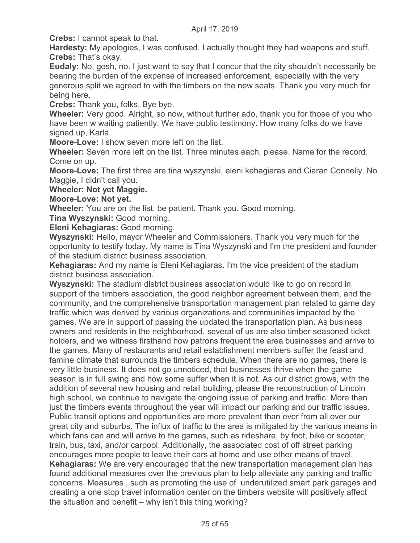**Crebs:** I cannot speak to that.

**Hardesty:** My apologies, I was confused. I actually thought they had weapons and stuff. **Crebs:** That's okay.

**Eudaly:** No, gosh, no. I just want to say that I concur that the city shouldn't necessarily be bearing the burden of the expense of increased enforcement, especially with the very generous split we agreed to with the timbers on the new seats. Thank you very much for being here.

**Crebs:** Thank you, folks. Bye bye.

**Wheeler:** Very good. Alright, so now, without further ado, thank you for those of you who have been w waiting patiently. We have public testimony. How many folks do we have signed up. Karla.

**Moore-Love:** I show seven more left on the list.

**Wheeler:** Seven more left on the list. Three minutes each, please. Name for the record. Come on up.

**Moore-Love:** The first three are tina wyszynski, eleni kehagiaras and Ciaran Connelly. No Maggie, I didn't call you.

**Wheeler: Not yet Maggie.** 

## **Moore-Love: Not yet.**

**Wheeler:** You are on the list, be patient. Thank you. Good morning.

**Tina Wyszynski:** Good morning.

**Eleni Kehagiaras:** Good morning.

**Wyszynski:** Hello, mayor Wheeler and Commissioners. Thank you very much for the opportunity to testify today. My name is Tina Wyszynski and I'm the president and founder of the stadium district business association.

**Kehagiaras:** And my name is Eleni Kehagiaras. I'm the vice president of the stadium district business association.

**Wyszynski:** The stadium district business association would like to go on record in support of the timbers association, the good neighbor agreement between them, and the community, and the comprehensive transportation management plan related to game day traffic which was derived by various organizations and communities impacted by the games. We are in support of passing the updated the transportation plan. As business owners and residents in the neighborhood, several of us are also timber seasoned ticket holders, and we witness firsthand how patrons frequent the area businesses and arrive to the games. Many of restaurants and retail establishment members suffer the feast and famine climate that surrounds the timbers schedule. When there are no games, there is very little business. It does not go unnoticed, that businesses thrive when the game season is in full swing and how some suffer when it is not. As our district grows, with the addition of several new housing and retail building, please the reconstruction of Lincoln high school, we continue to navigate the ongoing issue of parking and traffic. More than just the timbers events throughout the year will impact our parking and our traffic issues. Public transit options and opportunities are more prevalent than ever from all over our great city and suburbs. The influx of traffic to the area is mitigated by the various means in which fans can and will arrive to the games, such as rideshare, by foot, bike or scooter, train, bus, taxi, and/or carpool. Additionally, the associated cost of off street parking encourages more people to leave their cars at home and use other means of travel. **Kehagiaras:** We are very encouraged that the new transportation management plan has found additional measures over the previous plan to help alleviate any parking and traffic concerns. Measures , such as promoting the use of underutilized smart park garages and creating a one stop travel information center on the timbers website will positively affect the situation and benefit – why isn't this thing working?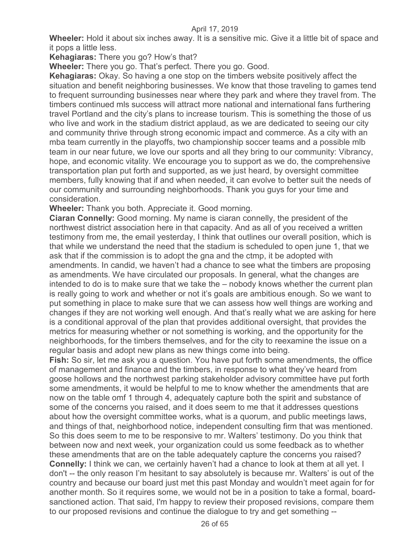**Wheeler:** Hold it about six inches away. It is a sensitive mic. Give it a little bit of space and it pops a little less.

**Kehagiaras:** There you go? How's that?

**Wheeler:** There you go. That's perfect. There you go. Good.

**Kehagiaras:** Okay. So having a one stop on the timbers website positively affect the situation and benefit neighboring businesses. We know that those traveling to games tend to frequent surrounding businesses near where they park and where they travel from. The timbers continued mls success will attract more national and international fans furthering travel Portland and the city's plans to increase tourism. This is something the those of us who live and work in the stadium district applaud, as we are dedicated to seeing our city and community thrive through strong economic impact and commerce. As a city with an mba team currently in the playoffs, two championship soccer teams and a possible mlb team in our near future, we love our sports and all they bring to our community: Vibrancy, hope, and economic vitality. We encourage you to support as we do, the comprehensive transportation plan put forth and supported, as we just heard, by oversight committee members, fully knowing that if and when needed, it can evolve to better suit the needs of our community and surrounding neighborhoods. Thank you guys for your time and consideration.

**Wheeler:** Thank you both. Appreciate it. Good morning.

**Ciaran Connelly:** Good morning. My name is ciaran connelly, the president of the northwest district association here in that capacity. And as all of you received a written testimony from me, the email yesterday, I think that outlines our overall position, which is that while we understand the need that the stadium is scheduled to open june 1, that we ask that if the commission is to adopt the gna and the ctmp, it be adopted with amendments. In candid, we haven't had a chance to see what the timbers are proposing as amendments. We have circulated our proposals. In general, what the changes are intended to do is to make sure that we take the – nobody knows whether the current plan is really going to work and whether or not it's goals are ambitious enough. So we want to put something in place to make sure that we can assess how well things are working and changes if they are not working well enough. And that's really what we are asking for here is a conditional approval of the plan that provides additional oversight, that provides the metrics for measuring whether or not something is working, and the opportunity for the neighborhoods, for the timbers themselves, and for the city to reexamine the issue on a regular basis and adopt new plans as new things come into being.

**Fish:** So sir, let me ask you a question. You have put forth some amendments, the office of management and finance and the timbers, in response to what they've heard from goose hollows and the northwest parking stakeholder advisory committee have put forth some amendments, it would be helpful to me to know whether the amendments that are now on the table omf 1 through 4, adequately capture both the spirit and substance of some of the concerns you raised, and it does seem to me that it addresses questions about how the oversight committee works, what is a quorum, and public meetings laws, and things of that, neighborhood notice, independent consulting firm that was mentioned. So this does seem to me to be responsive to mr. Walters' testimony. Do you think that between now and next week, your organization could us some feedback as to whether these amendments that are on the table adequately capture the concerns you raised? **Connelly:** I think we can, we certainly haven't had a chance to look at them at all yet. I don't -- the only reason I'm hesitant to say absolutely is because mr. Walters' is out of the country and because our board just met this past Monday and wouldn't meet again for for another month. So it requires some, we would not be in a position to take a formal, boardsanctioned action. That said, I'm happy to review their proposed revisions, compare them to our proposed revisions and continue the dialogue to try and get something --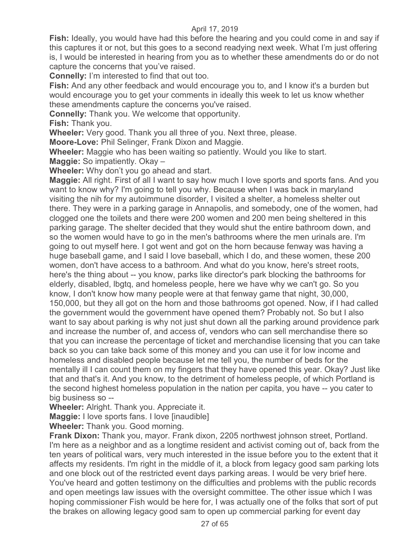**Fish:** Ideally, you would have had this before the hearing and you could come in and say if this captures it or not, but this goes to a second readying next week. What I'm just offering is, I would be interested in hearing from you as to whether these amendments do or do not capture the concerns that you've raised.

**Connelly:** I'm interested to find that out too.

**Fish:** And any other feedback and would encourage you to, and I know it's a burden but would encourage you to get your comments in ideally this week to let us know whether these amendments capture the concerns you've raised.

**Connelly:** Thank you. We welcome that opportunity.

**Fish:** Thank you.

**Wheeler:** Very good. Thank you all three of you. Next three, please.

**Moore-Love:** Phil Selinger, Frank Dixon and Maggie.

**Wheeler:** Maggie who has been waiting so patiently. Would you like to start.

**Maggie:** So impatiently. Okay –

**Wheeler:** Why don't you go ahead and start.

**Maggie:** All right. First of all I want to say how much I love sports and sports fans. And you want to know why? I'm going to tell you why. Because when I was back in maryland visiting the nih for my autoimmune disorder, I visited a shelter, a homeless shelter out there. They were in a parking garage in Annapolis, and somebody, one of the women, had clogged one the toilets and there were 200 women and 200 men being sheltered in this parking garage. The shelter decided that they would shut the entire bathroom down, and so the women would have to go in the men's bathrooms where the men urinals are. I'm going to out myself here. I got went and got on the horn because fenway was having a huge baseball game, and I said I love baseball, which I do, and these women, these 200 women, don't have access to a bathroom. And what do you know, here's street roots, here's the thing about -- you know, parks like director's park blocking the bathrooms for elderly, disabled, lbgtq, and homeless people, here we have why we can't go. So you know, I don't know how many people were at that fenway game that night, 30,000, 150,000, but they all got on the horn and those bathrooms got opened. Now, if I had called the government would the government have opened them? Probably not. So but I also want to say about parking is why not just shut down all the parking around providence park and increase the number of, and access of, vendors who can sell merchandise there so that you can increase the percentage of ticket and merchandise licensing that you can take back so you can take back some of this money and you can use it for low income and homeless and disabled people because let me tell you, the number of beds for the mentally ill I can count them on my fingers that they have opened this year. Okay? Just like that and that's it. And you know, to the detriment of homeless people, of which Portland is the second highest homeless population in the nation per capita, you have -- you cater to big business so --

**Wheeler:** Alright. Thank you. Appreciate it.

**Maggie:** I love sports fans. I love [inaudible]

**Wheeler:** Thank you. Good morning.

**Frank Dixon:** Thank you, mayor. Frank dixon, 2205 northwest johnson street, Portland. I'm here as a neighbor and as a longtime resident and activist coming out of, back from the ten years of political wars, very much interested in the issue before you to the extent that it affects my residents. I'm right in the middle of it, a block from legacy good sam parking lots and one block out of the restricted event days parking areas. I would be very brief here. You've heard and gotten testimony on the difficulties and problems with the public records and open meetings law issues with the oversight committee. The other issue which I was hoping commissioner Fish would be here for, I was actually one of the folks that sort of put the brakes on allowing legacy good sam to open up commercial parking for event day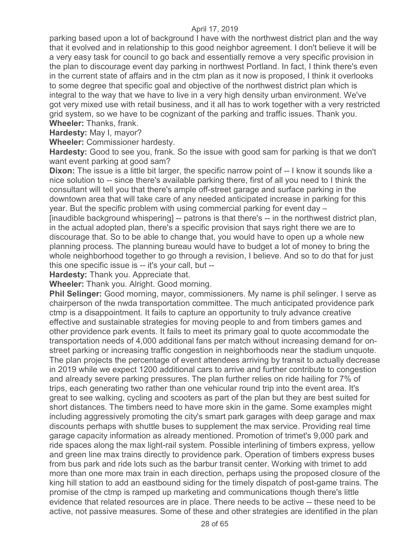parking based upon a lot of background I have with the northwest district plan and the way that it evolved and in relationship to this good neighbor agreement. I don't believe it will be a very easy task for council to go back and essentially remove a very specific provision in the plan to discourage event day parking in northwest Portland. In fact, I think there's even in the current state of affairs and in the ctm plan as it now is proposed, I think it overlooks to some degree that specific goal and objective of the northwest district plan which is integral to the way that we have to live in a very high density urban environment. We've got very mixed use with retail business, and it all has to work together with a very restricted grid system, so we have to be cognizant of the parking and traffic issues. Thank you. **Wheeler:** Thanks, frank.

**Hardesty:** May I, mayor?

**Wheeler:** Commissioner hardesty.

**Hardesty:** Good to see you, frank. So the issue with good sam for parking is that we don't want event parking at good sam?

**Dixon:** The issue is a little bit larger, the specific narrow point of -- I know it sounds like a nice solution to -- since there's available parking there, first of all you need to I think the consultant will tell you that there's ample off-street garage and surface parking in the downtown area that will take care of any needed anticipated increase in parking for this year. But the specific problem with using commercial parking for event day – [inaudible background whispering] -- patrons is that there's -- in the northwest district plan, in the actual adopted plan, there's a specific provision that says right there we are to discourage that. So to be able to change that, you would have to open up a whole new planning process. The planning bureau would have to budget a lot of money to bring the whole neighborhood together to go through a revision, I believe. And so to do that for just this one specific issue is -- it's your call, but --

**Hardesty:** Thank you. Appreciate that.

**Wheeler:** Thank you. Alright. Good morning.

**Phil Selinger:** Good morning, mayor, commissioners. My name is phil selinger. I serve as chairperson of the nwda transportation committee. The much anticipated providence park ctmp is a disappointment. It fails to capture an opportunity to truly advance creative effective and sustainable strategies for moving people to and from timbers games and other providence park events. It fails to meet its primary goal to quote accommodate the transportation needs of 4,000 additional fans per match without increasing demand for onstreet parking or increasing traffic congestion in neighborhoods near the stadium unquote. The plan projects the percentage of event attendees arriving by transit to actually decrease in 2019 while we expect 1200 additional cars to arrive and further contribute to congestion and already severe parking pressures. The plan further relies on ride hailing for 7% of trips, each generating two rather than one vehicular round trip into the event area. It's great to see walking, cycling and scooters as part of the plan but they are best suited for short distances. The timbers need to have more skin in the game. Some examples might including aggressively promoting the city's smart park garages with deep garage and max discounts perhaps with shuttle buses to supplement the max service. Providing real time garage capacity information as already mentioned. Promotion of trimet's 9,000 park and ride spaces along the max light-rail system. Possible interlining of timbers express, yellow and green line max trains directly to providence park. Operation of timbers express buses from bus park and ride lots such as the barbur transit center. Working with trimet to add more than one more max train in each direction, perhaps using the proposed closure of the king hill station to add an eastbound siding for the timely dispatch of post-game trains. The promise of the ctmp is ramped up marketing and communications though there's little evidence that related resources are in place. There needs to be active -- these need to be active, not passive measures. Some of these and other strategies are identified in the plan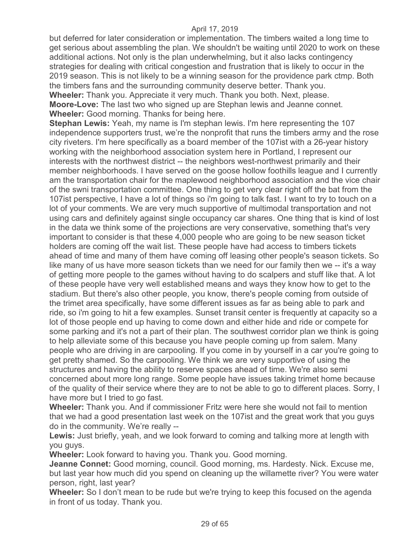but deferred for later consideration or implementation. The timbers waited a long time to get serious about assembling the plan. We shouldn't be waiting until 2020 to work on these additional actions. Not only is the plan underwhelming, but it also lacks contingency strategies for dealing with critical congestion and frustration that is likely to occur in the 2019 season. This is not likely to be a winning season for the providence park ctmp. Both the timbers fans and the surrounding community deserve better. Thank you. **Wheeler:** Thank you. Appreciate it very much. Thank you both. Next, please. **Moore-Love:** The last two who signed up are Stephan lewis and Jeanne connet. **Wheeler:** Good morning. Thanks for being here.

**Stephan Lewis:** Yeah, my name is I'm stephan lewis. I'm here representing the 107 independence supporters trust, we're the nonprofit that runs the timbers army and the rose city riveters. I'm here specifically as a board member of the 107ist with a 26-year history working with the neighborhood association system here in Portland, I represent our interests with the northwest district -- the neighbors west-northwest primarily and their member neighborhoods. I have served on the goose hollow foothills league and I currently am the transportation chair for the maplewood neighborhood association and the vice chair of the swni transportation committee. One thing to get very clear right off the bat from the 107ist perspective, I have a lot of things so i'm going to talk fast. I want to try to touch on a lot of your comments. We are very much supportive of multimodal transportation and not using cars and definitely against single occupancy car shares. One thing that is kind of lost in the data we think some of the projections are very conservative, something that's very important to consider is that these 4,000 people who are going to be new season ticket holders are coming off the wait list. These people have had access to timbers tickets ahead of time and many of them have coming off leasing other people's season tickets. So like many of us have more season tickets than we need for our family then we -- it's a way of getting more people to the games without having to do scalpers and stuff like that. A lot of these people have very well established means and ways they know how to get to the stadium. But there's also other people, you know, there's people coming from outside of the trimet area specifically, have some different issues as far as being able to park and ride, so i'm going to hit a few examples. Sunset transit center is frequently at capacity so a lot of those people end up having to come down and either hide and ride or compete for some parking and it's not a part of their plan. The southwest corridor plan we think is going to help alleviate some of this because you have people coming up from salem. Many people who are driving in are carpooling. If you come in by yourself in a car you're going to get pretty shamed. So the carpooling. We think we are very supportive of using the structures and having the ability to reserve spaces ahead of time. We're also semi concerned about more long range. Some people have issues taking trimet home because of the quality of their service where they are to not be able to go to different places. Sorry, I have more but I tried to go fast.

**Wheeler:** Thank you. And if commissioner Fritz were here she would not fail to mention that we had a good presentation last week on the 107ist and the great work that you guys do in the community. We're really --

**Lewis:** Just briefly, yeah, and we look forward to coming and talking more at length with you guys.

**Wheeler:** Look forward to having you. Thank you. Good morning.

**Jeanne Connet:** Good morning, council. Good morning, ms. Hardesty. Nick. Excuse me, but last year how much did you spend on cleaning up the willamette river? You were water person, right, last year?

**Wheeler:** So I don't mean to be rude but we're trying to keep this focused on the agenda in front of us today. Thank you.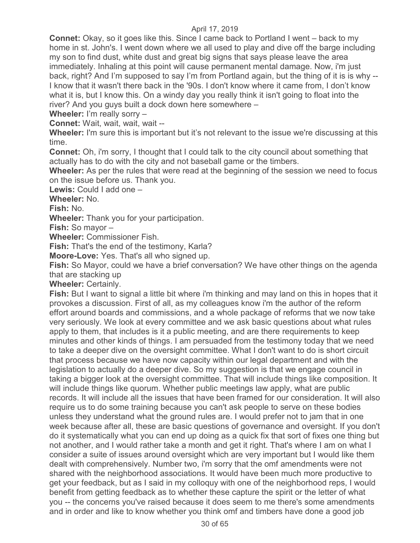**Connet:** Okay, so it goes like this. Since I came back to Portland I went – back to my home in st. John's. I went down where we all used to play and dive off the barge including my son to find dust, white dust and great big signs that says please leave the area immediately. Inhaling at this point will cause permanent mental damage. Now, i'm just back, right? And I'm supposed to say I'm from Portland again, but the thing of it is is why -- I know that it wasn't there back in the '90s. I don't know where it came from, I don't know what it is, but I know this. On a windy day you really think it isn't going to float into the river? And you guys built a dock down here somewhere –

**Wheeler:** I'm really sorry –

**Connet:** Wait, wait, wait, wait --

**Wheeler:** I'm sure this is important but it's not relevant to the issue we're discussing at this time.

**Connet:** Oh, i'm sorry, I thought that I could talk to the city council about something that actually has to do with the city and not baseball game or the timbers.

**Wheeler:** As per the rules that were read at the beginning of the session we need to focus on the issue before us. Thank you.

**Lewis:** Could I add one –

**Wheeler:** No.

**Fish:** No.

**Wheeler:** Thank you for your participation.

**Fish:** So mayor –

**Wheeler:** Commissioner Fish.

**Fish:** That's the end of the testimony, Karla?

**Moore-Love:** Yes. That's all who signed up.

**Fish:** So Mayor, could we have a brief conversation? We have other things on the agenda that are stacking up

**Wheeler:** Certainly.

**Fish:** But I want to signal a little bit where i'm thinking and may land on this in hopes that it provokes a discussion. First of all, as my colleagues know i'm the author of the reform effort around boards and commissions, and a whole package of reforms that we now take very seriously. We look at every committee and we ask basic questions about what rules apply to them, that includes is it a public meeting, and are there requirements to keep minutes and other kinds of things. I am persuaded from the testimony today that we need to take a deeper dive on the oversight committee. What I don't want to do is short circuit that process because we have now capacity within our legal department and with the legislation to actually do a deeper dive. So my suggestion is that we engage council in taking a bigger look at the oversight committee. That will include things like composition. It will include things like quorum. Whether public meetings law apply, what are public records. It will include all the issues that have been framed for our consideration. It will also require us to do some training because you can't ask people to serve on these bodies unless they understand what the ground rules are. I would prefer not to jam that in one week because after all, these are basic questions of governance and oversight. If you don't do it systematically what you can end up doing as a quick fix that sort of fixes one thing but not another, and I would rather take a month and get it right. That's where I am on what I consider a suite of issues around oversight which are very important but I would like them dealt with comprehensively. Number two, i'm sorry that the omf amendments were not shared with the neighborhood associations. It would have been much more productive to get your feedback, but as I said in my colloquy with one of the neighborhood reps, I would benefit from getting feedback as to whether these capture the spirit or the letter of what you -- the concerns you've raised because it does seem to me there's some amendments and in order and like to know whether you think omf and timbers have done a good job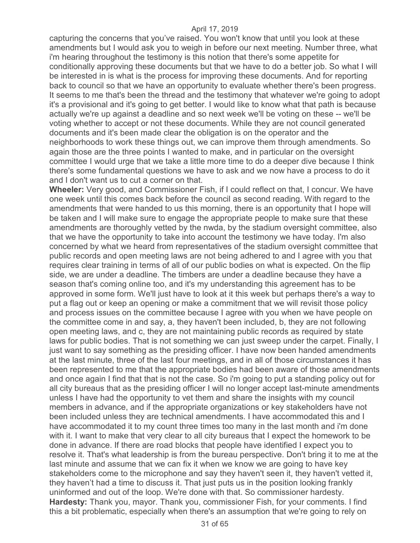capturing the concerns that you've raised. You won't know that until you look at these amendments but I would ask you to weigh in before our next meeting. Number three, what i'm hearing throughout the testimony is this notion that there's some appetite for conditionally approving these documents but that we have to do a better job. So what I will be interested in is what is the process for improving these documents. And for reporting back to council so that we have an opportunity to evaluate whether there's been progress. It seems to me that's been the thread and the testimony that whatever we're going to adopt it's a provisional and it's going to get better. I would like to know what that path is because actually we're up against a deadline and so next week we'll be voting on these -- we'll be voting whether to accept or not these documents. While they are not council generated documents and it's been made clear the obligation is on the operator and the neighborhoods to work these things out, we can improve them through amendments. So again those are the three points I wanted to make, and in particular on the oversight committee I would urge that we take a little more time to do a deeper dive because I think there's some fundamental questions we have to ask and we now have a process to do it and I don't want us to cut a corner on that.

**Wheeler:** Very good, and Commissioner Fish, if I could reflect on that, I concur. We have one week until this comes back before the council as second reading. With regard to the amendments that were handed to us this morning, there is an opportunity that I hope will be taken and I will make sure to engage the appropriate people to make sure that these amendments are thoroughly vetted by the nwda, by the stadium oversight committee, also that we have the opportunity to take into account the testimony we have today. I'm also concerned by what we heard from representatives of the stadium oversight committee that public records and open meeting laws are not being adhered to and I agree with you that requires clear training in terms of all of our public bodies on what is expected. On the flip side, we are under a deadline. The timbers are under a deadline because they have a season that's coming online too, and it's my understanding this agreement has to be approved in some form. We'll just have to look at it this week but perhaps there's a way to put a flag out or keep an opening or make a commitment that we will revisit those policy and process issues on the committee because I agree with you when we have people on the committee come in and say, a, they haven't been included, b, they are not following open meeting laws, and c, they are not maintaining public records as required by state laws for public bodies. That is not something we can just sweep under the carpet. Finally, I just want to say something as the presiding officer. I have now been handed amendments at the last minute, three of the last four meetings, and in all of those circumstances it has been represented to me that the appropriate bodies had been aware of those amendments and once again I find that that is not the case. So i'm going to put a standing policy out for all city bureaus that as the presiding officer I will no longer accept last-minute amendments unless I have had the opportunity to vet them and share the insights with my council members in advance, and if the appropriate organizations or key stakeholders have not been included unless they are technical amendments. I have accommodated this and I have accommodated it to my count three times too many in the last month and i'm done with it. I want to make that very clear to all city bureaus that I expect the homework to be done in advance. If there are road blocks that people have identified I expect you to resolve it. That's what leadership is from the bureau perspective. Don't bring it to me at the last minute and assume that we can fix it when we know we are going to have key stakeholders come to the microphone and say they haven't seen it, they haven't vetted it, they haven't had a time to discuss it. That just puts us in the position looking frankly uninformed and out of the loop. We're done with that. So commissioner hardesty. **Hardesty:** Thank you, mayor. Thank you, commissioner Fish, for your comments. I find this a bit problematic, especially when there's an assumption that we're going to rely on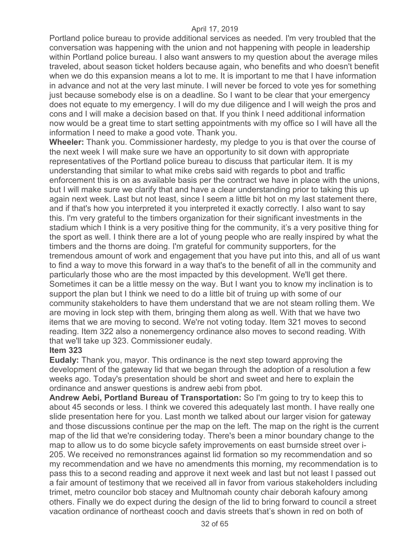Portland police bureau to provide additional services as needed. I'm very troubled that the conversation was happening with the union and not happening with people in leadership within Portland police bureau. I also want answers to my question about the average miles traveled, about season ticket holders because again, who benefits and who doesn't benefit when we do this expansion means a lot to me. It is important to me that I have information in advance and not at the very last minute. I will never be forced to vote yes for something just because somebody else is on a deadline. So I want to be clear that your emergency does not equate to my emergency. I will do my due diligence and I will weigh the pros and cons and I will make a decision based on that. If you think I need additional information now would be a great time to start setting appointments with my office so I will have all the information I need to make a good vote. Thank you.

**Wheeler:** Thank you. Commissioner hardesty, my pledge to you is that over the course of the next week I will make sure we have an opportunity to sit down with appropriate representatives of the Portland police bureau to discuss that particular item. It is my understanding that similar to what mike crebs said with regards to pbot and traffic enforcement this is on as available basis per the contract we have in place with the unions, but I will make sure we clarify that and have a clear understanding prior to taking this up again next week. Last but not least, since I seem a little bit hot on my last statement there, and if that's how you interpreted it you interpreted it exactly correctly. I also want to say this. I'm very grateful to the timbers organization for their significant investments in the stadium which I think is a very positive thing for the community, it's a very positive thing for the sport as well. I think there are a lot of young people who are really inspired by what the timbers and the thorns are doing. I'm grateful for community supporters, for the tremendous amount of work and engagement that you have put into this, and all of us want to find a way to move this forward in a way that's to the benefit of all in the community and particularly those who are the most impacted by this development. We'll get there. Sometimes it can be a little messy on the way. But I want you to know my inclination is to support the plan but I think we need to do a little bit of truing up with some of our community stakeholders to have them understand that we are not steam rolling them. We are moving in lock step with them, bringing them along as well. With that we have two items that we are moving to second. We're not voting today. Item 321 moves to second reading. Item 322 also a nonemergency ordinance also moves to second reading. With that we'll take up 323. Commissioner eudaly.

## **Item 323**

**Eudaly:** Thank you, mayor. This ordinance is the next step toward approving the development of the gateway lid that we began through the adoption of a resolution a few weeks ago. Today's presentation should be short and sweet and here to explain the ordinance and answer questions is andrew aebi from pbot.

**Andrew Aebi, Portland Bureau of Transportation:** So I'm going to try to keep this to about 45 seconds or less. I think we covered this adequately last month. I have really one slide presentation here for you. Last month we talked about our larger vision for gateway and those discussions continue per the map on the left. The map on the right is the current map of the lid that we're considering today. There's been a minor boundary change to the map to allow us to do some bicycle safety improvements on east burnside street over i-205. We received no remonstrances against lid formation so my recommendation and so my recommendation and we have no amendments this morning, my recommendation is to pass this to a second reading and approve it next week and last but not least I passed out a fair amount of testimony that we received all in favor from various stakeholders including trimet, metro councilor bob stacey and Multnomah county chair deborah kafoury among others. Finally we do expect during the design of the lid to bring forward to council a street vacation ordinance of northeast cooch and davis streets that's shown in red on both of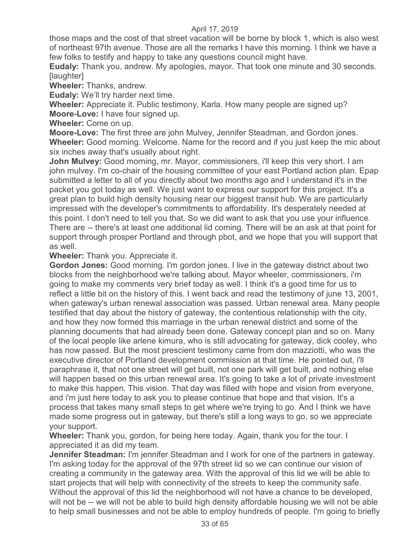those maps and the cost of that street vacation will be borne by block 1, which is also west of northeast 97th avenue. Those are all the remarks I have this morning. I think we have a few folks to testify and happy to take any questions council might have.

**Eudaly:** Thank you, andrew. My apologies, mayor. That took one minute and 30 seconds. [laughter]

**Wheeler:** Thanks, andrew.

**Eudaly:** We'll try harder next time.

**Wheeler:** Appreciate it. Public testimony, Karla. How many people are signed up? **Moore-Love:** I have four signed up.

**Wheeler:** Come on up.

**Moore-Love:** The first three are john Mulvey, Jennifer Steadman, and Gordon jones. **Wheeler:** Good morning. Welcome. Name for the record and if you just keep the mic about six inches away that's usually about right.

**John Mulvey:** Good morning, mr. Mayor, commissioners, i'll keep this very short. I am john mulvey. I'm co-chair of the housing committee of your east Portland action plan. Epap submitted a letter to all of you directly about two months ago and I understand it's in the packet you got today as well. We just want to express our support for this project. It's a great plan to build high density housing near our biggest transit hub. We are particularly impressed with the developer's commitments to affordability. It's desperately needed at this point. I don't need to tell you that. So we did want to ask that you use your influence. There are -- there's at least one additional lid coming. There will be an ask at that point for support through prosper Portland and through pbot, and we hope that you will support that as well.

**Wheeler:** Thank you. Appreciate it.

**Gordon Jones:** Good morning. I'm gordon jones. I live in the gateway district about two blocks from the neighborhood we're talking about. Mayor wheeler, commissioners, i'm going to make my comments very brief today as well. I think it's a good time for us to reflect a little bit on the history of this. I went back and read the testimony of june 13, 2001, when gateway's urban renewal association was passed. Urban renewal area. Many people testified that day about the history of gateway, the contentious relationship with the city, and how they now formed this marriage in the urban renewal district and some of the planning documents that had already been done. Gateway concept plan and so on. Many of the local people like arlene kimura, who is still advocating for gateway, dick cooley, who has now passed. But the most prescient testimony came from don mazziotti, who was the executive director of Portland development commission at that time. He pointed out, i'll paraphrase it, that not one street will get built, not one park will get built, and nothing else will happen based on this urban renewal area. It's going to take a lot of private investment to make this happen. This vision. That day was filled with hope and vision from everyone, and i'm just here today to ask you to please continue that hope and that vision. It's a process that takes many small steps to get where we're trying to go. And I think we have made some progress out in gateway, but there's still a long ways to go, so we appreciate your support.

**Wheeler:** Thank you, gordon, for being here today. Again, thank you for the tour. I appreciated it as did my team.

**Jennifer Steadman:** I'm jennifer Steadman and I work for one of the partners in gateway. I'm asking today for the approval of the 97th street lid so we can continue our vision of creating a community in the gateway area. With the approval of this lid we will be able to start projects that will help with connectivity of the streets to keep the community safe. Without the approval of this lid the neighborhood will not have a chance to be developed, will not be -- we will not be able to build high density affordable housing we will not be able to help small businesses and not be able to employ hundreds of people. I'm going to briefly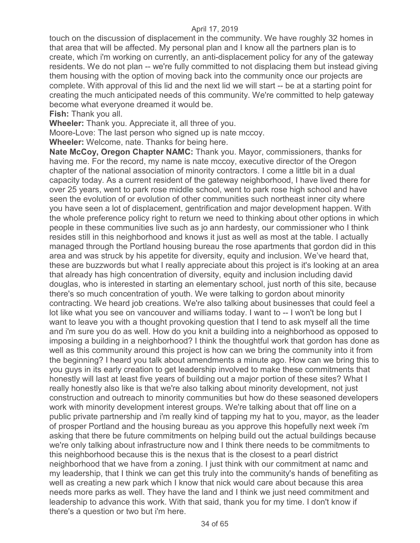touch on the discussion of displacement in the community. We have roughly 32 homes in that area that will be affected. My personal plan and I know all the partners plan is to create, which i'm working on currently, an anti-displacement policy for any of the gateway residents. We do not plan -- we're fully committed to not displacing them but instead giving them housing with the option of moving back into the community once our projects are complete. With approval of this lid and the next lid we will start -- be at a starting point for creating the much anticipated needs of this community. We're committed to help gateway become what everyone dreamed it would be.

**Fish:** Thank you all.

**Wheeler:** Thank you. Appreciate it, all three of you.

Moore-Love: The last person who signed up is nate mccoy.

**Wheeler:** Welcome, nate. Thanks for being here.

**Nate McCoy, Oregon Chapter NAMC:** Thank you. Mayor, commissioners, thanks for having me. For the record, my name is nate mccoy, executive director of the Oregon chapter of the national association of minority contractors. I come a little bit in a dual capacity today. As a current resident of the gateway neighborhood, I have lived there for over 25 years, went to park rose middle school, went to park rose high school and have seen the evolution of or evolution of other communities such northeast inner city where you have seen a lot of displacement, gentrification and major development happen. With the whole preference policy right to return we need to thinking about other options in which people in these communities live such as jo ann hardesty, our commissioner who I think resides still in this neighborhood and knows it just as well as most at the table. I actually managed through the Portland housing bureau the rose apartments that gordon did in this area and was struck by his appetite for diversity, equity and inclusion. We've heard that, these are buzzwords but what I really appreciate about this project is it's looking at an area that already has high concentration of diversity, equity and inclusion including david douglas, who is interested in starting an elementary school, just north of this site, because there's so much concentration of youth. We were talking to gordon about minority contracting. We heard job creations. We're also talking about businesses that could feel a lot like what you see on vancouver and williams today. I want to -- I won't be long but I want to leave you with a thought provoking question that I tend to ask myself all the time and i'm sure you do as well. How do you knit a building into a neighborhood as opposed to imposing a building in a neighborhood? I think the thoughtful work that gordon has done as well as this community around this project is how can we bring the community into it from the beginning? I heard you talk about amendments a minute ago. How can we bring this to you guys in its early creation to get leadership involved to make these commitments that honestly will last at least five years of building out a major portion of these sites? What I really honestly also like is that we're also talking about minority development, not just construction and outreach to minority communities but how do these seasoned developers work with minority development interest groups. We're talking about that off line on a public private partnership and i'm really kind of tapping my hat to you, mayor, as the leader of prosper Portland and the housing bureau as you approve this hopefully next week i'm asking that there be future commitments on helping build out the actual buildings because we're only talking about infrastructure now and I think there needs to be commitments to this neighborhood because this is the nexus that is the closest to a pearl district neighborhood that we have from a zoning. I just think with our commitment at namc and my leadership, that I think we can get this truly into the community's hands of benefiting as well as creating a new park which I know that nick would care about because this area needs more parks as well. They have the land and I think we just need commitment and leadership to advance this work. With that said, thank you for my time. I don't know if there's a question or two but i'm here.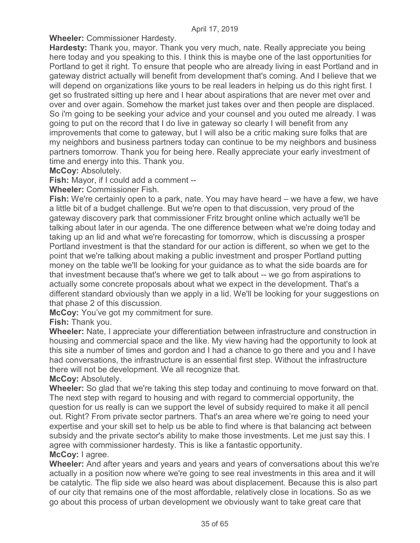**Wheeler:** Commissioner Hardesty.

**Hardesty:** Thank you, mayor. Thank you very much, nate. Really appreciate you being here today and you speaking to this. I think this is maybe one of the last opportunities for Portland to get it right. To ensure that people who are already living in east Portland and in gateway district actually will benefit from development that's coming. And I believe that we will depend on organizations like yours to be real leaders in helping us do this right first. I get so frustrated sitting up here and I hear about aspirations that are never met over and over and over again. Somehow the market just takes over and then people are displaced. So i'm going to be seeking your advice and your counsel and you outed me already. I was going to put on the record that I do live in gateway so clearly I will benefit from any improvements that come to gateway, but I will also be a critic making sure folks that are my neighbors and business partners today can continue to be my neighbors and business partners tomorrow. Thank you for being here. Really appreciate your early investment of time and energy into this. Thank you.

**McCoy:** Absolutely.

**Fish:** Mayor, if I could add a comment --

**Wheeler:** Commissioner Fish.

**Fish:** We're certainly open to a park, nate. You may have heard – we have a few, we have a little bit of a budget challenge. But we're open to that discussion, very proud of the gateway discovery park that commissioner Fritz brought online which actually we'll be talking about later in our agenda. The one difference between what we're doing today and taking up an lid and what we're forecasting for tomorrow, which is discussing a prosper Portland investment is that the standard for our action is different, so when we get to the point that we're talking about making a public investment and prosper Portland putting money on the table we'll be looking for your guidance as to what the side boards are for that investment because that's where we get to talk about -- we go from aspirations to actually some concrete proposals about what we expect in the development. That's a different standard obviously than we apply in a lid. We'll be looking for your suggestions on that phase 2 of this discussion.

**McCoy:** You've got my commitment for sure.

**Fish:** Thank you.

**Wheeler:** Nate, I appreciate your differentiation between infrastructure and construction in housing and commercial space and the like. My view having had the opportunity to look at this site a number of times and gordon and I had a chance to go there and you and I have had conversations, the infrastructure is an essential first step. Without the infrastructure there will not be development. We all recognize that.

**McCoy:** Absolutely.

**Wheeler:** So glad that we're taking this step today and continuing to move forward on that. The next step with regard to housing and with regard to commercial opportunity, the question for us really is can we support the level of subsidy required to make it all pencil out. Right? From private sector partners. That's an area where we're going to need your expertise and your skill set to help us be able to find where is that balancing act between subsidy and the private sector's ability to make those investments. Let me just say this. I agree with commissioner hardesty. This is like a fantastic opportunity. **McCoy:** I agree.

**Wheeler:** And after years and years and years and years of conversations about this we're actually in a position now where we're going to see real investments in this area and it will be catalytic. The flip side we also heard was about displacement. Because this is also part of our city that remains one of the most affordable, relatively close in locations. So as we go about this process of urban development we obviously want to take great care that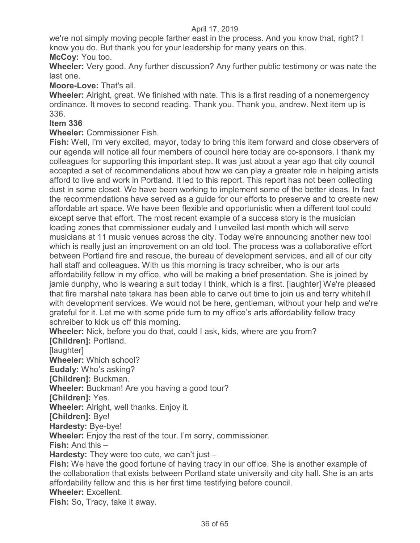we're not simply moving people farther east in the process. And you know that, right? I know you do. But thank you for your leadership for many years on this. **McCoy:** You too.

**Wheeler:** Very good. Any further discussion? Any further public testimony or was nate the last one.

**Moore-Love:** That's all.

**Wheeler:** Alright, great. We finished with nate. This is a first reading of a nonemergency ordinance. It moves to second reading. Thank you. Thank you, andrew. Next item up is 336.

## **Item 336**

**Wheeler:** Commissioner Fish.

**Fish:** Well, I'm very excited, mayor, today to bring this item forward and close observers of our agenda will notice all four members of council here today are co-sponsors. I thank my colleagues for supporting this important step. It was just about a year ago that city council accepted a set of recommendations about how we can play a greater role in helping artists afford to live and work in Portland. It led to this report. This report has not been collecting dust in some closet. We have been working to implement some of the better ideas. In fact the recommendations have served as a guide for our efforts to preserve and to create new affordable art space. We have been flexible and opportunistic when a different tool could except serve that effort. The most recent example of a success story is the musician loading zones that commissioner eudaly and I unveiled last month which will serve musicians at 11 music venues across the city. Today we're announcing another new tool which is really just an improvement on an old tool. The process was a collaborative effort between Portland fire and rescue, the bureau of development services, and all of our city hall staff and colleagues. With us this morning is tracy schreiber, who is our arts affordability fellow in my office, who will be making a brief presentation. She is joined by jamie dunphy, who is wearing a suit today I think, which is a first. [laughter] We're pleased that fire marshal nate takara has been able to carve out time to join us and terry whitehill with development services. We would not be here, gentleman, without your help and we're grateful for it. Let me with some pride turn to my office's arts affordability fellow tracy schreiber to kick us off this morning.

**Wheeler:** Nick, before you do that, could I ask, kids, where are you from? **[Children]:** Portland.

[laughter]

**Wheeler:** Which school?

**Eudaly:** Who's asking?

**[Children]:** Buckman.

**Wheeler:** Buckman! Are you having a good tour?

**[Children]:** Yes.

**Wheeler:** Alright, well thanks. Enjoy it.

**[Children]:** Bye!

**Hardesty:** Bye-bye!

**Wheeler:** Enjoy the rest of the tour. I'm sorry, commissioner.

**Fish:** And this –

**Hardesty:** They were too cute, we can't just –

**Fish:** We have the good fortune of having tracy in our office. She is another example of the collaboration that exists between Portland state university and city hall. She is an arts affordability fellow and this is her first time testifying before council.

**Wheeler:** Excellent.

**Fish:** So, Tracy, take it away.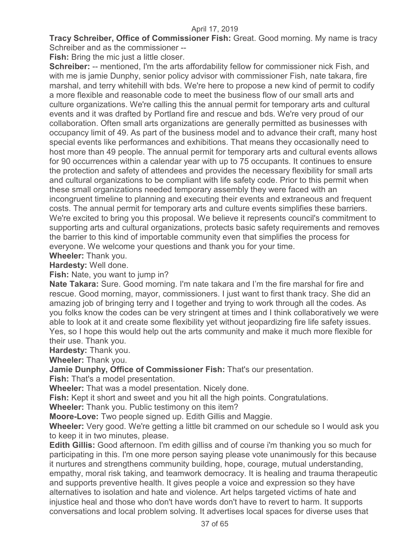**Tracy Schreiber, Office of Commissioner Fish: Great. Good morning. My name is tracy** Schreiber and as the commissioner --

**Fish:** Bring the mic just a little closer.

**Schreiber:** -- mentioned, I'm the arts affordability fellow for commissioner nick Fish, and with me is jamie Dunphy, senior policy advisor with commissioner Fish, nate takara, fire marshal, and terry whitehill with bds. We're here to propose a new kind of permit to codify a more flexible and reasonable code to meet the business flow of our small arts and culture organizations. We're calling this the annual permit for temporary arts and cultural events and it was drafted by Portland fire and rescue and bds. We're very proud of our collaboration. Often small arts organizations are generally permitted as businesses with occupancy limit of 49. As part of the business model and to advance their craft, many host special events like performances and exhibitions. That means they occasionally need to host more than 49 people. The annual permit for temporary arts and cultural events allows for 90 occurrences within a calendar year with up to 75 occupants. It continues to ensure the protection and safety of attendees and provides the necessary flexibility for small arts and cultural organizations to be compliant with life safety code. Prior to this permit when these small organizations needed temporary assembly they were faced with an incongruent timeline to planning and executing their events and extraneous and frequent costs. The annual permit for temporary arts and culture events simplifies these barriers. We're excited to bring you this proposal. We believe it represents council's commitment to supporting arts and cultural organizations, protects basic safety requirements and removes the barrier to this kind of importable community even that simplifies the process for everyone. We welcome your questions and thank you for your time.

**Wheeler:** Thank you.

**Hardesty:** Well done.

**Fish:** Nate, you want to jump in?

**Nate Takara:** Sure. Good morning. I'm nate takara and I'm the fire marshal for fire and rescue. Good morning, mayor, commissioners. I just want to first thank tracy. She did an amazing job of bringing terry and I together and trying to work through all the codes. As you folks know the codes can be very stringent at times and I think collaboratively we were able to look at it and create some flexibility yet without jeopardizing fire life safety issues. Yes, so I hope this would help out the arts community and make it much more flexible for their use. Thank you.

**Hardesty:** Thank you.

**Wheeler:** Thank you.

**Jamie Dunphy, Office of Commissioner Fish:** That's our presentation.

**Fish:** That's a model presentation.

**Wheeler:** That was a model presentation. Nicely done.

**Fish:** Kept it short and sweet and you hit all the high points. Congratulations.

**Wheeler:** Thank you. Public testimony on this item?

**Moore-Love:** Two people signed up. Edith Gillis and Maggie.

**Wheeler:** Very good. We're getting a little bit crammed on our schedule so I would ask you to keep it in two minutes, please.

**Edith Gillis:** Good afternoon. I'm edith gilliss and of course i'm thanking you so much for participating in this. I'm one more person saying please vote unanimously for this because it nurtures and strengthens community building, hope, courage, mutual understanding, empathy, moral risk taking, and teamwork democracy. It is healing and trauma therapeutic and supports preventive health. It gives people a voice and expression so they have alternatives to isolation and hate and violence. Art helps targeted victims of hate and injustice heal and those who don't have words don't have to revert to harm. It supports conversations and local problem solving. It advertises local spaces for diverse uses that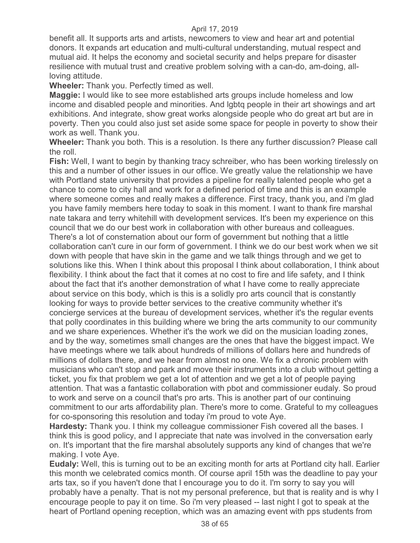benefit all. It supports arts and artists, newcomers to view and hear art and potential donors. It expands art education and multi-cultural understanding, mutual respect and mutual aid. It helps the economy and societal security and helps prepare for disaster resilience with mutual trust and creative problem solving with a can-do, am-doing, allloving attitude.

**Wheeler:** Thank you. Perfectly timed as well.

**Maggie:** I would like to see more established arts groups include homeless and low income and disabled people and minorities. And lgbtq people in their art showings and art exhibitions. And integrate, show great works alongside people who do great art but are in poverty. Then you could also just set aside some space for people in poverty to show their work as well. Thank you.

**Wheeler:** Thank you both. This is a resolution. Is there any further discussion? Please call the roll.

**Fish:** Well, I want to begin by thanking tracy schreiber, who has been working tirelessly on this and a number of other issues in our office. We greatly value the relationship we have with Portland state university that provides a pipeline for really talented people who get a chance to come to city hall and work for a defined period of time and this is an example where someone comes and really makes a difference. First tracy, thank you, and i'm glad you have family members here today to soak in this moment. I want to thank fire marshal nate takara and terry whitehill with development services. It's been my experience on this council that we do our best work in collaboration with other bureaus and colleagues. There's a lot of consternation about our form of government but nothing that a little collaboration can't cure in our form of government. I think we do our best work when we sit down with people that have skin in the game and we talk things through and we get to solutions like this. When I think about this proposal I think about collaboration, I think about flexibility. I think about the fact that it comes at no cost to fire and life safety, and I think about the fact that it's another demonstration of what I have come to really appreciate about service on this body, which is this is a solidly pro arts council that is constantly looking for ways to provide better services to the creative community whether it's concierge services at the bureau of development services, whether it's the regular events that polly coordinates in this building where we bring the arts community to our community and we share experiences. Whether it's the work we did on the musician loading zones, and by the way, sometimes small changes are the ones that have the biggest impact. We have meetings where we talk about hundreds of millions of dollars here and hundreds of millions of dollars there, and we hear from almost no one. We fix a chronic problem with musicians who can't stop and park and move their instruments into a club without getting a ticket, you fix that problem we get a lot of attention and we get a lot of people paying attention. That was a fantastic collaboration with pbot and commissioner eudaly. So proud to work and serve on a council that's pro arts. This is another part of our continuing commitment to our arts affordability plan. There's more to come. Grateful to my colleagues for co-sponsoring this resolution and today i'm proud to vote Aye.

**Hardesty:** Thank you. I think my colleague commissioner Fish covered all the bases. I think this is good policy, and I appreciate that nate was involved in the conversation early on. It's important that the fire marshal absolutely supports any kind of changes that we're making. I vote Aye.

**Eudaly:** Well, this is turning out to be an exciting month for arts at Portland city hall. Earlier this month we celebrated comics month. Of course april 15th was the deadline to pay your arts tax, so if you haven't done that I encourage you to do it. I'm sorry to say you will probably have a penalty. That is not my personal preference, but that is reality and is why I encourage people to pay it on time. So i'm very pleased -- last night I got to speak at the heart of Portland opening reception, which was an amazing event with pps students from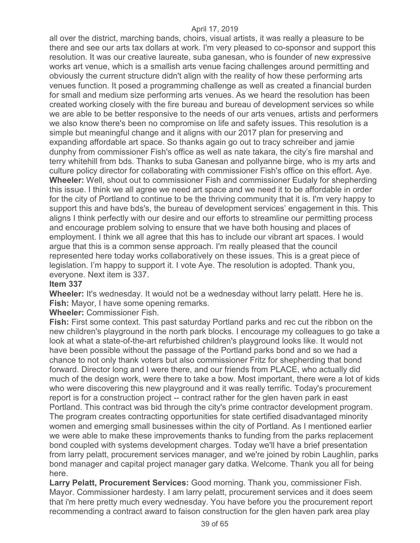all over the district, marching bands, choirs, visual artists, it was really a pleasure to be there and see our arts tax dollars at work. I'm very pleased to co-sponsor and support this resolution. It was our creative laureate, suba ganesan, who is founder of new expressive works art venue, which is a smallish arts venue facing challenges around permitting and obviously the current structure didn't align with the reality of how these performing arts venues function. It posed a programming challenge as well as created a financial burden for small and medium size performing arts venues. As we heard the resolution has been created working closely with the fire bureau and bureau of development services so while we are able to be better responsive to the needs of our arts venues, artists and performers we also know there's been no compromise on life and safety issues. This resolution is a simple but meaningful change and it aligns with our 2017 plan for preserving and expanding affordable art space. So thanks again go out to tracy schreiber and jamie dunphy from commissioner Fish's office as well as nate takara, the city's fire marshal and terry whitehill from bds. Thanks to suba Ganesan and pollyanne birge, who is my arts and culture policy director for collaborating with commissioner Fish's office on this effort. Aye. **Wheeler:** Well, shout out to commissioner Fish and commissioner Eudaly for shepherding this issue. I think we all agree we need art space and we need it to be affordable in order for the city of Portland to continue to be the thriving community that it is. I'm very happy to support this and have bds's, the bureau of development services' engagement in this. This aligns I think perfectly with our desire and our efforts to streamline our permitting process and encourage problem solving to ensure that we have both housing and places of employment. I think we all agree that this has to include our vibrant art spaces. I would argue that this is a common sense approach. I'm really pleased that the council represented here today works collaboratively on these issues. This is a great piece of legislation. I'm happy to support it. I vote Aye. The resolution is adopted. Thank you, everyone. Next item is 337.

#### **Item 337**

**Wheeler:** It's wednesday. It would not be a wednesday without larry pelatt. Here he is. **Fish:** Mayor, I have some opening remarks.

**Wheeler:** Commissioner Fish.

**Fish:** First some context. This past saturday Portland parks and rec cut the ribbon on the new children's playground in the north park blocks. I encourage my colleagues to go take a look at what a state-of-the-art refurbished children's playground looks like. It would not have been possible without the passage of the Portland parks bond and so we had a chance to not only thank voters but also commissioner Fritz for shepherding that bond forward. Director long and I were there, and our friends from PLACE, who actually did much of the design work, were there to take a bow. Most important, there were a lot of kids who were discovering this new playground and it was really terrific. Today's procurement report is for a construction project -- contract rather for the glen haven park in east Portland. This contract was bid through the city's prime contractor development program. The program creates contracting opportunities for state certified disadvantaged minority women and emerging small businesses within the city of Portland. As I mentioned earlier we were able to make these improvements thanks to funding from the parks replacement bond coupled with systems development charges. Today we'll have a brief presentation from larry pelatt, procurement services manager, and we're joined by robin Laughlin, parks bond manager and capital project manager gary datka. Welcome. Thank you all for being here.

**Larry Pelatt, Procurement Services:** Good morning. Thank you, commissioner Fish. Mayor. Commissioner hardesty. I am larry pelatt, procurement services and it does seem that i'm here pretty much every wednesday. You have before you the procurement report recommending a contract award to faison construction for the glen haven park area play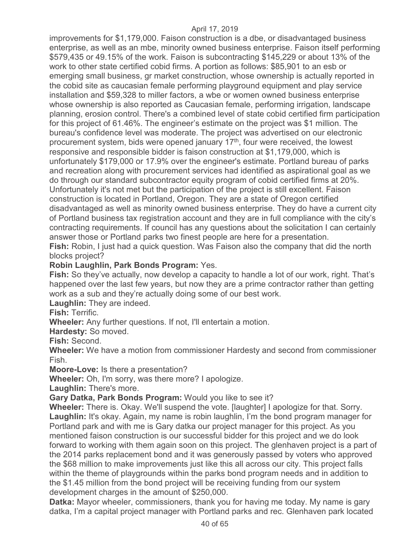improvements for \$1,179,000. Faison construction is a dbe, or disadvantaged business enterprise, as well as an mbe, minority owned business enterprise. Faison itself performing \$579,435 or 49.15% of the work. Faison is subcontracting \$145,229 or about 13% of the work to other state certified cobid firms. A portion as follows: \$85,901 to an esb or emerging small business, gr market construction, whose ownership is actually reported in the cobid site as caucasian female performing playground equipment and play service installation and \$59,328 to miller factors, a wbe or women owned business enterprise whose ownership is also reported as Caucasian female, performing irrigation, landscape planning, erosion control. There's a combined level of state cobid certified firm participation for this project of 61.46%. The engineer's estimate on the project was \$1 million. The bureau's confidence level was moderate. The project was advertised on our electronic procurement system, bids were opened january 17th, four were received, the lowest responsive and responsible bidder is faison construction at \$1,179,000, which is unfortunately \$179,000 or 17.9% over the engineer's estimate. Portland bureau of parks and recreation along with procurement services had identified as aspirational goal as we do through our standard subcontractor equity program of cobid certified firms at 20%. Unfortunately it's not met but the participation of the project is still excellent. Faison construction is located in Portland, Oregon. They are a state of Oregon certified disadvantaged as well as minority owned business enterprise. They do have a current city of Portland business tax registration account and they are in full compliance with the city's contracting requirements. If council has any questions about the solicitation I can certainly answer those or Portland parks two finest people are here for a presentation. **Fish:** Robin, I just had a quick question. Was Faison also the company that did the north blocks project?

## **Robin Laughlin, Park Bonds Program:** Yes.

**Fish:** So they've actually, now develop a capacity to handle a lot of our work, right. That's happened over the last few years, but now they are a prime contractor rather than getting work as a sub and they're actually doing some of our best work.

**Laughlin:** They are indeed.

**Fish:** Terrific.

**Wheeler:** Any further questions. If not, I'll entertain a motion.

**Hardesty:** So moved.

**Fish:** Second.

**Wheeler:** We have a motion from commissioner Hardesty and second from commissioner Fish.

**Moore-Love:** Is there a presentation?

**Wheeler:** Oh, I'm sorry, was there more? I apologize.

**Laughlin:** There's more.

**Gary Datka, Park Bonds Program:** Would you like to see it?

**Wheeler:** There is. Okay. We'll suspend the vote. [laughter] I apologize for that. Sorry. **Laughlin:** It's okay. Again, my name is robin laughlin, I'm the bond program manager for Portland park and with me is Gary datka our project manager for this project. As you mentioned faison construction is our successful bidder for this project and we do look forward to working with them again soon on this project. The glenhaven project is a part of the 2014 parks replacement bond and it was generously passed by voters who approved the \$68 million to make improvements just like this all across our city. This project falls within the theme of playgrounds within the parks bond program needs and in addition to the \$1.45 million from the bond project will be receiving funding from our system development charges in the amount of \$250,000.

**Datka:** Mayor wheeler, commissioners, thank you for having me today. My name is gary datka, I'm a capital project manager with Portland parks and rec. Glenhaven park located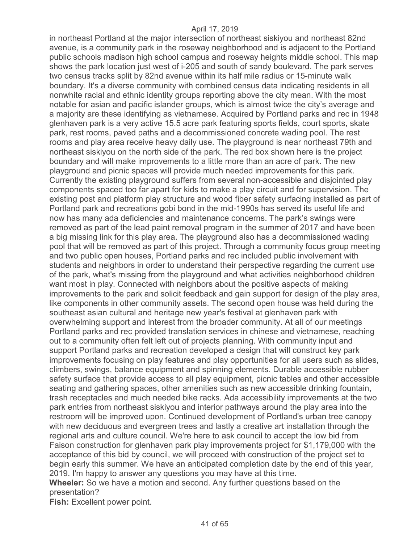in northeast Portland at the major intersection of northeast siskiyou and northeast 82nd avenue, is a community park in the roseway neighborhood and is adjacent to the Portland public schools madison high school campus and roseway heights middle school. This map shows the park location just west of i-205 and south of sandy boulevard. The park serves two census tracks split by 82nd avenue within its half mile radius or 15-minute walk boundary. It's a diverse community with combined census data indicating residents in all nonwhite racial and ethnic identity groups reporting above the city mean. With the most notable for asian and pacific islander groups, which is almost twice the city's average and a majority are these identifying as vietnamese. Acquired by Portland parks and rec in 1948 glenhaven park is a very active 15.5 acre park featuring sports fields, court sports, skate park, rest rooms, paved paths and a decommissioned concrete wading pool. The rest rooms and play area receive heavy daily use. The playground is near northeast 79th and northeast siskiyou on the north side of the park. The red box shown here is the project boundary and will make improvements to a little more than an acre of park. The new playground and picnic spaces will provide much needed improvements for this park. Currently the existing playground suffers from several non-accessible and disjointed play components spaced too far apart for kids to make a play circuit and for supervision. The existing post and platform play structure and wood fiber safety surfacing installed as part of Portland park and recreations gobi bond in the mid-1990s has served its useful life and now has many ada deficiencies and maintenance concerns. The park's swings were removed as part of the lead paint removal program in the summer of 2017 and have been a big missing link for this play area. The playground also has a decommissioned wading pool that will be removed as part of this project. Through a community focus group meeting and two public open houses, Portland parks and rec included public involvement with students and neighbors in order to understand their perspective regarding the current use of the park, what's missing from the playground and what activities neighborhood children want most in play. Connected with neighbors about the positive aspects of making improvements to the park and solicit feedback and gain support for design of the play area, like components in other community assets. The second open house was held during the southeast asian cultural and heritage new year's festival at glenhaven park with overwhelming support and interest from the broader community. At all of our meetings Portland parks and rec provided translation services in chinese and vietnamese, reaching out to a community often felt left out of projects planning. With community input and support Portland parks and recreation developed a design that will construct key park improvements focusing on play features and play opportunities for all users such as slides, climbers, swings, balance equipment and spinning elements. Durable accessible rubber safety surface that provide access to all play equipment, picnic tables and other accessible seating and gathering spaces, other amenities such as new accessible drinking fountain, trash receptacles and much needed bike racks. Ada accessibility improvements at the two park entries from northeast siskiyou and interior pathways around the play area into the restroom will be improved upon. Continued development of Portland's urban tree canopy with new deciduous and evergreen trees and lastly a creative art installation through the regional arts and culture council. We're here to ask council to accept the low bid from Faison construction for glenhaven park play improvements project for \$1,179,000 with the acceptance of this bid by council, we will proceed with construction of the project set to begin early this summer. We have an anticipated completion date by the end of this year, 2019. I'm happy to answer any questions you may have at this time. **Wheeler:** So we have a motion and second. Any further questions based on the presentation?

**Fish:** Excellent power point.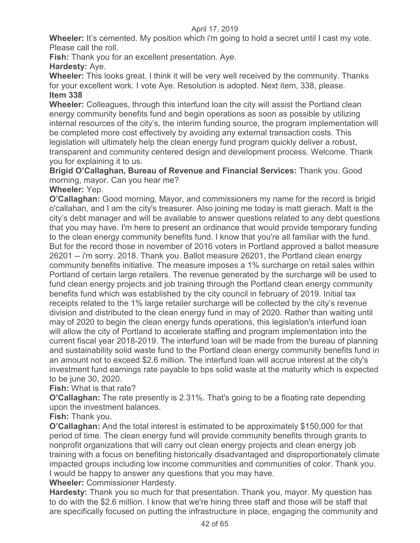**Wheeler:** It's cemented. My position which i'm going to hold a secret until I cast my vote. Please call the roll.

**Fish:** Thank you for an excellent presentation. Aye.

**Hardesty:** Aye.

**Wheeler:** This looks great. I think it will be very well received by the community. Thanks for your excellent work. I vote Aye. Resolution is adopted. Next item, 338, please. **Item 338** 

**Wheeler:** Colleagues, through this interfund loan the city will assist the Portland clean energy community benefits fund and begin operations as soon as possible by utilizing internal resources of the city's, the interim funding source, the program implementation will be completed more cost effectively by avoiding any external transaction costs. This legislation will ultimately help the clean energy fund program quickly deliver a robust, transparent and community centered design and development process. Welcome. Thank you for explaining it to us.

**Brigid O'Callaghan, Bureau of Revenue and Financial Services:** Thank you. Good morning, mayor. Can you hear me?

**Wheeler:** Yep.

**O'Callaghan:** Good morning, Mayor, and commissioners my name for the record is brigid o'callahan, and I am the city's treasurer. Also joining me today is matt gierach. Matt is the city's debt manager and will be available to answer questions related to any debt questions that you may have. I'm here to present an ordinance that would provide temporary funding to the clean energy community benefits fund. I know that you're all familiar with the fund. But for the record those in november of 2016 voters in Portland approved a ballot measure 26201 -- i'm sorry. 2018. Thank you. Ballot measure 26201, the Portland clean energy community benefits initiative. The measure imposes a 1% surcharge on retail sales within Portland of certain large retailers. The revenue generated by the surcharge will be used to fund clean energy projects and job training through the Portland clean energy community benefits fund which was established by the city council in february of 2019. Initial tax receipts related to the 1% large retailer surcharge will be collected by the city's revenue division and distributed to the clean energy fund in may of 2020. Rather than waiting until may of 2020 to begin the clean energy funds operations, this legislation's interfund loan will allow the city of Portland to accelerate staffing and program implementation into the current fiscal year 2018-2019. The interfund loan will be made from the bureau of planning and sustainability solid waste fund to the Portland clean energy community benefits fund in an amount not to exceed \$2.6 million. The interfund loan will accrue interest at the city's investment fund earnings rate payable to bps solid waste at the maturity which is expected to be june 30, 2020.

**Fish:** What is that rate?

**O'Callaghan:** The rate presently is 2.31%. That's going to be a floating rate depending upon the investment balances.

**Fish:** Thank you.

**O'Callaghan:** And the total interest is estimated to be approximately \$150,000 for that period of time. The clean energy fund will provide community benefits through grants to nonprofit organizations that will carry out clean energy projects and clean energy job training with a focus on benefiting historically disadvantaged and disproportionately climate impacted groups including low income communities and communities of color. Thank you. I would be happy to answer any questions that you may have.

**Wheeler:** Commissioner Hardesty.

**Hardesty:** Thank you so much for that presentation. Thank you, mayor. My question has to do with the \$2.6 million. I know that we're hiring three staff and those will be staff that are specifically focused on putting the infrastructure in place, engaging the community and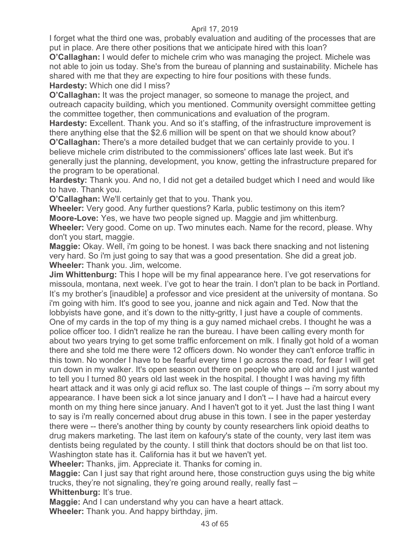I forget what the third one was, probably evaluation and auditing of the processes that are put in place. Are there other positions that we anticipate hired with this loan?

**O'Callaghan:** I would defer to michele crim who was managing the project. Michele was not able to join us today. She's from the bureau of planning and sustainability. Michele has shared with me that they are expecting to hire four positions with these funds. **Hardesty:** Which one did I miss?

**O'Callaghan:** It was the project manager, so someone to manage the project, and outreach capacity building, which you mentioned. Community oversight committee getting the committee together, then communications and evaluation of the program.

**Hardesty:** Excellent. Thank you. And so it's staffing, of the infrastructure improvement is there anything else that the \$2.6 million will be spent on that we should know about? **O'Callaghan:** There's a more detailed budget that we can certainly provide to you. I believe michele crim distributed to the commissioners' offices late last week. But it's generally just the planning, development, you know, getting the infrastructure prepared for the program to be operational.

**Hardesty:** Thank you. And no, I did not get a detailed budget which I need and would like to have. Thank you.

**O'Callaghan:** We'll certainly get that to you. Thank you.

**Wheeler:** Very good. Any further questions? Karla, public testimony on this item? **Moore-Love:** Yes, we have two people signed up. Maggie and jim whittenburg. **Wheeler:** Very good. Come on up. Two minutes each. Name for the record, please. Why don't you start, maggie.

**Maggie:** Okay. Well, i'm going to be honest. I was back there snacking and not listening very hard. So i'm just going to say that was a good presentation. She did a great job. **Wheeler:** Thank you. Jim, welcome.

**Jim Whittenburg:** This I hope will be my final appearance here. I've got reservations for missoula, montana, next week. I've got to hear the train. I don't plan to be back in Portland. It's my brother's [inaudible] a professor and vice president at the university of montana. So i'm going with him. It's good to see you, joanne and nick again and Ted. Now that the lobbyists have gone, and it's down to the nitty-gritty, I just have a couple of comments. One of my cards in the top of my thing is a guy named michael crebs. I thought he was a police officer too. I didn't realize he ran the bureau. I have been calling every month for about two years trying to get some traffic enforcement on mlk. I finally got hold of a woman there and she told me there were 12 officers down. No wonder they can't enforce traffic in this town. No wonder I have to be fearful every time I go across the road, for fear I will get run down in my walker. It's open season out there on people who are old and I just wanted to tell you I turned 80 years old last week in the hospital. I thought I was having my fifth heart attack and it was only gi acid reflux so. The last couple of things -- i'm sorry about my appearance. I have been sick a lot since january and I don't -- I have had a haircut every month on my thing here since january. And I haven't got to it yet. Just the last thing I want to say is i'm really concerned about drug abuse in this town. I see in the paper yesterday there were -- there's another thing by county by county researchers link opioid deaths to drug makers marketing. The last item on kafoury's state of the county, very last item was dentists being regulated by the county. I still think that doctors should be on that list too. Washington state has it. California has it but we haven't yet.

**Wheeler:** Thanks, jim. Appreciate it. Thanks for coming in.

**Maggie:** Can I just say that right around here, those construction guys using the big white trucks, they're not signaling, they're going around really, really fast – **Whittenburg:** It's true.

**Maggie:** And I can understand why you can have a heart attack.

**Wheeler:** Thank you. And happy birthday, jim.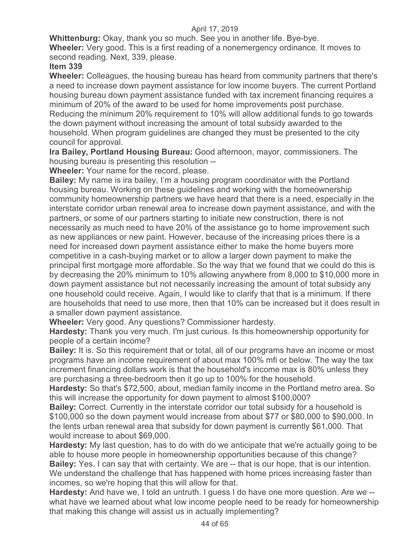**Whittenburg:** Okay, thank you so much. See you in another life. Bye-bye.

**Wheeler:** Very good. This is a first reading of a nonemergency ordinance. It moves to second reading. Next, 339, please.

## **Item 339**

**Wheeler:** Colleagues, the housing bureau has heard from community partners that there's a need to increase down payment assistance for low income buyers. The current Portland housing bureau down payment assistance funded with tax increment financing requires a minimum of 20% of the award to be used for home improvements post purchase. Reducing the minimum 20% requirement to 10% will allow additional funds to go towards the down payment without increasing the amount of total subsidy awarded to the household. When program guidelines are changed they must be presented to the city council for approval.

**Ira Bailey, Portland Housing Bureau:** Good afternoon, mayor, commissioners. The housing bureau is presenting this resolution --

**Wheeler:** Your name for the record, please.

**Bailey:** My name is ira bailey, I'm a housing program coordinator with the Portland housing bureau. Working on these guidelines and working with the homeownership community homeownership partners we have heard that there is a need, especially in the interstate corridor urban renewal area to increase down payment assistance, and with the partners, or some of our partners starting to initiate new construction, there is not necessarily as much need to have 20% of the assistance go to home improvement such as new appliances or new paint. However, because of the increasing prices there is a need for increased down payment assistance either to make the home buyers more competitive in a cash-buying market or to allow a larger down payment to make the principal first mortgage more affordable. So the way that we found that we could do this is by decreasing the 20% minimum to 10% allowing anywhere from 8,000 to \$10,000 more in down payment assistance but not necessarily increasing the amount of total subsidy any one household could receive. Again, I would like to clarify that that is a minimum. If there are households that need to use more, then that 10% can be increased but it does result in a smaller down payment assistance.

**Wheeler:** Very good. Any questions? Commissioner hardesty.

**Hardesty:** Thank you very much. I'm just curious. Is this homeownership opportunity for people of a certain income?

**Bailey:** It is. So this requirement that or total, all of our programs have an income or most programs have an income requirement of about max 100% mfi or below. The way the tax increment financing dollars work is that the household's income max is 80% unless they are purchasing a three-bedroom then it go up to 100% for the household.

**Hardesty:** So that's \$72,500, about, median family income in the Portland metro area. So this will increase the opportunity for down payment to almost \$100,000?

**Bailey:** Correct. Currently in the interstate corridor our total subsidy for a household is \$100,000 so the down payment would increase from about \$77 or \$80,000 to \$90,000. In the lents urban renewal area that subsidy for down payment is currently \$61,000. That would increase to about \$69,000.

**Hardesty:** My last question, has to do with do we anticipate that we're actually going to be able to house more people in homeownership opportunities because of this change? **Bailey:** Yes. I can say that with certainty. We are -- that is our hope, that is our intention. We understand the challenge that has happened with home prices increasing faster than incomes, so we're hoping that this will allow for that.

**Hardesty:** And have we, I told an untruth. I guess I do have one more question. Are we - what have we learned about what low income people need to be ready for homeownership that making this change will assist us in actually implementing?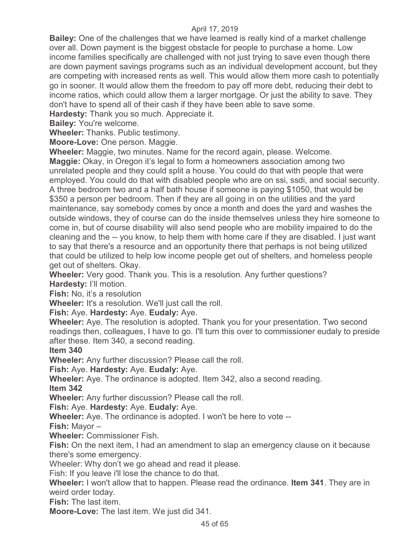**Bailey:** One of the challenges that we have learned is really kind of a market challenge over all. Down payment is the biggest obstacle for people to purchase a home. Low income families specifically are challenged with not just trying to save even though there are down payment savings programs such as an individual development account, but they are competing with increased rents as well. This would allow them more cash to potentially go in sooner. It would allow them the freedom to pay off more debt, reducing their debt to income ratios, which could allow them a larger mortgage. Or just the ability to save. They don't have to spend all of their cash if they have been able to save some.

**Hardesty:** Thank you so much. Appreciate it.

**Bailey:** You're welcome.

**Wheeler:** Thanks. Public testimony.

**Moore-Love:** One person. Maggie.

**Wheeler:** Maggie, two minutes. Name for the record again, please. Welcome.

**Maggie:** Okay, in Oregon it's legal to form a homeowners association among two unrelated people and they could split a house. You could do that with people that were employed. You could do that with disabled people who are on ssi, ssdi, and social security. A three bedroom two and a half bath house if someone is paying \$1050, that would be \$350 a person per bedroom. Then if they are all going in on the utilities and the yard maintenance, say somebody comes by once a month and does the yard and washes the outside windows, they of course can do the inside themselves unless they hire someone to come in, but of course disability will also send people who are mobility impaired to do the cleaning and the -- you know, to help them with home care if they are disabled. I just want to say that there's a resource and an opportunity there that perhaps is not being utilized that could be utilized to help low income people get out of shelters, and homeless people get out of shelters. Okay.

**Wheeler:** Very good. Thank you. This is a resolution. Any further questions? **Hardesty:** I'll motion.

**Fish:** No, it's a resolution

**Wheeler:** It's a resolution. We'll just call the roll.

**Fish:** Aye. **Hardesty:** Aye. **Eudaly:** Aye.

**Wheeler:** Aye. The resolution is adopted. Thank you for your presentation. Two second readings then, colleagues, I have to go. I'll turn this over to commissioner eudaly to preside after these. Item 340, a second reading.

**Item 340** 

**Wheeler:** Any further discussion? Please call the roll.

**Fish:** Aye. **Hardesty:** Aye. **Eudaly:** Aye.

**Wheeler:** Aye. The ordinance is adopted. Item 342, also a second reading.

**Item 342** 

**Wheeler:** Any further discussion? Please call the roll.

**Fish:** Aye. **Hardesty:** Aye. **Eudaly:** Aye.

**Wheeler:** Aye. The ordinance is adopted. I won't be here to vote --

**Fish:** Mayor –

**Wheeler:** Commissioner Fish.

**Fish:** On the next item, I had an amendment to slap an emergency clause on it because there's some emergency.

Wheeler: Why don't we go ahead and read it please.

Fish: If you leave i'll lose the chance to do that.

**Wheeler:** I won't allow that to happen. Please read the ordinance. **Item 341**. They are in weird order today.

**Fish:** The last item.

**Moore-Love:** The last item. We just did 341.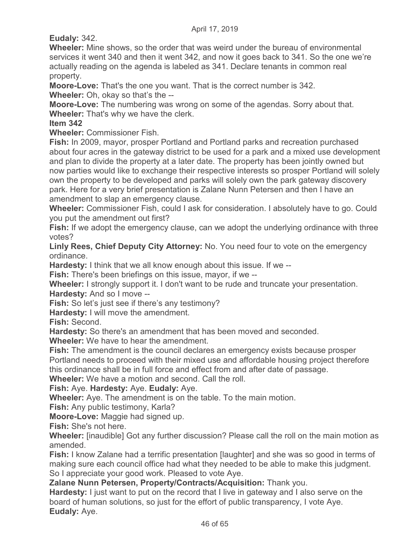**Eudaly:** 342.

**Wheeler:** Mine shows, so the order that was weird under the bureau of environmental services it went 340 and then it went 342, and now it goes back to 341. So the one we're actually reading on the agenda is labeled as 341. Declare tenants in common real property.

**Moore-Love:** That's the one you want. That is the correct number is 342. **Wheeler:** Oh, okay so that's the --

**Moore-Love:** The numbering was wrong on some of the agendas. Sorry about that. **Wheeler:** That's why we have the clerk.

## **Item 342**

**Wheeler:** Commissioner Fish.

**Fish:** In 2009, mayor, prosper Portland and Portland parks and recreation purchased about four acres in the gateway district to be used for a park and a mixed use development and plan to divide the property at a later date. The property has been jointly owned but now parties would like to exchange their respective interests so prosper Portland will solely own the property to be developed and parks will solely own the park gateway discovery park. Here for a very brief presentation is Zalane Nunn Petersen and then I have an amendment to slap an emergency clause.

**Wheeler:** Commissioner Fish, could I ask for consideration. I absolutely have to go. Could you put the amendment out first?

**Fish:** If we adopt the emergency clause, can we adopt the underlying ordinance with three votes?

**Linly Rees, Chief Deputy City Attorney:** No. You need four to vote on the emergency ordinance.

**Hardesty:** I think that we all know enough about this issue. If we --

**Fish:** There's been briefings on this issue, mayor, if we --

**Wheeler:** I strongly support it. I don't want to be rude and truncate your presentation. **Hardesty:** And so I move --

**Fish:** So let's just see if there's any testimony?

**Hardesty:** I will move the amendment.

**Fish:** Second.

**Hardesty:** So there's an amendment that has been moved and seconded.

**Wheeler:** We have to hear the amendment.

**Fish:** The amendment is the council declares an emergency exists because prosper Portland needs to proceed with their mixed use and affordable housing project therefore this ordinance shall be in full force and effect from and after date of passage.

**Wheeler:** We have a motion and second. Call the roll.

**Fish:** Aye. **Hardesty:** Aye. **Eudaly:** Aye.

**Wheeler:** Aye. The amendment is on the table. To the main motion.

**Fish:** Any public testimony, Karla?

**Moore-Love:** Maggie had signed up.

**Fish:** She's not here.

**Wheeler:** [inaudible] Got any further discussion? Please call the roll on the main motion as amended.

**Fish:** I know Zalane had a terrific presentation [laughter] and she was so good in terms of making sure each council office had what they needed to be able to make this judgment. So I appreciate your good work. Pleased to vote Aye.

**Zalane Nunn Petersen, Property/Contracts/Acquisition:** Thank you.

**Hardesty:** I just want to put on the record that I live in gateway and I also serve on the board of human solutions, so just for the effort of public transparency, I vote Aye. **Eudaly:** Aye.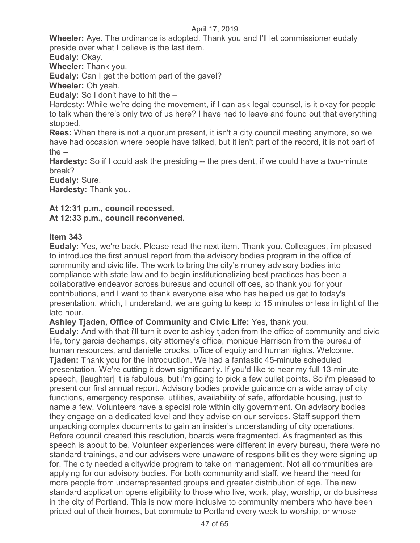**Wheeler:** Aye. The ordinance is adopted. Thank you and I'll let commissioner eudaly preside over what I believe is the last item.

**Eudaly:** Okay.

**Wheeler:** Thank you.

**Eudaly:** Can I get the bottom part of the gavel?

**Wheeler:** Oh yeah.

**Eudaly:** So I don't have to hit the –

Hardesty: While we're doing the movement, if I can ask legal counsel, is it okay for people to talk when there's only two of us here? I have had to leave and found out that everything stopped.

**Rees:** When there is not a quorum present, it isn't a city council meeting anymore, so we have had occasion where people have talked, but it isn't part of the record, it is not part of the  $-$ 

**Hardesty:** So if I could ask the presiding -- the president, if we could have a two-minute break?

**Eudaly:** Sure.

**Hardesty:** Thank you.

## **At 12:31 p.m., council recessed.**

**At 12:33 p.m., council reconvened.**

## **Item 343**

**Eudaly:** Yes, we're back. Please read the next item. Thank you. Colleagues, i'm pleased to introduce the first annual report from the advisory bodies program in the office of community and civic life. The work to bring the city's money advisory bodies into compliance with state law and to begin institutionalizing best practices has been a collaborative endeavor across bureaus and council offices, so thank you for your contributions, and I want to thank everyone else who has helped us get to today's presentation, which, I understand, we are going to keep to 15 minutes or less in light of the late hour.

**Ashley Tjaden, Office of Community and Civic Life:** Yes, thank you.

**Eudaly:** And with that i'll turn it over to ashley tjaden from the office of community and civic life, tony garcia dechamps, city attorney's office, monique Harrison from the bureau of human resources, and danielle brooks, office of equity and human rights. Welcome. **Tjaden:** Thank you for the introduction. We had a fantastic 45-minute scheduled presentation. We're cutting it down significantly. If you'd like to hear my full 13-minute speech, [laughter] it is fabulous, but i'm going to pick a few bullet points. So i'm pleased to present our first annual report. Advisory bodies provide guidance on a wide array of city functions, emergency response, utilities, availability of safe, affordable housing, just to name a few. Volunteers have a special role within city government. On advisory bodies they engage on a dedicated level and they advise on our services. Staff support them unpacking complex documents to gain an insider's understanding of city operations. Before council created this resolution, boards were fragmented. As fragmented as this speech is about to be. Volunteer experiences were different in every bureau, there were no standard trainings, and our advisers were unaware of responsibilities they were signing up for. The city needed a citywide program to take on management. Not all communities are applying for our advisory bodies. For both community and staff, we heard the need for more people from underrepresented groups and greater distribution of age. The new standard application opens eligibility to those who live, work, play, worship, or do business in the city of Portland. This is now more inclusive to community members who have been priced out of their homes, but commute to Portland every week to worship, or whose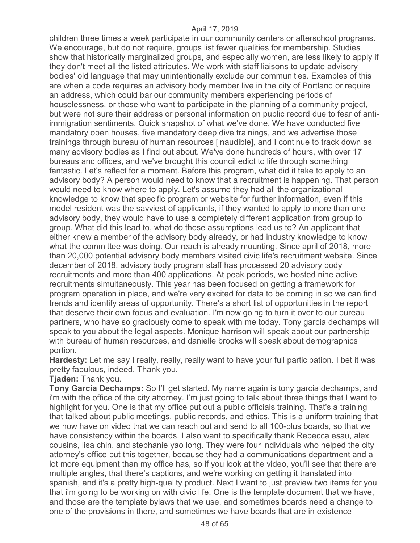children three times a week participate in our community centers or afterschool programs. We encourage, but do not require, groups list fewer qualities for membership. Studies show that historically marginalized groups, and especially women, are less likely to apply if they don't meet all the listed attributes. We work with staff liaisons to update advisory bodies' old language that may unintentionally exclude our communities. Examples of this are when a code requires an advisory body member live in the city of Portland or require an address, which could bar our community members experiencing periods of houselessness, or those who want to participate in the planning of a community project, but were not sure their address or personal information on public record due to fear of antiimmigration sentiments. Quick snapshot of what we've done. We have conducted five mandatory open houses, five mandatory deep dive trainings, and we advertise those trainings through bureau of human resources [inaudible], and I continue to track down as many advisory bodies as I find out about. We've done hundreds of hours, with over 17 bureaus and offices, and we've brought this council edict to life through something fantastic. Let's reflect for a moment. Before this program, what did it take to apply to an advisory body? A person would need to know that a recruitment is happening. That person would need to know where to apply. Let's assume they had all the organizational knowledge to know that specific program or website for further information, even if this model resident was the savviest of applicants, if they wanted to apply to more than one advisory body, they would have to use a completely different application from group to group. What did this lead to, what do these assumptions lead us to? An applicant that either knew a member of the advisory body already, or had industry knowledge to know what the committee was doing. Our reach is already mounting. Since april of 2018, more than 20,000 potential advisory body members visited civic life's recruitment website. Since december of 2018, advisory body program staff has processed 20 advisory body recruitments and more than 400 applications. At peak periods, we hosted nine active recruitments simultaneously. This year has been focused on getting a framework for program operation in place, and we're very excited for data to be coming in so we can find trends and identify areas of opportunity. There's a short list of opportunities in the report that deserve their own focus and evaluation. I'm now going to turn it over to our bureau partners, who have so graciously come to speak with me today. Tony garcia dechamps will speak to you about the legal aspects. Monique harrison will speak about our partnership with bureau of human resources, and danielle brooks will speak about demographics portion.

**Hardesty:** Let me say I really, really, really want to have your full participation. I bet it was pretty fabulous, indeed. Thank you.

**Tjaden:** Thank you.

**Tony Garcia Dechamps:** So I'll get started. My name again is tony garcia dechamps, and i'm with the office of the city attorney. I'm just going to talk about three things that I want to highlight for you. One is that my office put out a public officials training. That's a training that talked about public meetings, public records, and ethics. This is a uniform training that we now have on video that we can reach out and send to all 100-plus boards, so that we have consistency within the boards. I also want to specifically thank Rebecca esau, alex cousins, lisa chin, and stephanie yao long. They were four individuals who helped the city attorney's office put this together, because they had a communications department and a lot more equipment than my office has, so if you look at the video, you'll see that there are multiple angles, that there's captions, and we're working on getting it translated into spanish, and it's a pretty high-quality product. Next I want to just preview two items for you that i'm going to be working on with civic life. One is the template document that we have, and those are the template bylaws that we use, and sometimes boards need a change to one of the provisions in there, and sometimes we have boards that are in existence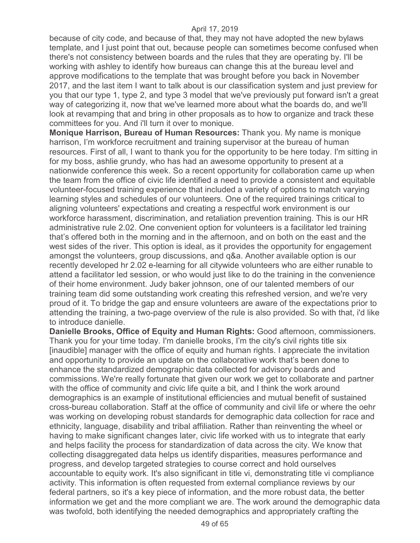because of city code, and because of that, they may not have adopted the new bylaws template, and I just point that out, because people can sometimes become confused when there's not consistency between boards and the rules that they are operating by. I'll be working with ashley to identify how bureaus can change this at the bureau level and approve modifications to the template that was brought before you back in November 2017, and the last item I want to talk about is our classification system and just preview for you that our type 1, type 2, and type 3 model that we've previously put forward isn't a great way of categorizing it, now that we've learned more about what the boards do, and we'll look at revamping that and bring in other proposals as to how to organize and track these committees for you. And i'll turn it over to monique.

**Monique Harrison, Bureau of Human Resources:** Thank you. My name is monique harrison, I'm workforce recruitment and training supervisor at the bureau of human resources. First of all, I want to thank you for the opportunity to be here today. I'm sitting in for my boss, ashlie grundy, who has had an awesome opportunity to present at a nationwide conference this week. So a recent opportunity for collaboration came up when the team from the office of civic life identified a need to provide a consistent and equitable volunteer-focused training experience that included a variety of options to match varying learning styles and schedules of our volunteers. One of the required trainings critical to aligning volunteers' expectations and creating a respectful work environment is our workforce harassment, discrimination, and retaliation prevention training. This is our HR administrative rule 2.02. One convenient option for volunteers is a facilitator led training that's offered both in the morning and in the afternoon, and on both on the east and the west sides of the river. This option is ideal, as it provides the opportunity for engagement amongst the volunteers, group discussions, and q&a. Another available option is our recently developed hr 2.02 e-learning for all citywide volunteers who are either runable to attend a facilitator led session, or who would just like to do the training in the convenience of their home environment. Judy baker johnson, one of our talented members of our training team did some outstanding work creating this refreshed version, and we're very proud of it. To bridge the gap and ensure volunteers are aware of the expectations prior to attending the training, a two-page overview of the rule is also provided. So with that, i'd like to introduce danielle.

**Danielle Brooks, Office of Equity and Human Rights:** Good afternoon, commissioners. Thank you for your time today. I'm danielle brooks, I'm the city's civil rights title six [inaudible] manager with the office of equity and human rights. I appreciate the invitation and opportunity to provide an update on the collaborative work that's been done to enhance the standardized demographic data collected for advisory boards and commissions. We're really fortunate that given our work we get to collaborate and partner with the office of community and civic life quite a bit, and I think the work around demographics is an example of institutional efficiencies and mutual benefit of sustained cross-bureau collaboration. Staff at the office of community and civil life or where the oehr was working on developing robust standards for demographic data collection for race and ethnicity, language, disability and tribal affiliation. Rather than reinventing the wheel or having to make significant changes later, civic life worked with us to integrate that early and helps facility the process for standardization of data across the city. We know that collecting disaggregated data helps us identify disparities, measures performance and progress, and develop targeted strategies to course correct and hold ourselves accountable to equity work. It's also significant in title vi, demonstrating title vi compliance activity. This information is often requested from external compliance reviews by our federal partners, so it's a key piece of information, and the more robust data, the better information we get and the more compliant we are. The work around the demographic data was twofold, both identifying the needed demographics and appropriately crafting the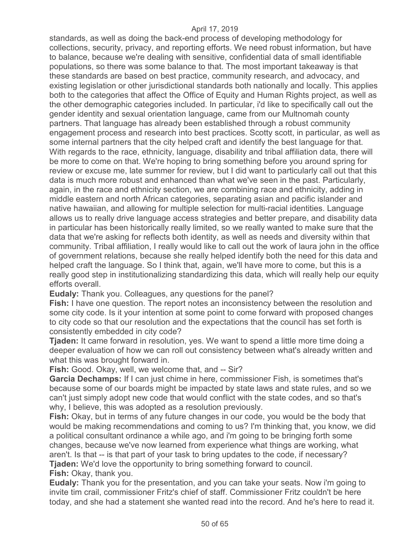standards, as well as doing the back-end process of developing methodology for collections, security, privacy, and reporting efforts. We need robust information, but have to balance, because we're dealing with sensitive, confidential data of small identifiable populations, so there was some balance to that. The most important takeaway is that these standards are based on best practice, community research, and advocacy, and existing legislation or other jurisdictional standards both nationally and locally. This applies both to the categories that affect the Office of Equity and Human Rights project, as well as the other demographic categories included. In particular, i'd like to specifically call out the gender identity and sexual orientation language, came from our Multnomah county partners. That language has already been established through a robust community engagement process and research into best practices. Scotty scott, in particular, as well as some internal partners that the city helped craft and identify the best language for that. With regards to the race, ethnicity, language, disability and tribal affiliation data, there will be more to come on that. We're hoping to bring something before you around spring for review or excuse me, late summer for review, but I did want to particularly call out that this data is much more robust and enhanced than what we've seen in the past. Particularly, again, in the race and ethnicity section, we are combining race and ethnicity, adding in middle eastern and north African categories, separating asian and pacific islander and native hawaiian, and allowing for multiple selection for multi-racial identities. Language allows us to really drive language access strategies and better prepare, and disability data in particular has been historically really limited, so we really wanted to make sure that the data that we're asking for reflects both identity, as well as needs and diversity within that community. Tribal affiliation, I really would like to call out the work of laura john in the office of government relations, because she really helped identify both the need for this data and helped craft the language. So I think that, again, we'll have more to come, but this is a really good step in institutionalizing standardizing this data, which will really help our equity efforts overall.

**Eudaly:** Thank you. Colleagues, any questions for the panel?

**Fish:** I have one question. The report notes an inconsistency between the resolution and some city code. Is it your intention at some point to come forward with proposed changes to city code so that our resolution and the expectations that the council has set forth is consistently embedded in city code?

**Tjaden:** It came forward in resolution, yes. We want to spend a little more time doing a deeper evaluation of how we can roll out consistency between what's already written and what this was brought forward in.

**Fish:** Good. Okay, well, we welcome that, and -- Sir?

**Garcia Dechamps:** If I can just chime in here, commissioner Fish, is sometimes that's because some of our boards might be impacted by state laws and state rules, and so we can't just simply adopt new code that would conflict with the state codes, and so that's why, I believe, this was adopted as a resolution previously.

**Fish:** Okay, but in terms of any future changes in our code, you would be the body that would be making recommendations and coming to us? I'm thinking that, you know, we did a political consultant ordinance a while ago, and i'm going to be bringing forth some changes, because we've now learned from experience what things are working, what aren't. Is that -- is that part of your task to bring updates to the code, if necessary? **Tjaden:** We'd love the opportunity to bring something forward to council.

**Fish:** Okay, thank you.

**Eudaly:** Thank you for the presentation, and you can take your seats. Now i'm going to invite tim crail, commissioner Fritz's chief of staff. Commissioner Fritz couldn't be here today, and she had a statement she wanted read into the record. And he's here to read it.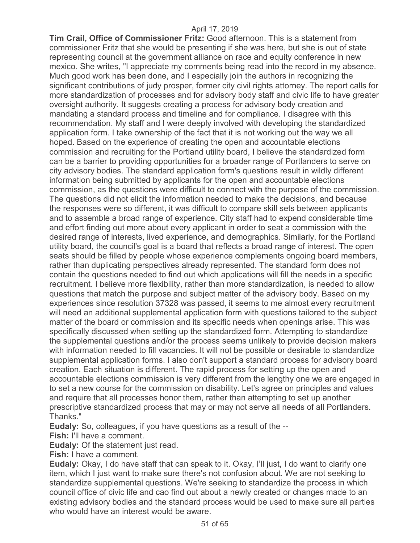**Tim Crail, Office of Commissioner Fritz:** Good afternoon. This is a statement from commissioner Fritz that she would be presenting if she was here, but she is out of state representing council at the government alliance on race and equity conference in new mexico. She writes, "I appreciate my comments being read into the record in my absence. Much good work has been done, and I especially join the authors in recognizing the significant contributions of judy prosper, former city civil rights attorney. The report calls for more standardization of processes and for advisory body staff and civic life to have greater oversight authority. It suggests creating a process for advisory body creation and mandating a standard process and timeline and for compliance. I disagree with this recommendation. My staff and I were deeply involved with developing the standardized application form. I take ownership of the fact that it is not working out the way we all hoped. Based on the experience of creating the open and accountable elections commission and recruiting for the Portland utility board, I believe the standardized form can be a barrier to providing opportunities for a broader range of Portlanders to serve on city advisory bodies. The standard application form's questions result in wildly different information being submitted by applicants for the open and accountable elections commission, as the questions were difficult to connect with the purpose of the commission. The questions did not elicit the information needed to make the decisions, and because the responses were so different, it was difficult to compare skill sets between applicants and to assemble a broad range of experience. City staff had to expend considerable time and effort finding out more about every applicant in order to seat a commission with the desired range of interests, lived experience, and demographics. Similarly, for the Portland utility board, the council's goal is a board that reflects a broad range of interest. The open seats should be filled by people whose experience complements ongoing board members, rather than duplicating perspectives already represented. The standard form does not contain the questions needed to find out which applications will fill the needs in a specific recruitment. I believe more flexibility, rather than more standardization, is needed to allow questions that match the purpose and subject matter of the advisory body. Based on my experiences since resolution 37328 was passed, it seems to me almost every recruitment will need an additional supplemental application form with questions tailored to the subject matter of the board or commission and its specific needs when openings arise. This was specifically discussed when setting up the standardized form. Attempting to standardize the supplemental questions and/or the process seems unlikely to provide decision makers with information needed to fill vacancies. It will not be possible or desirable to standardize supplemental application forms. I also don't support a standard process for advisory board creation. Each situation is different. The rapid process for setting up the open and accountable elections commission is very different from the lengthy one we are engaged in to set a new course for the commission on disability. Let's agree on principles and values and require that all processes honor them, rather than attempting to set up another prescriptive standardized process that may or may not serve all needs of all Portlanders. Thanks."

**Eudaly:** So, colleagues, if you have questions as a result of the --

**Fish:** I'll have a comment.

**Eudaly:** Of the statement just read.

**Fish:** I have a comment.

**Eudaly:** Okay, I do have staff that can speak to it. Okay, I'll just, I do want to clarify one item, which I just want to make sure there's not confusion about. We are not seeking to standardize supplemental questions. We're seeking to standardize the process in which council office of civic life and cao find out about a newly created or changes made to an existing advisory bodies and the standard process would be used to make sure all parties who would have an interest would be aware.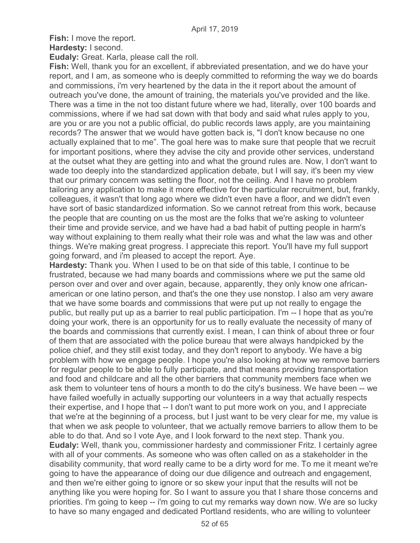**Fish:** I move the report. **Hardesty:** I second.

**Eudaly:** Great. Karla, please call the roll.

**Fish:** Well, thank you for an excellent, if abbreviated presentation, and we do have your report, and I am, as someone who is deeply committed to reforming the way we do boards and commissions, i'm very heartened by the data in the it report about the amount of outreach you've done, the amount of training, the materials you've provided and the like. There was a time in the not too distant future where we had, literally, over 100 boards and commissions, where if we had sat down with that body and said what rules apply to you, are you or are you not a public official, do public records laws apply, are you maintaining records? The answer that we would have gotten back is, "I don't know because no one actually explained that to me". The goal here was to make sure that people that we recruit for important positions, where they advise the city and provide other services, understand at the outset what they are getting into and what the ground rules are. Now, I don't want to wade too deeply into the standardized application debate, but I will say, it's been my view that our primary concern was setting the floor, not the ceiling. And I have no problem tailoring any application to make it more effective for the particular recruitment, but, frankly, colleagues, it wasn't that long ago where we didn't even have a floor, and we didn't even have sort of basic standardized information. So we cannot retreat from this work, because the people that are counting on us the most are the folks that we're asking to volunteer their time and provide service, and we have had a bad habit of putting people in harm's way without explaining to them really what their role was and what the law was and other things. We're making great progress. I appreciate this report. You'll have my full support going forward, and i'm pleased to accept the report. Aye.

**Hardesty:** Thank you. When I used to be on that side of this table, I continue to be frustrated, because we had many boards and commissions where we put the same old person over and over and over again, because, apparently, they only know one africanamerican or one latino person, and that's the one they use nonstop. I also am very aware that we have some boards and commissions that were put up not really to engage the public, but really put up as a barrier to real public participation. I'm -- I hope that as you're doing your work, there is an opportunity for us to really evaluate the necessity of many of the boards and commissions that currently exist. I mean, I can think of about three or four of them that are associated with the police bureau that were always handpicked by the police chief, and they still exist today, and they don't report to anybody. We have a big problem with how we engage people. I hope you're also looking at how we remove barriers for regular people to be able to fully participate, and that means providing transportation and food and childcare and all the other barriers that community members face when we ask them to volunteer tens of hours a month to do the city's business. We have been -- we have failed woefully in actually supporting our volunteers in a way that actually respects their expertise, and I hope that -- I don't want to put more work on you, and I appreciate that we're at the beginning of a process, but I just want to be very clear for me, my value is that when we ask people to volunteer, that we actually remove barriers to allow them to be able to do that. And so I vote Aye, and I look forward to the next step. Thank you. **Eudaly:** Well, thank you, commissioner hardesty and commissioner Fritz. I certainly agree with all of your comments. As someone who was often called on as a stakeholder in the disability community, that word really came to be a dirty word for me. To me it meant we're going to have the appearance of doing our due diligence and outreach and engagement, and then we're either going to ignore or so skew your input that the results will not be anything like you were hoping for. So I want to assure you that I share those concerns and priorities. I'm going to keep -- i'm going to cut my remarks way down now. We are so lucky to have so many engaged and dedicated Portland residents, who are willing to volunteer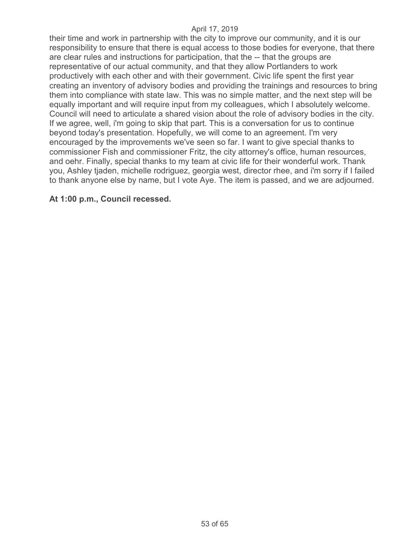their time and work in partnership with the city to improve our community, and it is our responsibility to ensure that there is equal access to those bodies for everyone, that there are clear rules and instructions for participation, that the -- that the groups are representative of our actual community, and that they allow Portlanders to work productively with each other and with their government. Civic life spent the first year creating an inventory of advisory bodies and providing the trainings and resources to bring them into compliance with state law. This was no simple matter, and the next step will be equally important and will require input from my colleagues, which I absolutely welcome. Council will need to articulate a shared vision about the role of advisory bodies in the city. If we agree, well, i'm going to skip that part. This is a conversation for us to continue beyond today's presentation. Hopefully, we will come to an agreement. I'm very encouraged by the improvements we've seen so far. I want to give special thanks to commissioner Fish and commissioner Fritz, the city attorney's office, human resources, and oehr. Finally, special thanks to my team at civic life for their wonderful work. Thank you, Ashley tjaden, michelle rodriguez, georgia west, director rhee, and i'm sorry if I failed to thank anyone else by name, but I vote Aye. The item is passed, and we are adjourned.

### **At 1:00 p.m., Council recessed.**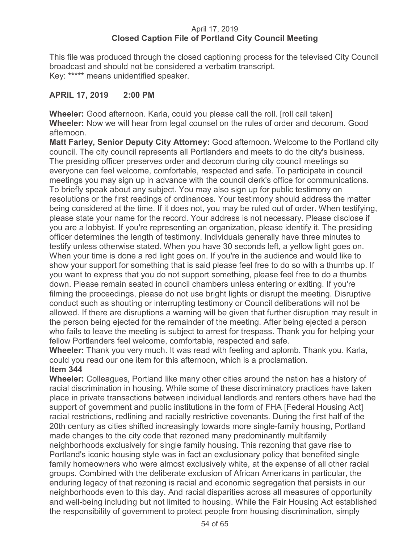## April 17, 2019 **Closed Caption File of Portland City Council Meeting**

This file was produced through the closed captioning process for the televised City Council broadcast and should not be considered a verbatim transcript. Key: **\*\*\*\*\*** means unidentified speaker.

## **APRIL 17, 2019 2:00 PM**

**Wheeler:** Good afternoon. Karla, could you please call the roll. [roll call taken] **Wheeler:** Now we will hear from legal counsel on the rules of order and decorum. Good afternoon.

**Matt Farley, Senior Deputy City Attorney:** Good afternoon. Welcome to the Portland city council. The city council represents all Portlanders and meets to do the city's business. The presiding officer preserves order and decorum during city council meetings so everyone can feel welcome, comfortable, respected and safe. To participate in council meetings you may sign up in advance with the council clerk's office for communications. To briefly speak about any subject. You may also sign up for public testimony on resolutions or the first readings of ordinances. Your testimony should address the matter being considered at the time. If it does not, you may be ruled out of order. When testifying, please state your name for the record. Your address is not necessary. Please disclose if you are a lobbyist. If you're representing an organization, please identify it. The presiding officer determines the length of testimony. Individuals generally have three minutes to testify unless otherwise stated. When you have 30 seconds left, a yellow light goes on. When your time is done a red light goes on. If you're in the audience and would like to show your support for something that is said please feel free to do so with a thumbs up. If you want to express that you do not support something, please feel free to do a thumbs down. Please remain seated in council chambers unless entering or exiting. If you're filming the proceedings, please do not use bright lights or disrupt the meeting. Disruptive conduct such as shouting or interrupting testimony or Council deliberations will not be allowed. If there are disruptions a warning will be given that further disruption may result in the person being ejected for the remainder of the meeting. After being ejected a person who fails to leave the meeting is subject to arrest for trespass. Thank you for helping your fellow Portlanders feel welcome, comfortable, respected and safe.

**Wheeler:** Thank you very much. It was read with feeling and aplomb. Thank you. Karla, could you read our one item for this afternoon, which is a proclamation.

**Item 344** 

**Wheeler:** Colleagues, Portland like many other cities around the nation has a history of racial discrimination in housing. While some of these discriminatory practices have taken place in private transactions between individual landlords and renters others have had the support of government and public institutions in the form of FHA [Federal Housing Act] racial restrictions, redlining and racially restrictive covenants. During the first half of the 20th century as cities shifted increasingly towards more single-family housing, Portland made changes to the city code that rezoned many predominantly multifamily neighborhoods exclusively for single family housing. This rezoning that gave rise to Portland's iconic housing style was in fact an exclusionary policy that benefited single family homeowners who were almost exclusively white, at the expense of all other racial groups. Combined with the deliberate exclusion of African Americans in particular, the enduring legacy of that rezoning is racial and economic segregation that persists in our neighborhoods even to this day. And racial disparities across all measures of opportunity and well-being including but not limited to housing. While the Fair Housing Act established the responsibility of government to protect people from housing discrimination, simply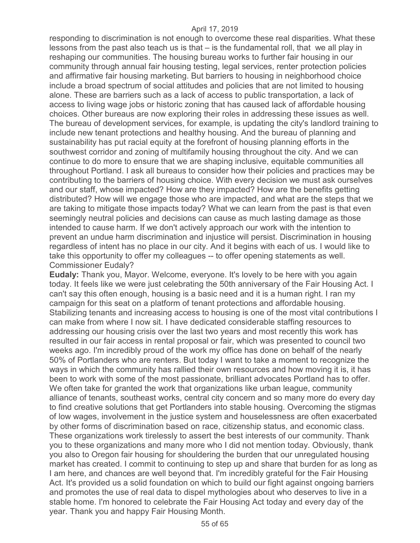responding to discrimination is not enough to overcome these real disparities. What these lessons from the past also teach us is that – is the fundamental roll, that we all play in reshaping our communities. The housing bureau works to further fair housing in our community through annual fair housing testing, legal services, renter protection policies and affirmative fair housing marketing. But barriers to housing in neighborhood choice include a broad spectrum of social attitudes and policies that are not limited to housing alone. These are barriers such as a lack of access to public transportation, a lack of access to living wage jobs or historic zoning that has caused lack of affordable housing choices. Other bureaus are now exploring their roles in addressing these issues as well. The bureau of development services, for example, is updating the city's landlord training to include new tenant protections and healthy housing. And the bureau of planning and sustainability has put racial equity at the forefront of housing planning efforts in the southwest corridor and zoning of multifamily housing throughout the city. And we can continue to do more to ensure that we are shaping inclusive, equitable communities all throughout Portland. I ask all bureaus to consider how their policies and practices may be contributing to the barriers of housing choice. With every decision we must ask ourselves and our staff, whose impacted? How are they impacted? How are the benefits getting distributed? How will we engage those who are impacted, and what are the steps that we are taking to mitigate those impacts today? What we can learn from the past is that even seemingly neutral policies and decisions can cause as much lasting damage as those intended to cause harm. If we don't actively approach our work with the intention to prevent an undue harm discrimination and injustice will persist. Discrimination in housing regardless of intent has no place in our city. And it begins with each of us. I would like to take this opportunity to offer my colleagues -- to offer opening statements as well. Commissioner Eudaly?

**Eudaly:** Thank you, Mayor. Welcome, everyone. It's lovely to be here with you again today. It feels like we were just celebrating the 50th anniversary of the Fair Housing Act. I can't say this often enough, housing is a basic need and it is a human right. I ran my campaign for this seat on a platform of tenant protections and affordable housing. Stabilizing tenants and increasing access to housing is one of the most vital contributions I can make from where I now sit. I have dedicated considerable staffing resources to addressing our housing crisis over the last two years and most recently this work has resulted in our fair access in rental proposal or fair, which was presented to council two weeks ago. I'm incredibly proud of the work my office has done on behalf of the nearly 50% of Portlanders who are renters. But today I want to take a moment to recognize the ways in which the community has rallied their own resources and how moving it is, it has been to work with some of the most passionate, brilliant advocates Portland has to offer. We often take for granted the work that organizations like urban league, community alliance of tenants, southeast works, central city concern and so many more do every day to find creative solutions that get Portlanders into stable housing. Overcoming the stigmas of low wages, involvement in the justice system and houselessness are often exacerbated by other forms of discrimination based on race, citizenship status, and economic class. These organizations work tirelessly to assert the best interests of our community. Thank you to these organizations and many more who I did not mention today. Obviously, thank you also to Oregon fair housing for shouldering the burden that our unregulated housing market has created. I commit to continuing to step up and share that burden for as long as I am here, and chances are well beyond that. I'm incredibly grateful for the Fair Housing Act. It's provided us a solid foundation on which to build our fight against ongoing barriers and promotes the use of real data to dispel mythologies about who deserves to live in a stable home. I'm honored to celebrate the Fair Housing Act today and every day of the year. Thank you and happy Fair Housing Month.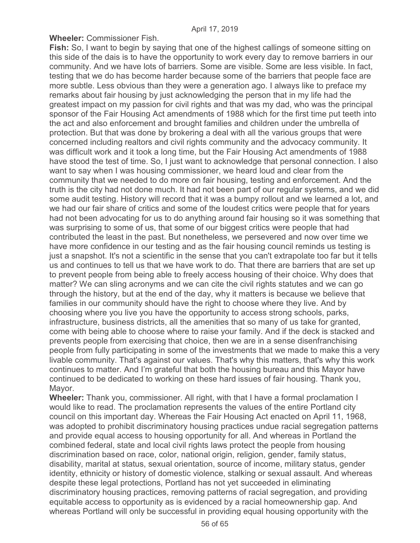**Wheeler:** Commissioner Fish.

**Fish:** So, I want to begin by saying that one of the highest callings of someone sitting on this side of the dais is to have the opportunity to work every day to remove barriers in our community. And we have lots of barriers. Some are visible. Some are less visible. In fact, testing that we do has become harder because some of the barriers that people face are more subtle. Less obvious than they were a generation ago. I always like to preface my remarks about fair housing by just acknowledging the person that in my life had the greatest impact on my passion for civil rights and that was my dad, who was the principal sponsor of the Fair Housing Act amendments of 1988 which for the first time put teeth into the act and also enforcement and brought families and children under the umbrella of protection. But that was done by brokering a deal with all the various groups that were concerned including realtors and civil rights community and the advocacy community. It was difficult work and it took a long time, but the Fair Housing Act amendments of 1988 have stood the test of time. So, I just want to acknowledge that personal connection. I also want to say when I was housing commissioner, we heard loud and clear from the community that we needed to do more on fair housing, testing and enforcement. And the truth is the city had not done much. It had not been part of our regular systems, and we did some audit testing. History will record that it was a bumpy rollout and we learned a lot, and we had our fair share of critics and some of the loudest critics were people that for years had not been advocating for us to do anything around fair housing so it was something that was surprising to some of us, that some of our biggest critics were people that had contributed the least in the past. But nonetheless, we persevered and now over time we have more confidence in our testing and as the fair housing council reminds us testing is just a snapshot. It's not a scientific in the sense that you can't extrapolate too far but it tells us and continues to tell us that we have work to do. That there are barriers that are set up to prevent people from being able to freely access housing of their choice. Why does that matter? We can sling acronyms and we can cite the civil rights statutes and we can go through the history, but at the end of the day, why it matters is because we believe that families in our community should have the right to choose where they live. And by choosing where you live you have the opportunity to access strong schools, parks, infrastructure, business districts, all the amenities that so many of us take for granted, come with being able to choose where to raise your family. And if the deck is stacked and prevents people from exercising that choice, then we are in a sense disenfranchising people from fully participating in some of the investments that we made to make this a very livable community. That's against our values. That's why this matters, that's why this work continues to matter. And I'm grateful that both the housing bureau and this Mayor have continued to be dedicated to working on these hard issues of fair housing. Thank you, Mayor.

**Wheeler:** Thank you, commissioner. All right, with that I have a formal proclamation I would like to read. The proclamation represents the values of the entire Portland city council on this important day. Whereas the Fair Housing Act enacted on April 11, 1968, was adopted to prohibit discriminatory housing practices undue racial segregation patterns and provide equal access to housing opportunity for all. And whereas in Portland the combined federal, state and local civil rights laws protect the people from housing discrimination based on race, color, national origin, religion, gender, family status, disability, marital at status, sexual orientation, source of income, military status, gender identity, ethnicity or history of domestic violence, stalking or sexual assault. And whereas despite these legal protections, Portland has not yet succeeded in eliminating discriminatory housing practices, removing patterns of racial segregation, and providing equitable access to opportunity as is evidenced by a racial homeownership gap. And whereas Portland will only be successful in providing equal housing opportunity with the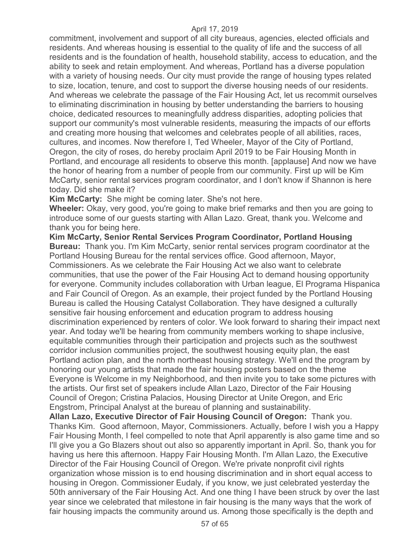commitment, involvement and support of all city bureaus, agencies, elected officials and residents. And whereas housing is essential to the quality of life and the success of all residents and is the foundation of health, household stability, access to education, and the ability to seek and retain employment. And whereas, Portland has a diverse population with a variety of housing needs. Our city must provide the range of housing types related to size, location, tenure, and cost to support the diverse housing needs of our residents. And whereas we celebrate the passage of the Fair Housing Act, let us recommit ourselves to eliminating discrimination in housing by better understanding the barriers to housing choice, dedicated resources to meaningfully address disparities, adopting policies that support our community's most vulnerable residents, measuring the impacts of our efforts and creating more housing that welcomes and celebrates people of all abilities, races, cultures, and incomes. Now therefore I, Ted Wheeler, Mayor of the City of Portland, Oregon, the city of roses, do hereby proclaim April 2019 to be Fair Housing Month in Portland, and encourage all residents to observe this month. [applause] And now we have the honor of hearing from a number of people from our community. First up will be Kim McCarty, senior rental services program coordinator, and I don't know if Shannon is here today. Did she make it?

**Kim McCarty:** She might be coming later. She's not here.

**Wheeler:** Okay, very good, you're going to make brief remarks and then you are going to introduce some of our guests starting with Allan Lazo. Great, thank you. Welcome and thank you for being here.

**Kim McCarty, Senior Rental Services Program Coordinator, Portland Housing Bureau:** Thank you. I'm Kim McCarty, senior rental services program coordinator at the Portland Housing Bureau for the rental services office. Good afternoon, Mayor, Commissioners. As we celebrate the Fair Housing Act we also want to celebrate communities, that use the power of the Fair Housing Act to demand housing opportunity for everyone. Community includes collaboration with Urban league, El Programa Hispanica and Fair Council of Oregon. As an example, their project funded by the Portland Housing Bureau is called the Housing Catalyst Collaboration. They have designed a culturally sensitive fair housing enforcement and education program to address housing discrimination experienced by renters of color. We look forward to sharing their impact next year. And today we'll be hearing from community members working to shape inclusive, equitable communities through their participation and projects such as the southwest corridor inclusion communities project, the southwest housing equity plan, the east Portland action plan, and the north northeast housing strategy. We'll end the program by honoring our young artists that made the fair housing posters based on the theme Everyone is Welcome in my Neighborhood, and then invite you to take some pictures with the artists. Our first set of speakers include Allan Lazo, Director of the Fair Housing Council of Oregon; Cristina Palacios, Housing Director at Unite Oregon, and Eric Engstrom, Principal Analyst at the bureau of planning and sustainability. **Allan Lazo, Executive Director of Fair Housing Council of Oregon:** Thank you. Thanks Kim. Good afternoon, Mayor, Commissioners. Actually, before I wish you a Happy

Fair Housing Month, I feel compelled to note that April apparently is also game time and so I'll give you a Go Blazers shout out also so apparently important in April. So, thank you for having us here this afternoon. Happy Fair Housing Month. I'm Allan Lazo, the Executive Director of the Fair Housing Council of Oregon. We're private nonprofit civil rights organization whose mission is to end housing discrimination and in short equal access to housing in Oregon. Commissioner Eudaly, if you know, we just celebrated yesterday the 50th anniversary of the Fair Housing Act. And one thing I have been struck by over the last year since we celebrated that milestone in fair housing is the many ways that the work of fair housing impacts the community around us. Among those specifically is the depth and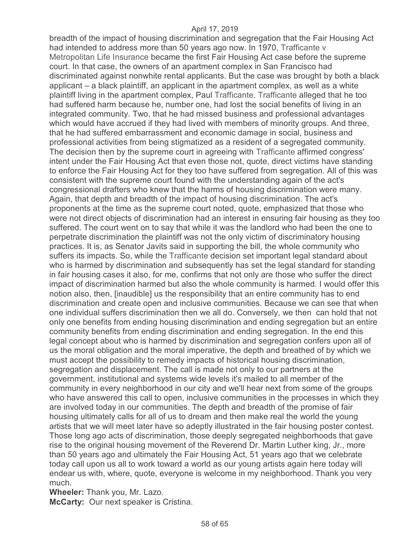breadth of the impact of housing discrimination and segregation that the Fair Housing Act had intended to address more than 50 years ago now. In 1970, Trafficante v Metropolitan Life Insurance became the first Fair Housing Act case before the supreme court. In that case, the owners of an apartment complex in San Francisco had discriminated against nonwhite rental applicants. But the case was brought by both a black applicant – a black plaintiff, an applicant in the apartment complex, as well as a white plaintiff living in the apartment complex, Paul Trafficante. Trafficante alleged that he too had suffered harm because he, number one, had lost the social benefits of living in an integrated community. Two, that he had missed business and professional advantages which would have accrued if they had lived with members of minority groups. And three, that he had suffered embarrassment and economic damage in social, business and professional activities from being stigmatized as a resident of a segregated community. The decision then by the supreme court in agreeing with Trafficante affirmed congress' intent under the Fair Housing Act that even those not, quote, direct victims have standing to enforce the Fair Housing Act for they too have suffered from segregation. All of this was consistent with the supreme court found with the understanding again of the act's congressional drafters who knew that the harms of housing discrimination were many. Again, that depth and breadth of the impact of housing discrimination. The act's proponents at the time as the supreme court noted, quote, emphasized that those who were not direct objects of discrimination had an interest in ensuring fair housing as they too suffered. The court went on to say that while it was the landlord who had been the one to perpetrate discrimination the plaintiff was not the only victim of discriminatory housing practices. It is, as Senator Javits said in supporting the bill, the whole community who suffers its impacts. So, while the Trafficante decision set important legal standard about who is harmed by discrimination and subsequently has set the legal standard for standing in fair housing cases it also, for me, confirms that not only are those who suffer the direct impact of discrimination harmed but also the whole community is harmed. I would offer this notion also, then, [inaudible] us the responsibility that an entire community has to end discrimination and create open and inclusive communities. Because we can see that when one individual suffers discrimination then we all do. Conversely, we then can hold that not only one benefits from ending housing discrimination and ending segregation but an entire community benefits from ending discrimination and ending segregation. In the end this legal concept about who is harmed by discrimination and segregation confers upon all of us the moral obligation and the moral imperative, the depth and breathed of by which we must accept the possibility to remedy impacts of historical housing discrimination, segregation and displacement. The call is made not only to our partners at the government, institutional and systems wide levels it's mailed to all member of the community in every neighborhood in our city and we'll hear next from some of the groups who have answered this call to open, inclusive communities in the processes in which they are involved today in our communities. The depth and breadth of the promise of fair housing ultimately calls for all of us to dream and then make real the world the young artists that we will meet later have so adeptly illustrated in the fair housing poster contest. Those long ago acts of discrimination, those deeply segregated neighborhoods that gave rise to the original housing movement of the Reverend Dr. Martin Luther king, Jr., more than 50 years ago and ultimately the Fair Housing Act, 51 years ago that we celebrate today call upon us all to work toward a world as our young artists again here today will endear us with, where, quote, everyone is welcome in my neighborhood. Thank you very much.

**Wheeler:** Thank you, Mr. Lazo. **McCarty:** Our next speaker is Cristina.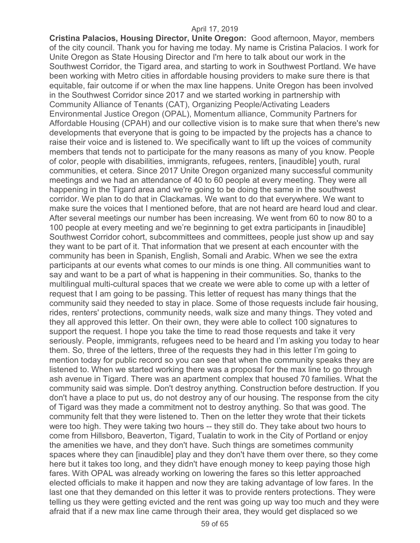**Cristina Palacios, Housing Director, Unite Oregon:** Good afternoon, Mayor, members of the city council. Thank you for having me today. My name is Cristina Palacios. I work for Unite Oregon as State Housing Director and I'm here to talk about our work in the Southwest Corridor, the Tigard area, and starting to work in Southwest Portland. We have been working with Metro cities in affordable housing providers to make sure there is that equitable, fair outcome if or when the max line happens. Unite Oregon has been involved in the Southwest Corridor since 2017 and we started working in partnership with Community Alliance of Tenants (CAT), Organizing People/Activating Leaders Environmental Justice Oregon (OPAL), Momentum alliance, Community Partners for Affordable Housing (CPAH) and our collective vision is to make sure that when there's new developments that everyone that is going to be impacted by the projects has a chance to raise their voice and is listened to. We specifically want to lift up the voices of community members that tends not to participate for the many reasons as many of you know. People of color, people with disabilities, immigrants, refugees, renters, [inaudible] youth, rural communities, et cetera. Since 2017 Unite Oregon organized many successful community meetings and we had an attendance of 40 to 60 people at every meeting. They were all happening in the Tigard area and we're going to be doing the same in the southwest corridor. We plan to do that in Clackamas. We want to do that everywhere. We want to make sure the voices that I mentioned before, that are not heard are heard loud and clear. After several meetings our number has been increasing. We went from 60 to now 80 to a 100 people at every meeting and we're beginning to get extra participants in [inaudible] Southwest Corridor cohort, subcommittees and committees, people just show up and say they want to be part of it. That information that we present at each encounter with the community has been in Spanish, English, Somali and Arabic. When we see the extra participants at our events what comes to our minds is one thing. All communities want to say and want to be a part of what is happening in their communities. So, thanks to the multilingual multi-cultural spaces that we create we were able to come up with a letter of request that I am going to be passing. This letter of request has many things that the community said they needed to stay in place. Some of those requests include fair housing, rides, renters' protections, community needs, walk size and many things. They voted and they all approved this letter. On their own, they were able to collect 100 signatures to support the request. I hope you take the time to read those requests and take it very seriously. People, immigrants, refugees need to be heard and I'm asking you today to hear them. So, three of the letters, three of the requests they had in this letter I'm going to mention today for public record so you can see that when the community speaks they are listened to. When we started working there was a proposal for the max line to go through ash avenue in Tigard. There was an apartment complex that housed 70 families. What the community said was simple. Don't destroy anything. Construction before destruction. If you don't have a place to put us, do not destroy any of our housing. The response from the city of Tigard was they made a commitment not to destroy anything. So that was good. The community felt that they were listened to. Then on the letter they wrote that their tickets were too high. They were taking two hours -- they still do. They take about two hours to come from Hillsboro, Beaverton, Tigard, Tualatin to work in the City of Portland or enjoy the amenities we have, and they don't have. Such things are sometimes community spaces where they can [inaudible] play and they don't have them over there, so they come here but it takes too long, and they didn't have enough money to keep paying those high fares. With OPAL was already working on lowering the fares so this letter approached elected officials to make it happen and now they are taking advantage of low fares. In the last one that they demanded on this letter it was to provide renters protections. They were telling us they were getting evicted and the rent was going up way too much and they were afraid that if a new max line came through their area, they would get displaced so we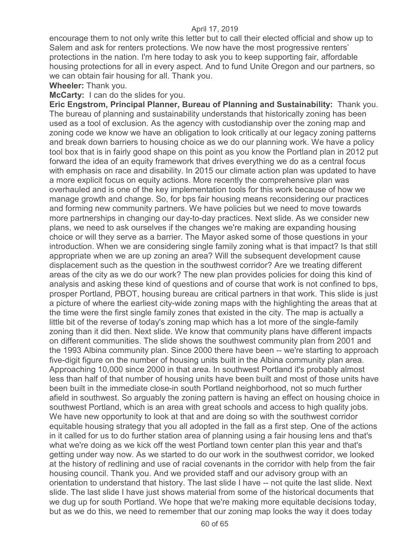encourage them to not only write this letter but to call their elected official and show up to Salem and ask for renters protections. We now have the most progressive renters' protections in the nation. I'm here today to ask you to keep supporting fair, affordable housing protections for all in every aspect. And to fund Unite Oregon and our partners, so we can obtain fair housing for all. Thank you.

**Wheeler:** Thank you.

#### **McCarty:** I can do the slides for you.

**Eric Engstrom, Principal Planner, Bureau of Planning and Sustainability:** Thank you. The bureau of planning and sustainability understands that historically zoning has been used as a tool of exclusion. As the agency with custodianship over the zoning map and zoning code we know we have an obligation to look critically at our legacy zoning patterns and break down barriers to housing choice as we do our planning work. We have a policy tool box that is in fairly good shape on this point as you know the Portland plan in 2012 put forward the idea of an equity framework that drives everything we do as a central focus with emphasis on race and disability. In 2015 our climate action plan was updated to have a more explicit focus on equity actions. More recently the comprehensive plan was overhauled and is one of the key implementation tools for this work because of how we manage growth and change. So, for bps fair housing means reconsidering our practices and forming new community partners. We have policies but we need to move towards more partnerships in changing our day-to-day practices. Next slide. As we consider new plans, we need to ask ourselves if the changes we're making are expanding housing choice or will they serve as a barrier. The Mayor asked some of those questions in your introduction. When we are considering single family zoning what is that impact? Is that still appropriate when we are up zoning an area? Will the subsequent development cause displacement such as the question in the southwest corridor? Are we treating different areas of the city as we do our work? The new plan provides policies for doing this kind of analysis and asking these kind of questions and of course that work is not confined to bps, prosper Portland, PBOT, housing bureau are critical partners in that work. This slide is just a picture of where the earliest city-wide zoning maps with the highlighting the areas that at the time were the first single family zones that existed in the city. The map is actually a little bit of the reverse of today's zoning map which has a lot more of the single-family zoning than it did then. Next slide. We know that community plans have different impacts on different communities. The slide shows the southwest community plan from 2001 and the 1993 Albina community plan. Since 2000 there have been -- we're starting to approach five-digit figure on the number of housing units built in the Albina community plan area. Approaching 10,000 since 2000 in that area. In southwest Portland it's probably almost less than half of that number of housing units have been built and most of those units have been built in the immediate close-in south Portland neighborhood, not so much further afield in southwest. So arguably the zoning pattern is having an effect on housing choice in southwest Portland, which is an area with great schools and access to high quality jobs. We have new opportunity to look at that and are doing so with the southwest corridor equitable housing strategy that you all adopted in the fall as a first step. One of the actions in it called for us to do further station area of planning using a fair housing lens and that's what we're doing as we kick off the west Portland town center plan this year and that's getting under way now. As we started to do our work in the southwest corridor, we looked at the history of redlining and use of racial covenants in the corridor with help from the fair housing council. Thank you. And we provided staff and our advisory group with an orientation to understand that history. The last slide I have -- not quite the last slide. Next slide. The last slide I have just shows material from some of the historical documents that we dug up for south Portland. We hope that we're making more equitable decisions today, but as we do this, we need to remember that our zoning map looks the way it does today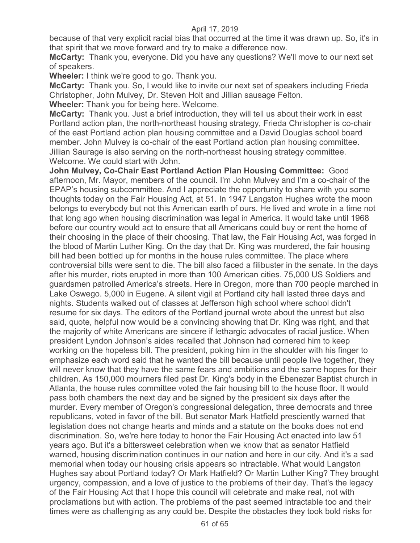because of that very explicit racial bias that occurred at the time it was drawn up. So, it's in that spirit that we move forward and try to make a difference now.

**McCarty:** Thank you, everyone. Did you have any questions? We'll move to our next set of speakers.

**Wheeler:** I think we're good to go. Thank you.

**McCarty:** Thank you. So, I would like to invite our next set of speakers including Frieda Christopher, John Mulvey, Dr. Steven Holt and Jillian sausage Felton.

**Wheeler:** Thank you for being here. Welcome.

**McCarty:** Thank you. Just a brief introduction, they will tell us about their work in east Portland action plan, the north-northeast housing strategy, Frieda Christopher is co-chair of the east Portland action plan housing committee and a David Douglas school board member. John Mulvey is co-chair of the east Portland action plan housing committee. Jillian Saurage is also serving on the north-northeast housing strategy committee. Welcome. We could start with John.

**John Mulvey, Co-Chair East Portland Action Plan Housing Committee:** Good afternoon, Mr. Mayor, members of the council. I'm John Mulvey and I'm a co-chair of the EPAP's housing subcommittee. And I appreciate the opportunity to share with you some thoughts today on the Fair Housing Act, at 51. In 1947 Langston Hughes wrote the moon belongs to everybody but not this American earth of ours. He lived and wrote in a time not that long ago when housing discrimination was legal in America. It would take until 1968 before our country would act to ensure that all Americans could buy or rent the home of their choosing in the place of their choosing. That law, the Fair Housing Act, was forged in the blood of Martin Luther King. On the day that Dr. King was murdered, the fair housing bill had been bottled up for months in the house rules committee. The place where controversial bills were sent to die. The bill also faced a filibuster in the senate. In the days after his murder, riots erupted in more than 100 American cities. 75,000 US Soldiers and guardsmen patrolled America's streets. Here in Oregon, more than 700 people marched in Lake Oswego. 5,000 in Eugene. A silent vigil at Portland city hall lasted three days and nights. Students walked out of classes at Jefferson high school where school didn't resume for six days. The editors of the Portland journal wrote about the unrest but also said, quote, helpful now would be a convincing showing that Dr. King was right, and that the majority of white Americans are sincere if lethargic advocates of racial justice. When president Lyndon Johnson's aides recalled that Johnson had cornered him to keep working on the hopeless bill. The president, poking him in the shoulder with his finger to emphasize each word said that he wanted the bill because until people live together, they will never know that they have the same fears and ambitions and the same hopes for their children. As 150,000 mourners filed past Dr. King's body in the Ebenezer Baptist church in Atlanta, the house rules committee voted the fair housing bill to the house floor. It would pass both chambers the next day and be signed by the president six days after the murder. Every member of Oregon's congressional delegation, three democrats and three republicans, voted in favor of the bill. But senator Mark Hatfield presciently warned that legislation does not change hearts and minds and a statute on the books does not end discrimination. So, we're here today to honor the Fair Housing Act enacted into law 51 years ago. But it's a bittersweet celebration when we know that as senator Hatfield warned, housing discrimination continues in our nation and here in our city. And it's a sad memorial when today our housing crisis appears so intractable. What would Langston Hughes say about Portland today? Or Mark Hatfield? Or Martin Luther King? They brought urgency, compassion, and a love of justice to the problems of their day. That's the legacy of the Fair Housing Act that I hope this council will celebrate and make real, not with proclamations but with action. The problems of the past seemed intractable too and their times were as challenging as any could be. Despite the obstacles they took bold risks for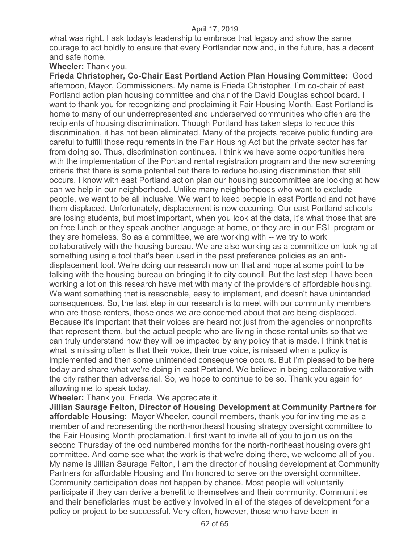what was right. I ask today's leadership to embrace that legacy and show the same courage to act boldly to ensure that every Portlander now and, in the future, has a decent and safe home.

#### **Wheeler:** Thank you.

**Frieda Christopher, Co-Chair East Portland Action Plan Housing Committee:** Good afternoon, Mayor, Commissioners. My name is Frieda Christopher, I'm co-chair of east Portland action plan housing committee and chair of the David Douglas school board. I want to thank you for recognizing and proclaiming it Fair Housing Month. East Portland is home to many of our underrepresented and underserved communities who often are the recipients of housing discrimination. Though Portland has taken steps to reduce this discrimination, it has not been eliminated. Many of the projects receive public funding are careful to fulfill those requirements in the Fair Housing Act but the private sector has far from doing so. Thus, discrimination continues. I think we have some opportunities here with the implementation of the Portland rental registration program and the new screening criteria that there is some potential out there to reduce housing discrimination that still occurs. I know with east Portland action plan our housing subcommittee are looking at how can we help in our neighborhood. Unlike many neighborhoods who want to exclude people, we want to be all inclusive. We want to keep people in east Portland and not have them displaced. Unfortunately, displacement is now occurring. Our east Portland schools are losing students, but most important, when you look at the data, it's what those that are on free lunch or they speak another language at home, or they are in our ESL program or they are homeless. So as a committee, we are working with -- we try to work collaboratively with the housing bureau. We are also working as a committee on looking at something using a tool that's been used in the past preference policies as an antidisplacement tool. We're doing our research now on that and hope at some point to be talking with the housing bureau on bringing it to city council. But the last step I have been working a lot on this research have met with many of the providers of affordable housing. We want something that is reasonable, easy to implement, and doesn't have unintended consequences. So, the last step in our research is to meet with our community members who are those renters, those ones we are concerned about that are being displaced. Because it's important that their voices are heard not just from the agencies or nonprofits that represent them, but the actual people who are living in those rental units so that we can truly understand how they will be impacted by any policy that is made. I think that is what is missing often is that their voice, their true voice, is missed when a policy is implemented and then some unintended consequence occurs. But I'm pleased to be here today and share what we're doing in east Portland. We believe in being collaborative with the city rather than adversarial. So, we hope to continue to be so. Thank you again for allowing me to speak today.

**Wheeler:** Thank you, Frieda. We appreciate it.

**Jillian Saurage Felton, Director of Housing Development at Community Partners for affordable Housing:** Mayor Wheeler, council members, thank you for inviting me as a member of and representing the north-northeast housing strategy oversight committee to the Fair Housing Month proclamation. I first want to invite all of you to join us on the second Thursday of the odd numbered months for the north-northeast housing oversight committee. And come see what the work is that we're doing there, we welcome all of you. My name is Jillian Saurage Felton, I am the director of housing development at Community Partners for affordable Housing and I'm honored to serve on the oversight committee. Community participation does not happen by chance. Most people will voluntarily participate if they can derive a benefit to themselves and their community. Communities and their beneficiaries must be actively involved in all of the stages of development for a policy or project to be successful. Very often, however, those who have been in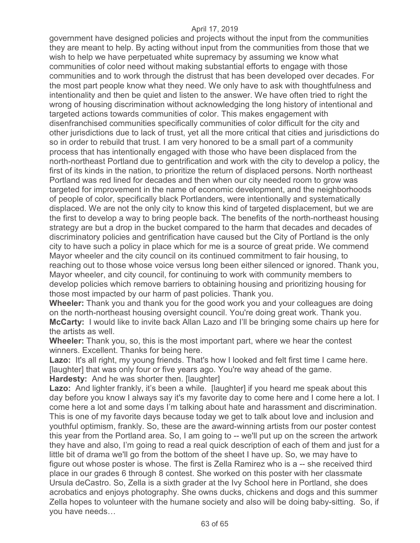government have designed policies and projects without the input from the communities they are meant to help. By acting without input from the communities from those that we wish to help we have perpetuated white supremacy by assuming we know what communities of color need without making substantial efforts to engage with those communities and to work through the distrust that has been developed over decades. For the most part people know what they need. We only have to ask with thoughtfulness and intentionality and then be quiet and listen to the answer. We have often tried to right the wrong of housing discrimination without acknowledging the long history of intentional and targeted actions towards communities of color. This makes engagement with disenfranchised communities specifically communities of color difficult for the city and other jurisdictions due to lack of trust, yet all the more critical that cities and jurisdictions do so in order to rebuild that trust. I am very honored to be a small part of a community process that has intentionally engaged with those who have been displaced from the north-northeast Portland due to gentrification and work with the city to develop a policy, the first of its kinds in the nation, to prioritize the return of displaced persons. North northeast Portland was red lined for decades and then when our city needed room to grow was targeted for improvement in the name of economic development, and the neighborhoods of people of color, specifically black Portlanders, were intentionally and systematically displaced. We are not the only city to know this kind of targeted displacement, but we are the first to develop a way to bring people back. The benefits of the north-northeast housing strategy are but a drop in the bucket compared to the harm that decades and decades of discriminatory policies and gentrification have caused but the City of Portland is the only city to have such a policy in place which for me is a source of great pride. We commend Mayor wheeler and the city council on its continued commitment to fair housing, to reaching out to those whose voice versus long been either silenced or ignored. Thank you, Mayor wheeler, and city council, for continuing to work with community members to develop policies which remove barriers to obtaining housing and prioritizing housing for those most impacted by our harm of past policies. Thank you.

**Wheeler:** Thank you and thank you for the good work you and your colleagues are doing on the north-northeast housing oversight council. You're doing great work. Thank you. **McCarty:** I would like to invite back Allan Lazo and I'll be bringing some chairs up here for the artists as well.

**Wheeler:** Thank you, so, this is the most important part, where we hear the contest winners. Excellent. Thanks for being here.

Lazo: It's all right, my young friends. That's how I looked and felt first time I came here. [laughter] that was only four or five years ago. You're way ahead of the game. **Hardesty:** And he was shorter then. [laughter]

Lazo: And lighter frankly, it's been a while. [laughter] if you heard me speak about this day before you know I always say it's my favorite day to come here and I come here a lot. I come here a lot and some days I'm talking about hate and harassment and discrimination. This is one of my favorite days because today we get to talk about love and inclusion and youthful optimism, frankly. So, these are the award-winning artists from our poster contest this year from the Portland area. So, I am going to -- we'll put up on the screen the artwork they have and also, I'm going to read a real quick description of each of them and just for a little bit of drama we'll go from the bottom of the sheet I have up. So, we may have to figure out whose poster is whose. The first is Zella Ramirez who is a -- she received third place in our grades 6 through 8 contest. She worked on this poster with her classmate Ursula deCastro. So, Zella is a sixth grader at the Ivy School here in Portland, she does acrobatics and enjoys photography. She owns ducks, chickens and dogs and this summer Zella hopes to volunteer with the humane society and also will be doing baby-sitting. So, if you have needs…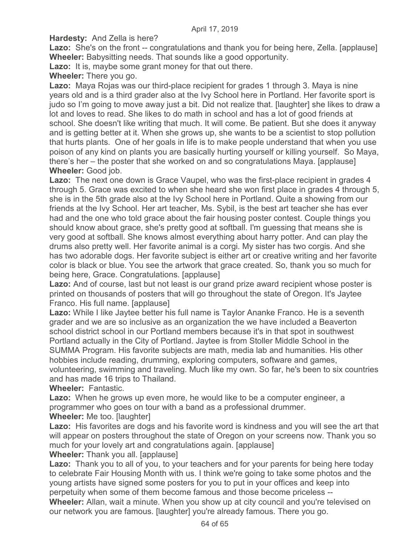**Hardesty:** And Zella is here?

**Lazo:** She's on the front -- congratulations and thank you for being here, Zella. [applause] **Wheeler:** Babysitting needs. That sounds like a good opportunity.

**Lazo:** It is, maybe some grant money for that out there.

**Wheeler:** There you go.

**Lazo:** Maya Rojas was our third-place recipient for grades 1 through 3. Maya is nine years old and is a third grader also at the Ivy School here in Portland. Her favorite sport is judo so I'm going to move away just a bit. Did not realize that. [laughter] she likes to draw a lot and loves to read. She likes to do math in school and has a lot of good friends at school. She doesn't like writing that much. It will come. Be patient. But she does it anyway and is getting better at it. When she grows up, she wants to be a scientist to stop pollution that hurts plants. One of her goals in life is to make people understand that when you use poison of any kind on plants you are basically hurting yourself or killing yourself. So Maya, there's her – the poster that she worked on and so congratulations Maya. [applause] **Wheeler:** Good job.

**Lazo:** The next one down is Grace Vaupel, who was the first-place recipient in grades 4 through 5. Grace was excited to when she heard she won first place in grades 4 through 5, she is in the 5th grade also at the Ivy School here in Portland. Quite a showing from our friends at the Ivy School. Her art teacher, Ms. Sybil, is the best art teacher she has ever had and the one who told grace about the fair housing poster contest. Couple things you should know about grace, she's pretty good at softball. I'm guessing that means she is very good at softball. She knows almost everything about harry potter. And can play the drums also pretty well. Her favorite animal is a corgi. My sister has two corgis. And she has two adorable dogs. Her favorite subject is either art or creative writing and her favorite color is black or blue. You see the artwork that grace created. So, thank you so much for being here, Grace. Congratulations. [applause]

Lazo: And of course, last but not least is our grand prize award recipient whose poster is printed on thousands of posters that will go throughout the state of Oregon. It's Jaytee Franco. His full name. [applause]

**Lazo:** While I like Jaytee better his full name is Taylor Ananke Franco. He is a seventh grader and we are so inclusive as an organization the we have included a Beaverton school district school in our Portland members because it's in that spot in southwest Portland actually in the City of Portland. Jaytee is from Stoller Middle School in the SUMMA Program. His favorite subjects are math, media lab and humanities. His other hobbies include reading, drumming, exploring computers, software and games, volunteering, swimming and traveling. Much like my own. So far, he's been to six countries and has made 16 trips to Thailand.

**Wheeler:** Fantastic.

**Lazo:** When he grows up even more, he would like to be a computer engineer, a programmer who goes on tour with a band as a professional drummer. **Wheeler:** Me too. [laughter]

**Lazo:** His favorites are dogs and his favorite word is kindness and you will see the art that will appear on posters throughout the state of Oregon on your screens now. Thank you so much for your lovely art and congratulations again. [applause]

## **Wheeler:** Thank you all. [applause]

**Lazo:** Thank you to all of you, to your teachers and for your parents for being here today to celebrate Fair Housing Month with us. I think we're going to take some photos and the young artists have signed some posters for you to put in your offices and keep into perpetuity when some of them become famous and those become priceless --

**Wheeler:** Allan, wait a minute. When you show up at city council and you're televised on our network you are famous. [laughter] you're already famous. There you go.